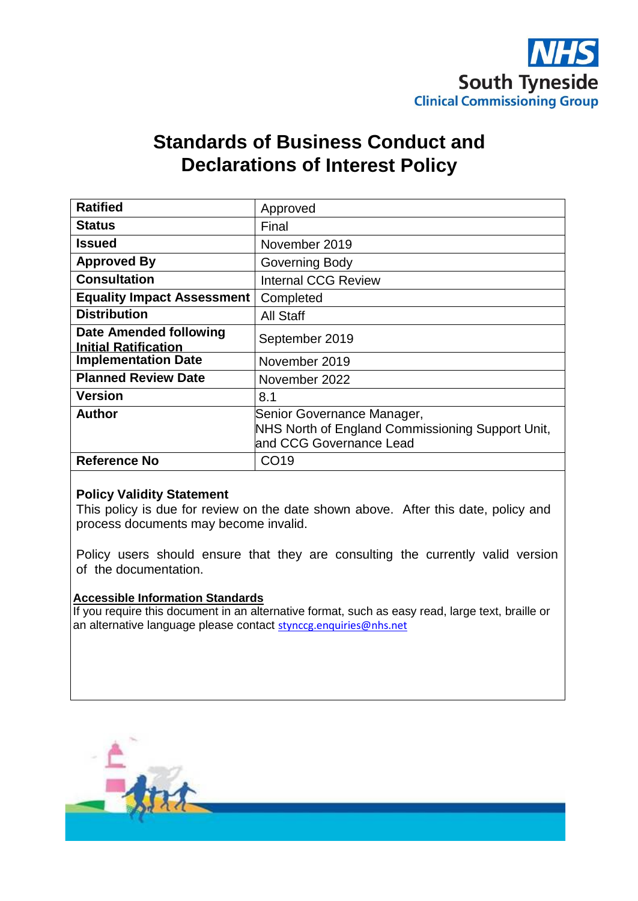

# **Standards of Business Conduct and Declarations of Interest Policy**

| <b>Ratified</b>                                              | Approved                                                                                                  |  |
|--------------------------------------------------------------|-----------------------------------------------------------------------------------------------------------|--|
| <b>Status</b>                                                | Final                                                                                                     |  |
| <b>Issued</b>                                                | November 2019                                                                                             |  |
| <b>Approved By</b>                                           | Governing Body                                                                                            |  |
| <b>Consultation</b>                                          | <b>Internal CCG Review</b>                                                                                |  |
| <b>Equality Impact Assessment</b>                            | Completed                                                                                                 |  |
| <b>Distribution</b>                                          | <b>All Staff</b>                                                                                          |  |
| <b>Date Amended following</b><br><b>Initial Ratification</b> | September 2019                                                                                            |  |
| <b>Implementation Date</b>                                   | November 2019                                                                                             |  |
| <b>Planned Review Date</b>                                   | November 2022                                                                                             |  |
| <b>Version</b>                                               | 8.1                                                                                                       |  |
| <b>Author</b>                                                | Senior Governance Manager,<br>NHS North of England Commissioning Support Unit,<br>and CCG Governance Lead |  |
| <b>Reference No</b>                                          | CO <sub>19</sub>                                                                                          |  |

### **Policy Validity Statement**

This policy is due for review on the date shown above. After this date, policy and process documents may become invalid.

Policy users should ensure that they are consulting the currently valid version of the documentation.

#### **Accessible Information Standards**

If you require this document in an alternative format, such as easy read, large text, braille or an alternative language please contact [stynccg.enquiries@nhs.net](mailto:stynccg.enquiries@nhs.net)

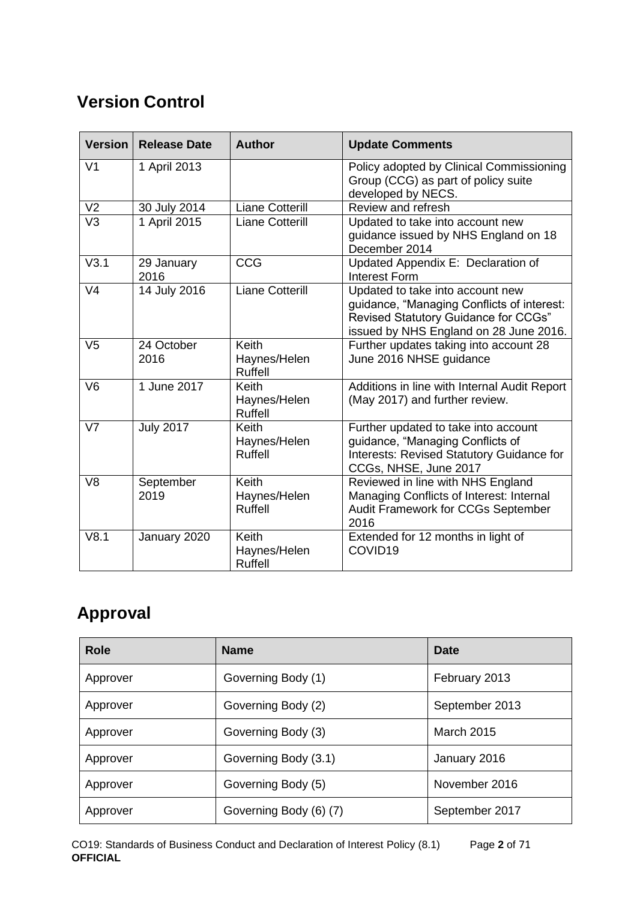# **Version Control**

| <b>Version</b> | <b>Release Date</b> | <b>Author</b>                                  | <b>Update Comments</b>                                                                                                                                           |
|----------------|---------------------|------------------------------------------------|------------------------------------------------------------------------------------------------------------------------------------------------------------------|
| V <sub>1</sub> | 1 April 2013        |                                                | Policy adopted by Clinical Commissioning<br>Group (CCG) as part of policy suite<br>developed by NECS.                                                            |
| V <sub>2</sub> | 30 July 2014        | <b>Liane Cotterill</b>                         | Review and refresh                                                                                                                                               |
| V <sub>3</sub> | 1 April 2015        | <b>Liane Cotterill</b>                         | Updated to take into account new<br>guidance issued by NHS England on 18<br>December 2014                                                                        |
| V3.1           | 29 January<br>2016  | CCG                                            | Updated Appendix E: Declaration of<br><b>Interest Form</b>                                                                                                       |
| V <sub>4</sub> | 14 July 2016        | <b>Liane Cotterill</b>                         | Updated to take into account new<br>guidance, "Managing Conflicts of interest:<br>Revised Statutory Guidance for CCGs"<br>issued by NHS England on 28 June 2016. |
| V <sub>5</sub> | 24 October<br>2016  | <b>Keith</b><br>Haynes/Helen<br><b>Ruffell</b> | Further updates taking into account 28<br>June 2016 NHSE guidance                                                                                                |
| V <sub>6</sub> | 1 June 2017         | <b>Keith</b><br>Haynes/Helen<br><b>Ruffell</b> | Additions in line with Internal Audit Report<br>(May 2017) and further review.                                                                                   |
| V <sub>7</sub> | <b>July 2017</b>    | Keith<br>Haynes/Helen<br><b>Ruffell</b>        | Further updated to take into account<br>guidance, "Managing Conflicts of<br>Interests: Revised Statutory Guidance for<br>CCGs, NHSE, June 2017                   |
| V <sub>8</sub> | September<br>2019   | <b>Keith</b><br>Haynes/Helen<br><b>Ruffell</b> | Reviewed in line with NHS England<br>Managing Conflicts of Interest: Internal<br>Audit Framework for CCGs September<br>2016                                      |
| V8.1           | January 2020        | <b>Keith</b><br>Haynes/Helen<br><b>Ruffell</b> | Extended for 12 months in light of<br>COVID19                                                                                                                    |

# **Approval**

| <b>Role</b> | <b>Name</b>            | Date              |
|-------------|------------------------|-------------------|
| Approver    | Governing Body (1)     | February 2013     |
| Approver    | Governing Body (2)     | September 2013    |
| Approver    | Governing Body (3)     | <b>March 2015</b> |
| Approver    | Governing Body (3.1)   | January 2016      |
| Approver    | Governing Body (5)     | November 2016     |
| Approver    | Governing Body (6) (7) | September 2017    |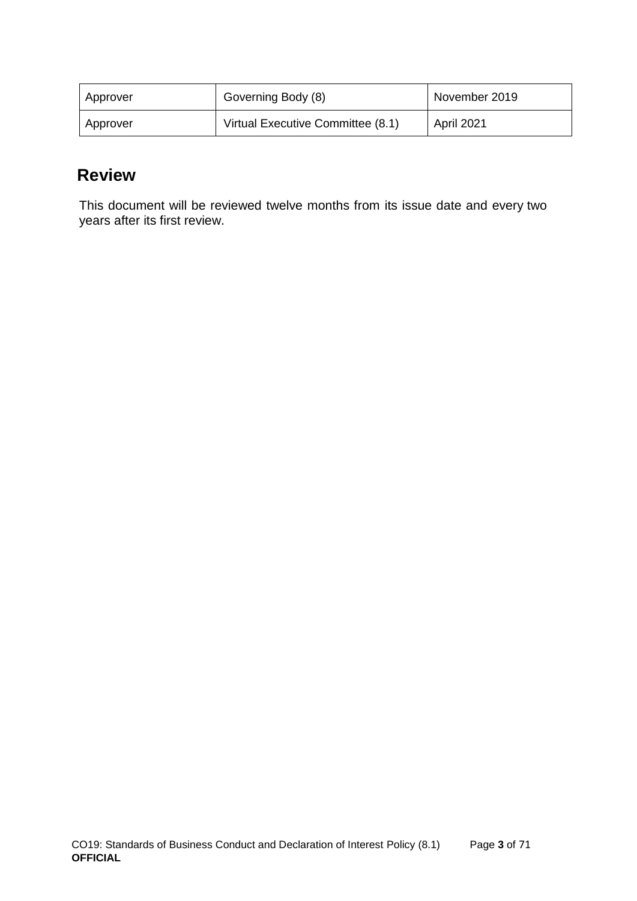| Approver | Governing Body (8)                | November 2019     |
|----------|-----------------------------------|-------------------|
| Approver | Virtual Executive Committee (8.1) | <b>April 2021</b> |

# **Review**

This document will be reviewed twelve months from its issue date and every two years after its first review.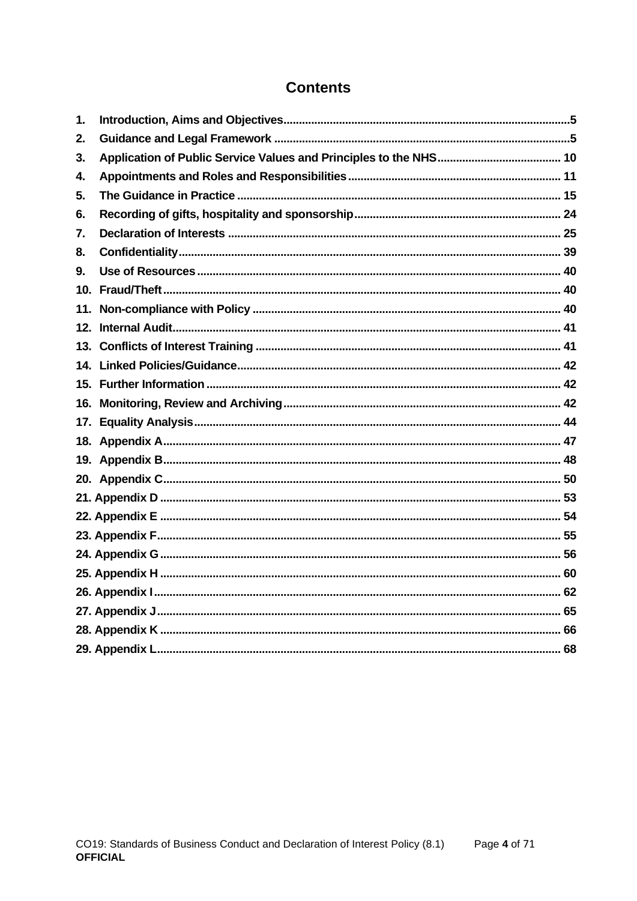# **Contents**

| 1.  |  |
|-----|--|
| 2.  |  |
| 3.  |  |
| 4.  |  |
| 5.  |  |
| 6.  |  |
| 7.  |  |
| 8.  |  |
| 9.  |  |
| 10. |  |
| 11. |  |
| 12. |  |
|     |  |
|     |  |
|     |  |
|     |  |
|     |  |
|     |  |
|     |  |
|     |  |
|     |  |
|     |  |
|     |  |
|     |  |
|     |  |
|     |  |
|     |  |
|     |  |
|     |  |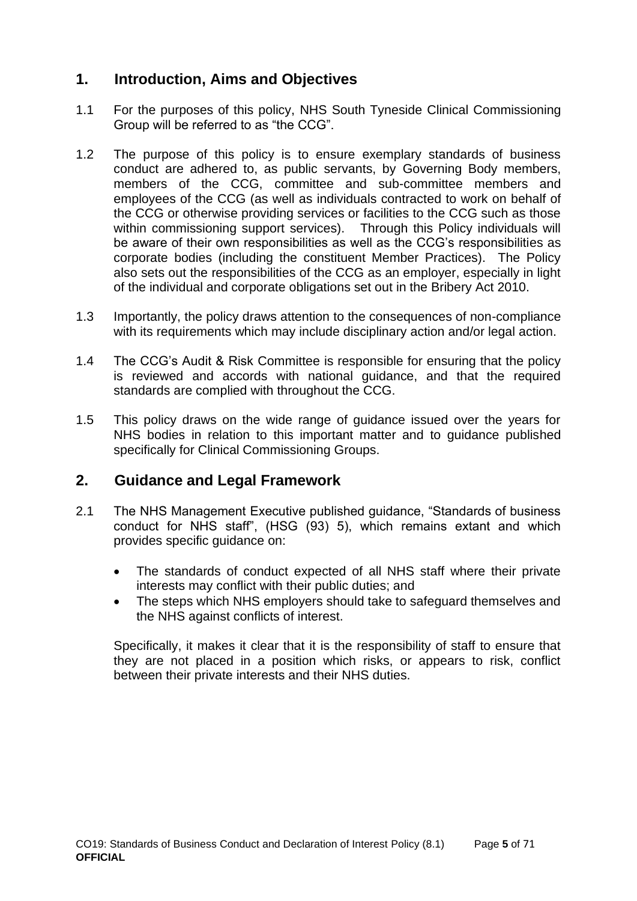# <span id="page-4-0"></span>**1. Introduction, Aims and Objectives**

- 1.1 For the purposes of this policy, NHS South Tyneside Clinical Commissioning Group will be referred to as "the CCG".
- 1.2 The purpose of this policy is to ensure exemplary standards of business conduct are adhered to, as public servants, by Governing Body members, members of the CCG, committee and sub-committee members and employees of the CCG (as well as individuals contracted to work on behalf of the CCG or otherwise providing services or facilities to the CCG such as those within commissioning support services). Through this Policy individuals will be aware of their own responsibilities as well as the CCG's responsibilities as corporate bodies (including the constituent Member Practices). The Policy also sets out the responsibilities of the CCG as an employer, especially in light of the individual and corporate obligations set out in the Bribery Act 2010.
- 1.3 Importantly, the policy draws attention to the consequences of non-compliance with its requirements which may include disciplinary action and/or legal action.
- 1.4 The CCG's Audit & Risk Committee is responsible for ensuring that the policy is reviewed and accords with national guidance, and that the required standards are complied with throughout the CCG.
- 1.5 This policy draws on the wide range of guidance issued over the years for NHS bodies in relation to this important matter and to guidance published specifically for Clinical Commissioning Groups.

# <span id="page-4-1"></span>**2. Guidance and Legal Framework**

- 2.1 The NHS Management Executive published guidance, "Standards of business conduct for NHS staff", (HSG (93) 5), which remains extant and which provides specific guidance on:
	- The standards of conduct expected of all NHS staff where their private interests may conflict with their public duties; and
	- The steps which NHS employers should take to safeguard themselves and the NHS against conflicts of interest.

Specifically, it makes it clear that it is the responsibility of staff to ensure that they are not placed in a position which risks, or appears to risk, conflict between their private interests and their NHS duties.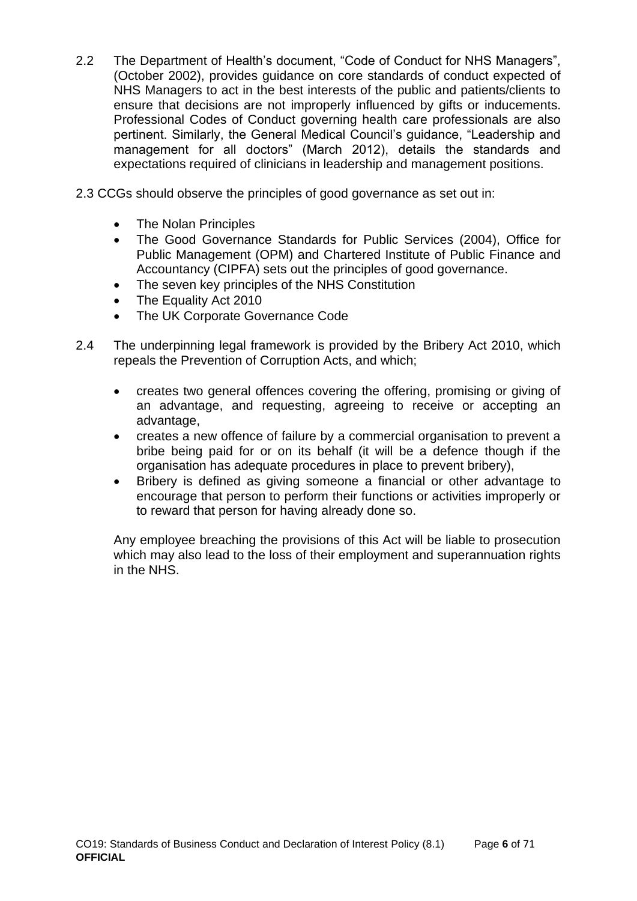2.2 The Department of Health's document, "Code of Conduct for NHS Managers", (October 2002), provides guidance on core standards of conduct expected of NHS Managers to act in the best interests of the public and patients/clients to ensure that decisions are not improperly influenced by gifts or inducements. Professional Codes of Conduct governing health care professionals are also pertinent. Similarly, the General Medical Council's guidance, "Leadership and management for all doctors" (March 2012), details the standards and expectations required of clinicians in leadership and management positions.

2.3 CCGs should observe the principles of good governance as set out in:

- The Nolan Principles
- The Good Governance Standards for Public Services (2004), Office for Public Management (OPM) and Chartered Institute of Public Finance and Accountancy (CIPFA) sets out the principles of good governance.
- The seven key principles of the NHS Constitution
- The Equality Act 2010
- The UK Corporate Governance Code
- 2.4 The underpinning legal framework is provided by the Bribery Act 2010, which repeals the Prevention of Corruption Acts, and which;
	- creates two general offences covering the offering, promising or giving of an advantage, and requesting, agreeing to receive or accepting an advantage,
	- creates a new offence of failure by a commercial organisation to prevent a bribe being paid for or on its behalf (it will be a defence though if the organisation has adequate procedures in place to prevent bribery),
	- Bribery is defined as giving someone a financial or other advantage to encourage that person to perform their functions or activities improperly or to reward that person for having already done so.

Any employee breaching the provisions of this Act will be liable to prosecution which may also lead to the loss of their employment and superannuation rights in the NHS.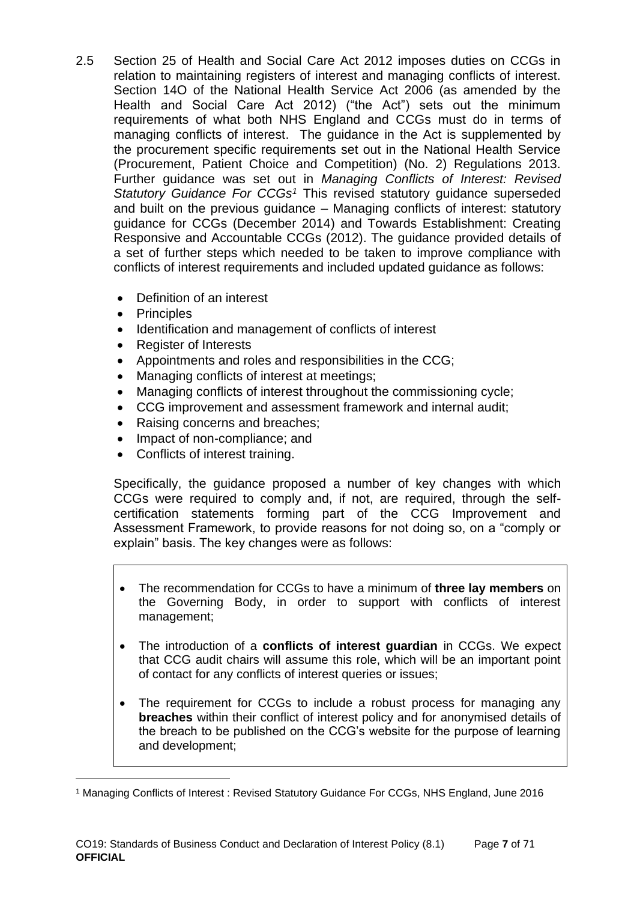- 2.5 Section 25 of Health and Social Care Act 2012 imposes duties on CCGs in relation to maintaining registers of interest and managing conflicts of interest. Section 14O of the National Health Service Act 2006 (as amended by the Health and Social Care Act 2012) ("the Act") sets out the minimum requirements of what both NHS England and CCGs must do in terms of managing conflicts of interest. The guidance in the Act is supplemented by the procurement specific requirements set out in the National Health Service (Procurement, Patient Choice and Competition) (No. 2) Regulations 2013. Further guidance was set out in *Managing Conflicts of Interest: Revised Statutory Guidance For CCGs<sup>1</sup>* This revised statutory guidance superseded and built on the previous guidance – Managing conflicts of interest: statutory guidance for CCGs (December 2014) and Towards Establishment: Creating Responsive and Accountable CCGs (2012). The guidance provided details of a set of further steps which needed to be taken to improve compliance with conflicts of interest requirements and included updated guidance as follows:
	- Definition of an interest
	- Principles
	- Identification and management of conflicts of interest
	- Register of Interests
	- Appointments and roles and responsibilities in the CCG;
	- Managing conflicts of interest at meetings;
	- Managing conflicts of interest throughout the commissioning cycle;
	- CCG improvement and assessment framework and internal audit;
	- Raising concerns and breaches;
	- Impact of non-compliance; and
	- Conflicts of interest training.

Specifically, the guidance proposed a number of key changes with which CCGs were required to comply and, if not, are required, through the selfcertification statements forming part of the CCG Improvement and Assessment Framework, to provide reasons for not doing so, on a "comply or explain" basis. The key changes were as follows:

- The recommendation for CCGs to have a minimum of **three lay members** on the Governing Body, in order to support with conflicts of interest management;
- The introduction of a **conflicts of interest guardian** in CCGs. We expect that CCG audit chairs will assume this role, which will be an important point of contact for any conflicts of interest queries or issues;
- The requirement for CCGs to include a robust process for managing any **breaches** within their conflict of interest policy and for anonymised details of the breach to be published on the CCG's website for the purpose of learning and development;

<sup>1</sup> Managing Conflicts of Interest : Revised Statutory Guidance For CCGs, NHS England, June 2016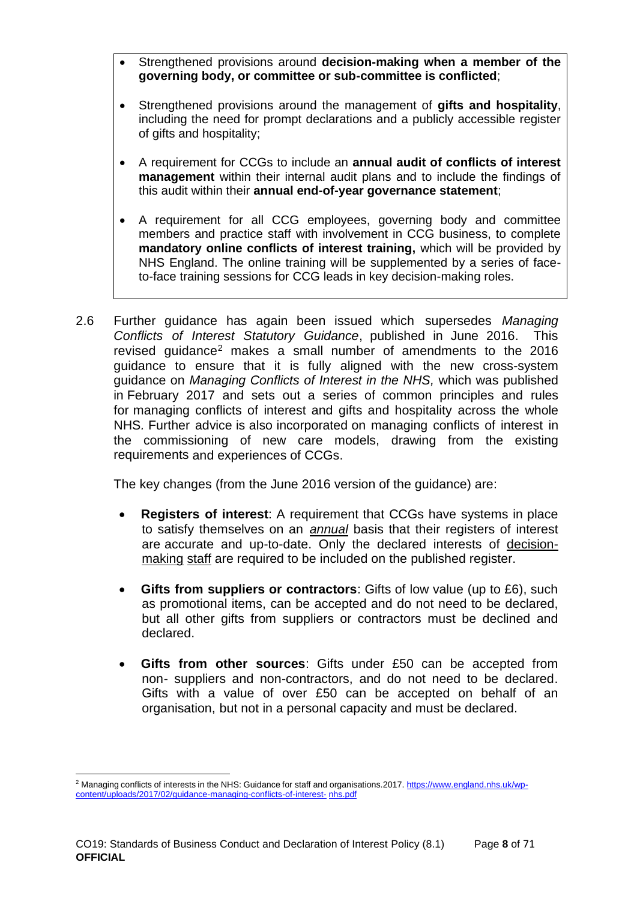- Strengthened provisions around **decision-making when a member of the governing body, or committee or sub-committee is conflicted**;
- Strengthened provisions around the management of **gifts and hospitality**, including the need for prompt declarations and a publicly accessible register of gifts and hospitality;
- A requirement for CCGs to include an **annual audit of conflicts of interest management** within their internal audit plans and to include the findings of this audit within their **annual end-of-year governance statement**;
- A requirement for all CCG employees, governing body and committee members and practice staff with involvement in CCG business, to complete **mandatory online conflicts of interest training,** which will be provided by NHS England. The online training will be supplemented by a series of faceto-face training sessions for CCG leads in key decision-making roles.
- 2.6 Further guidance has again been issued which supersedes *Managing Conflicts of Interest Statutory Guidance*, published in June 2016. This revised guidance<sup>2</sup> makes a small number of amendments to the  $2016$ guidance to ensure that it is fully aligned with the new cross-system guidance on *Managing Conflicts of Interest in the NHS,* which was published in February 2017 and sets out a series of common principles and rules for managing conflicts of interest and gifts and hospitality across the whole NHS*.* Further advice is also incorporated on managing conflicts of interest in the commissioning of new care models, drawing from the existing requirements and experiences of CCGs.

The key changes (from the June 2016 version of the guidance) are:

- **Registers of interest**: A requirement that CCGs have systems in place to satisfy themselves on an *annual* basis that their registers of interest are accurate and up-to-date. Only the declared interests of decisionmaking staff are required to be included on the published register.
- **Gifts from suppliers or contractors**: Gifts of low value (up to £6), such as promotional items, can be accepted and do not need to be declared, but all other gifts from suppliers or contractors must be declined and declared.
- **Gifts from other sources**: Gifts under £50 can be accepted from non- suppliers and non-contractors, and do not need to be declared. Gifts with a value of over £50 can be accepted on behalf of an organisation, but not in a personal capacity and must be declared.

<sup>2</sup> Managing conflicts of interests in the NHS: Guidance for staff and organisations.2017[. https://www.england.nhs.uk/wp](https://www.england.nhs.uk/wp-content/uploads/2017/02/guidance-managing-conflicts-of-interest-nhs.pdf)[content/uploads/2017/02/guidance-managing-conflicts-of-interest-](https://www.england.nhs.uk/wp-content/uploads/2017/02/guidance-managing-conflicts-of-interest-nhs.pdf) [nhs.pdf](https://www.england.nhs.uk/wp-content/uploads/2017/02/guidance-managing-conflicts-of-interest-nhs.pdf)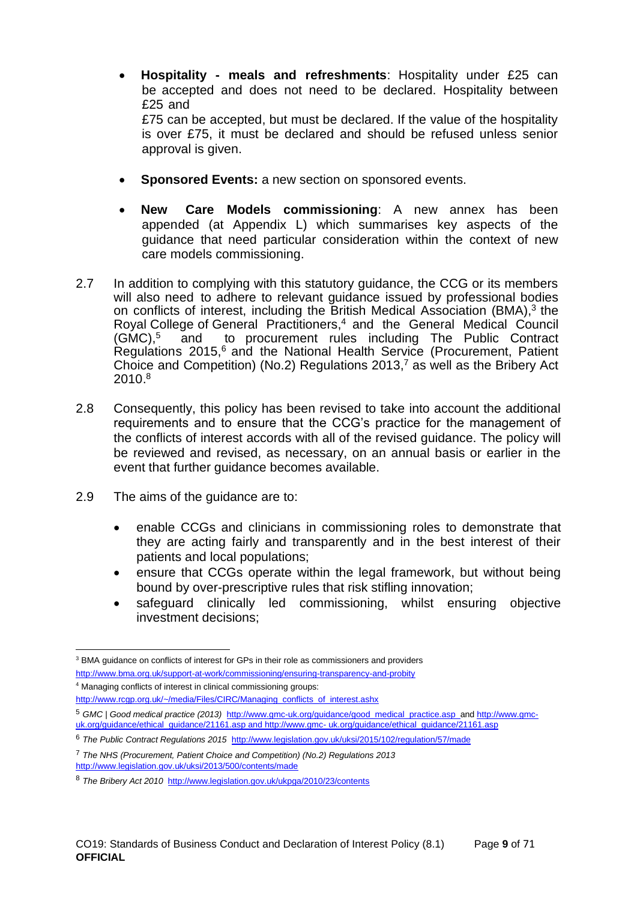- **Hospitality - meals and refreshments**: Hospitality under £25 can be accepted and does not need to be declared. Hospitality between £25 and £75 can be accepted, but must be declared. If the value of the hospitality is over £75, it must be declared and should be refused unless senior approval is given.
- **Sponsored Events:** a new section on sponsored events.
- **New Care Models commissioning**: A new annex has been appended (at Appendix L) which summarises key aspects of the guidance that need particular consideration within the context of new care models commissioning.
- 2.7 In addition to complying with this statutory guidance, the CCG or its members will also need to adhere to relevant guidance issued by professional bodies on conflicts of interest, including the British Medical Association (BMA), 3 the Royal College of General Practitioners, <sup>4</sup> and the General Medical Council  $(GMC)$ ,  $5$ and to procurement rules including The Public Contract Regulations 2015, <sup>6</sup> and the National Health Service (Procurement, Patient Choice and Competition) (No.2) Regulations 2013,<sup>7</sup> as well as the Bribery Act 2010. 8
- 2.8 Consequently, this policy has been revised to take into account the additional requirements and to ensure that the CCG's practice for the management of the conflicts of interest accords with all of the revised guidance. The policy will be reviewed and revised, as necessary, on an annual basis or earlier in the event that further guidance becomes available.
- 2.9 The aims of the guidance are to:
	- enable CCGs and clinicians in commissioning roles to demonstrate that they are acting fairly and transparently and in the best interest of their patients and local populations;
	- ensure that CCGs operate within the legal framework, but without being bound by over-prescriptive rules that risk stifling innovation;
	- safeguard clinically led commissioning, whilst ensuring objective investment decisions;

<sup>&</sup>lt;sup>3</sup> BMA guidance on conflicts of interest for GPs in their role as commissioners and providers

<http://www.bma.org.uk/support-at-work/commissioning/ensuring-transparency-and-probity>

<sup>4</sup> Managing conflicts of interest in clinical commissioning groups:

[http://www.rcgp.org.uk/~/media/Files/CIRC/Managing\\_conflicts\\_of\\_interest.ashx](http://www.rcgp.org.uk/~/media/Files/CIRC/Managing_conflicts_of_interest.ashx)

<sup>5</sup> *GMC | Good medical practice (2013)* [http://www.gmc-uk.org/guidance/good\\_medical\\_practice.asp a](http://www.gmc-uk.org/guidance/good_medical_practice.asp)nd [http://www.gmc](http://www.gmc-uk.org/guidance/ethical_guidance/21161.asp%20and%20http%3A/www.gmc-uk.org/guidance/ethical_guidance/21161.asp)[uk.org/guidance/ethical\\_guidance/21161.asp and http://www.gmc-](http://www.gmc-uk.org/guidance/ethical_guidance/21161.asp%20and%20http%3A/www.gmc-uk.org/guidance/ethical_guidance/21161.asp) [uk.org/guidance/ethical\\_guidance/21161.asp](http://www.gmc-uk.org/guidance/ethical_guidance/21161.asp%20and%20http%3A/www.gmc-uk.org/guidance/ethical_guidance/21161.asp)

<sup>6</sup> *The Public Contract Regulations 2015* <http://www.legislation.gov.uk/uksi/2015/102/regulation/57/made>

<sup>7</sup> *The NHS (Procurement, Patient Choice and Competition) (No.2) Regulations 2013* <http://www.legislation.gov.uk/uksi/2013/500/contents/made>

<sup>8</sup> *The Bribery Act 2010* <http://www.legislation.gov.uk/ukpga/2010/23/contents>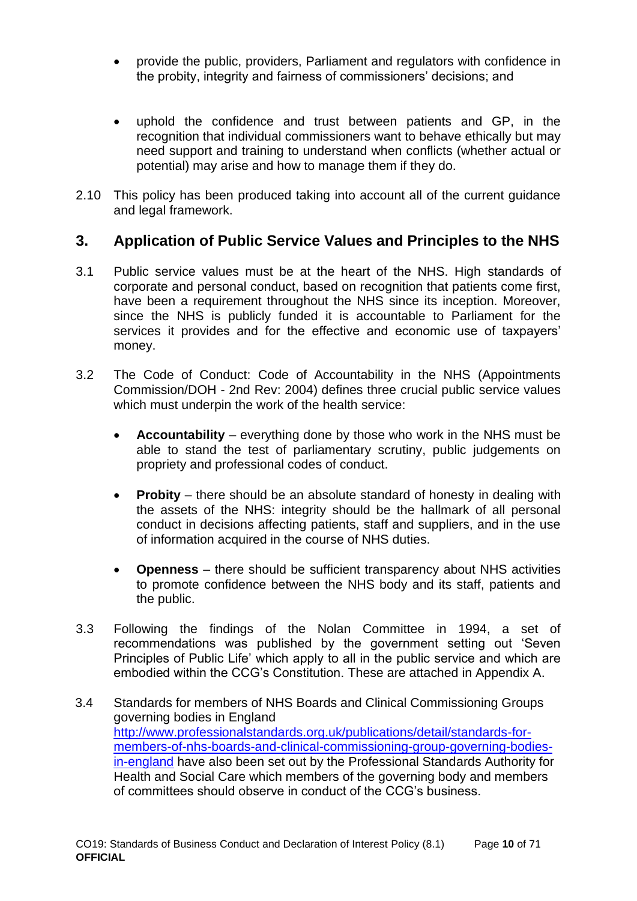- provide the public, providers, Parliament and regulators with confidence in the probity, integrity and fairness of commissioners' decisions; and
- uphold the confidence and trust between patients and GP, in the recognition that individual commissioners want to behave ethically but may need support and training to understand when conflicts (whether actual or potential) may arise and how to manage them if they do.
- 2.10 This policy has been produced taking into account all of the current guidance and legal framework.

# <span id="page-9-0"></span>**3. Application of Public Service Values and Principles to the NHS**

- 3.1 Public service values must be at the heart of the NHS. High standards of corporate and personal conduct, based on recognition that patients come first, have been a requirement throughout the NHS since its inception. Moreover, since the NHS is publicly funded it is accountable to Parliament for the services it provides and for the effective and economic use of taxpayers' money.
- 3.2 The Code of Conduct: Code of Accountability in the NHS (Appointments Commission/DOH - 2nd Rev: 2004) defines three crucial public service values which must underpin the work of the health service:
	- **Accountability** everything done by those who work in the NHS must be able to stand the test of parliamentary scrutiny, public judgements on propriety and professional codes of conduct.
	- **Probity** there should be an absolute standard of honesty in dealing with the assets of the NHS: integrity should be the hallmark of all personal conduct in decisions affecting patients, staff and suppliers, and in the use of information acquired in the course of NHS duties.
	- **Openness** there should be sufficient transparency about NHS activities to promote confidence between the NHS body and its staff, patients and the public.
- 3.3 Following the findings of the Nolan Committee in 1994, a set of recommendations was published by the government setting out 'Seven Principles of Public Life' which apply to all in the public service and which are embodied within the CCG's Constitution. These are attached in Appendix A.
- 3.4 Standards for members of NHS Boards and Clinical Commissioning Groups governing bodies in England [http://www.professionalstandards.org.uk/publications/detail/standards-for](http://www.professionalstandards.org.uk/publications/detail/standards-for-members-of-nhs-boards-and-clinical-commissioning-group-governing-bodies-in-england)[members-of-nhs-boards-and-clinical-commissioning-group-governing-bodies](http://www.professionalstandards.org.uk/publications/detail/standards-for-members-of-nhs-boards-and-clinical-commissioning-group-governing-bodies-in-england)[in-england](http://www.professionalstandards.org.uk/publications/detail/standards-for-members-of-nhs-boards-and-clinical-commissioning-group-governing-bodies-in-england) have also been set out by the Professional Standards Authority for Health and Social Care which members of the governing body and members of committees should observe in conduct of the CCG's business.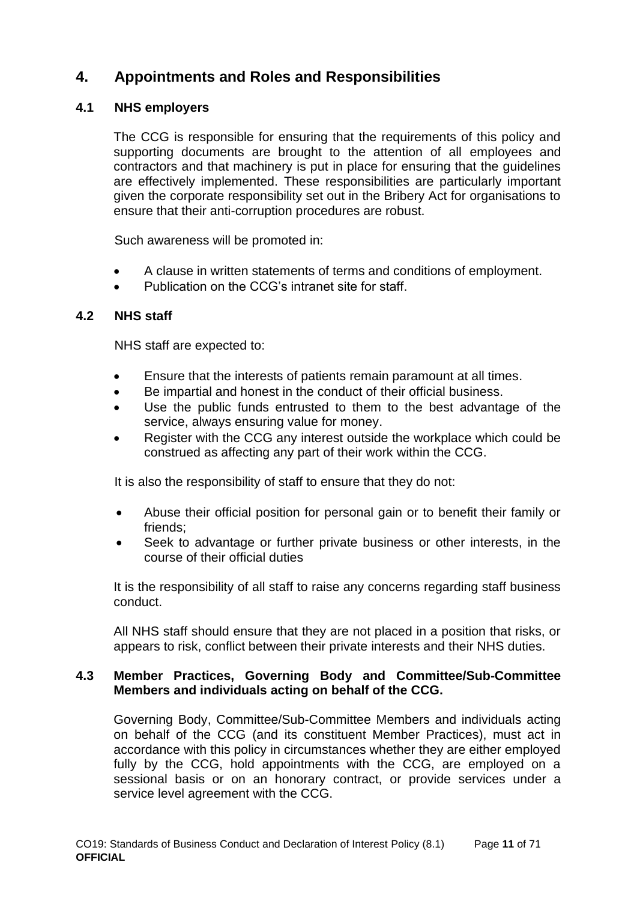# <span id="page-10-0"></span>**4. Appointments and Roles and Responsibilities**

# **4.1 NHS employers**

The CCG is responsible for ensuring that the requirements of this policy and supporting documents are brought to the attention of all employees and contractors and that machinery is put in place for ensuring that the guidelines are effectively implemented. These responsibilities are particularly important given the corporate responsibility set out in the Bribery Act for organisations to ensure that their anti-corruption procedures are robust.

Such awareness will be promoted in:

- A clause in written statements of terms and conditions of employment.
- Publication on the CCG's intranet site for staff.

# **4.2 NHS staff**

NHS staff are expected to:

- Ensure that the interests of patients remain paramount at all times.
- Be impartial and honest in the conduct of their official business.
- Use the public funds entrusted to them to the best advantage of the service, always ensuring value for money.
- Register with the CCG any interest outside the workplace which could be construed as affecting any part of their work within the CCG.

It is also the responsibility of staff to ensure that they do not:

- Abuse their official position for personal gain or to benefit their family or friends;
- Seek to advantage or further private business or other interests, in the course of their official duties

It is the responsibility of all staff to raise any concerns regarding staff business conduct.

All NHS staff should ensure that they are not placed in a position that risks, or appears to risk, conflict between their private interests and their NHS duties.

## **4.3 Member Practices, Governing Body and Committee/Sub-Committee Members and individuals acting on behalf of the CCG.**

Governing Body, Committee/Sub-Committee Members and individuals acting on behalf of the CCG (and its constituent Member Practices), must act in accordance with this policy in circumstances whether they are either employed fully by the CCG, hold appointments with the CCG, are employed on a sessional basis or on an honorary contract, or provide services under a service level agreement with the CCG.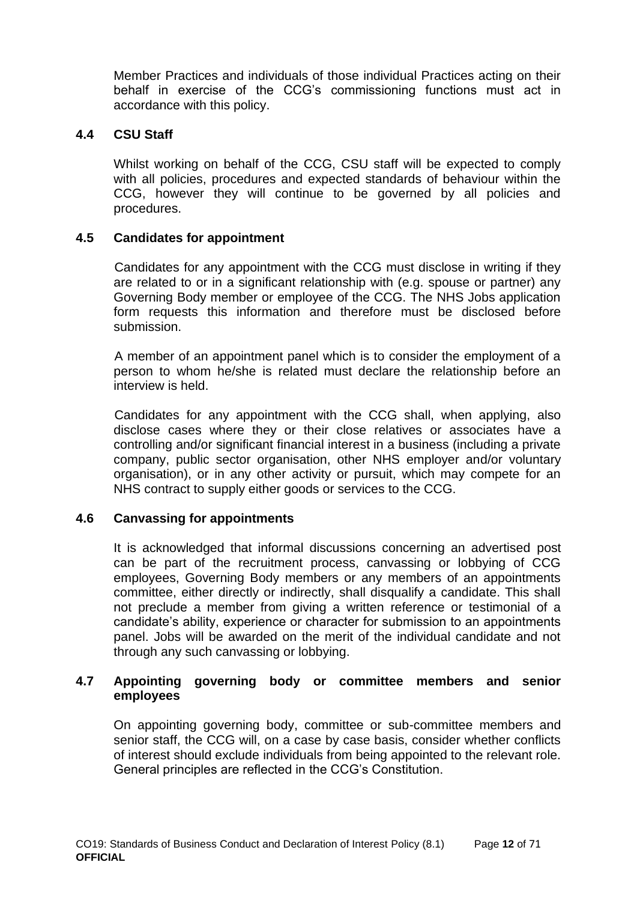Member Practices and individuals of those individual Practices acting on their behalf in exercise of the CCG's commissioning functions must act in accordance with this policy.

### **4.4 CSU Staff**

Whilst working on behalf of the CCG, CSU staff will be expected to comply with all policies, procedures and expected standards of behaviour within the CCG, however they will continue to be governed by all policies and procedures.

## **4.5 Candidates for appointment**

Candidates for any appointment with the CCG must disclose in writing if they are related to or in a significant relationship with (e.g. spouse or partner) any Governing Body member or employee of the CCG. The NHS Jobs application form requests this information and therefore must be disclosed before submission.

A member of an appointment panel which is to consider the employment of a person to whom he/she is related must declare the relationship before an interview is held.

Candidates for any appointment with the CCG shall, when applying, also disclose cases where they or their close relatives or associates have a controlling and/or significant financial interest in a business (including a private company, public sector organisation, other NHS employer and/or voluntary organisation), or in any other activity or pursuit, which may compete for an NHS contract to supply either goods or services to the CCG.

### **4.6 Canvassing for appointments**

It is acknowledged that informal discussions concerning an advertised post can be part of the recruitment process, canvassing or lobbying of CCG employees, Governing Body members or any members of an appointments committee, either directly or indirectly, shall disqualify a candidate. This shall not preclude a member from giving a written reference or testimonial of a candidate's ability, experience or character for submission to an appointments panel. Jobs will be awarded on the merit of the individual candidate and not through any such canvassing or lobbying.

## **4.7 Appointing governing body or committee members and senior employees**

On appointing governing body, committee or sub-committee members and senior staff, the CCG will, on a case by case basis, consider whether conflicts of interest should exclude individuals from being appointed to the relevant role. General principles are reflected in the CCG's Constitution.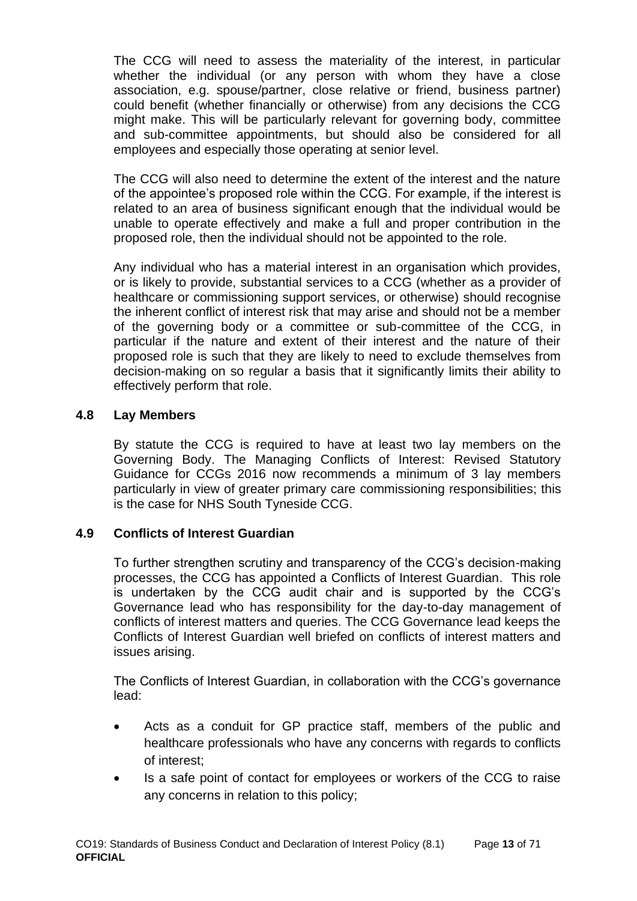The CCG will need to assess the materiality of the interest, in particular whether the individual (or any person with whom they have a close association, e.g. spouse/partner, close relative or friend, business partner) could benefit (whether financially or otherwise) from any decisions the CCG might make. This will be particularly relevant for governing body, committee and sub-committee appointments, but should also be considered for all employees and especially those operating at senior level.

The CCG will also need to determine the extent of the interest and the nature of the appointee's proposed role within the CCG. For example, if the interest is related to an area of business significant enough that the individual would be unable to operate effectively and make a full and proper contribution in the proposed role, then the individual should not be appointed to the role.

Any individual who has a material interest in an organisation which provides, or is likely to provide, substantial services to a CCG (whether as a provider of healthcare or commissioning support services, or otherwise) should recognise the inherent conflict of interest risk that may arise and should not be a member of the governing body or a committee or sub-committee of the CCG, in particular if the nature and extent of their interest and the nature of their proposed role is such that they are likely to need to exclude themselves from decision-making on so regular a basis that it significantly limits their ability to effectively perform that role.

## **4.8 Lay Members**

By statute the CCG is required to have at least two lay members on the Governing Body. The Managing Conflicts of Interest: Revised Statutory Guidance for CCGs 2016 now recommends a minimum of 3 lay members particularly in view of greater primary care commissioning responsibilities; this is the case for NHS South Tyneside CCG.

# **4.9 Conflicts of Interest Guardian**

To further strengthen scrutiny and transparency of the CCG's decision-making processes, the CCG has appointed a Conflicts of Interest Guardian. This role is undertaken by the CCG audit chair and is supported by the CCG's Governance lead who has responsibility for the day-to-day management of conflicts of interest matters and queries. The CCG Governance lead keeps the Conflicts of Interest Guardian well briefed on conflicts of interest matters and issues arising.

The Conflicts of Interest Guardian, in collaboration with the CCG's governance lead:

- Acts as a conduit for GP practice staff, members of the public and healthcare professionals who have any concerns with regards to conflicts of interest;
- Is a safe point of contact for employees or workers of the CCG to raise any concerns in relation to this policy;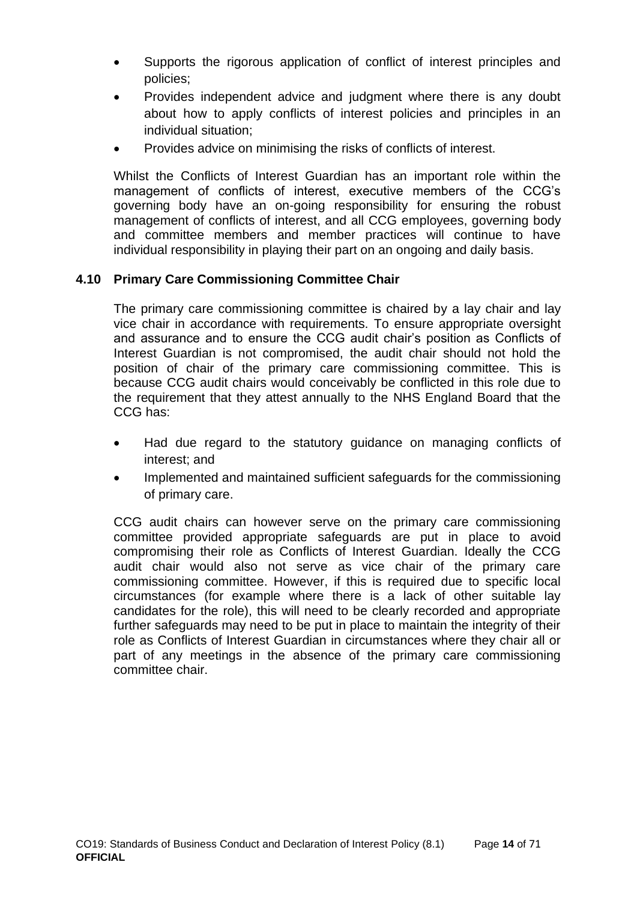- Supports the rigorous application of conflict of interest principles and policies;
- Provides independent advice and judgment where there is any doubt about how to apply conflicts of interest policies and principles in an individual situation;
- Provides advice on minimising the risks of conflicts of interest.

Whilst the Conflicts of Interest Guardian has an important role within the management of conflicts of interest, executive members of the CCG's governing body have an on-going responsibility for ensuring the robust management of conflicts of interest, and all CCG employees, governing body and committee members and member practices will continue to have individual responsibility in playing their part on an ongoing and daily basis.

# **4.10 Primary Care Commissioning Committee Chair**

The primary care commissioning committee is chaired by a lay chair and lay vice chair in accordance with requirements. To ensure appropriate oversight and assurance and to ensure the CCG audit chair's position as Conflicts of Interest Guardian is not compromised, the audit chair should not hold the position of chair of the primary care commissioning committee. This is because CCG audit chairs would conceivably be conflicted in this role due to the requirement that they attest annually to the NHS England Board that the CCG has:

- Had due regard to the statutory guidance on managing conflicts of interest; and
- Implemented and maintained sufficient safeguards for the commissioning of primary care.

<span id="page-13-0"></span>CCG audit chairs can however serve on the primary care commissioning committee provided appropriate safeguards are put in place to avoid compromising their role as Conflicts of Interest Guardian. Ideally the CCG audit chair would also not serve as vice chair of the primary care commissioning committee. However, if this is required due to specific local circumstances (for example where there is a lack of other suitable lay candidates for the role), this will need to be clearly recorded and appropriate further safeguards may need to be put in place to maintain the integrity of their role as Conflicts of Interest Guardian in circumstances where they chair all or part of any meetings in the absence of the primary care commissioning committee chair.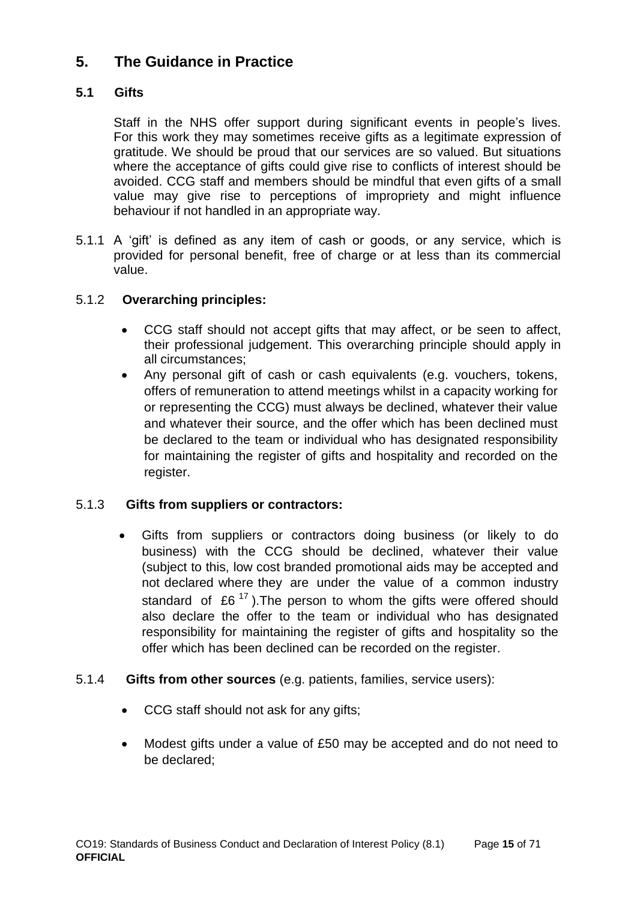# **5. The Guidance in Practice**

# **5.1 Gifts**

Staff in the NHS offer support during significant events in people's lives. For this work they may sometimes receive gifts as a legitimate expression of gratitude. We should be proud that our services are so valued. But situations where the acceptance of gifts could give rise to conflicts of interest should be avoided. CCG staff and members should be mindful that even gifts of a small value may give rise to perceptions of impropriety and might influence behaviour if not handled in an appropriate way.

5.1.1 A 'gift' is defined as any item of cash or goods, or any service, which is provided for personal benefit, free of charge or at less than its commercial value.

## 5.1.2 **Overarching principles:**

- CCG staff should not accept gifts that may affect, or be seen to affect, their professional judgement. This overarching principle should apply in all circumstances;
- Any personal gift of cash or cash equivalents (e.g. vouchers, tokens, offers of remuneration to attend meetings whilst in a capacity working for or representing the CCG) must always be declined, whatever their value and whatever their source, and the offer which has been declined must be declared to the team or individual who has designated responsibility for maintaining the register of gifts and hospitality and recorded on the register.

### 5.1.3 **Gifts from suppliers or contractors:**

• Gifts from suppliers or contractors doing business (or likely to do business) with the CCG should be declined, whatever their value (subject to this, low cost branded promotional aids may be accepted and not declared where they are under the value of a common industry standard of £6<sup>17</sup>). The person to whom the gifts were offered should also declare the offer to the team or individual who has designated responsibility for maintaining the register of gifts and hospitality so the offer which has been declined can be recorded on the register.

### 5.1.4 **Gifts from other sources** (e.g. patients, families, service users):

- CCG staff should not ask for any gifts;
- Modest gifts under a value of £50 may be accepted and do not need to be declared;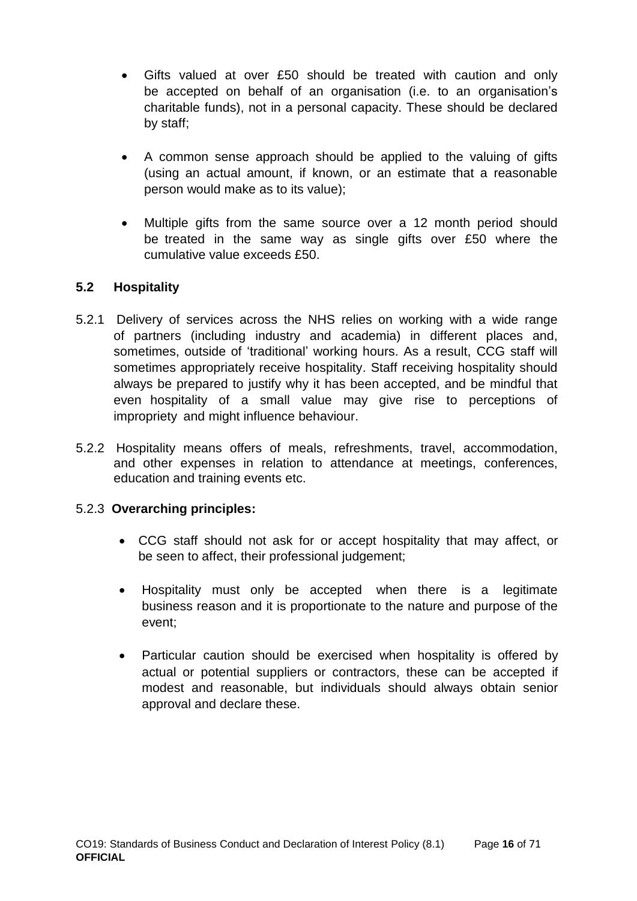- Gifts valued at over £50 should be treated with caution and only be accepted on behalf of an organisation (i.e. to an organisation's charitable funds), not in a personal capacity. These should be declared by staff;
- A common sense approach should be applied to the valuing of gifts (using an actual amount, if known, or an estimate that a reasonable person would make as to its value);
- Multiple gifts from the same source over a 12 month period should be treated in the same way as single gifts over £50 where the cumulative value exceeds £50.

# **5.2 Hospitality**

- 5.2.1Delivery of services across the NHS relies on working with a wide range of partners (including industry and academia) in different places and, sometimes, outside of 'traditional' working hours. As a result, CCG staff will sometimes appropriately receive hospitality. Staff receiving hospitality should always be prepared to justify why it has been accepted, and be mindful that even hospitality of a small value may give rise to perceptions of impropriety and might influence behaviour.
- 5.2.2 Hospitality means offers of meals, refreshments, travel, accommodation, and other expenses in relation to attendance at meetings, conferences, education and training events etc.

# 5.2.3 **Overarching principles:**

- CCG staff should not ask for or accept hospitality that may affect, or be seen to affect, their professional judgement;
- Hospitality must only be accepted when there is a legitimate business reason and it is proportionate to the nature and purpose of the event;
- Particular caution should be exercised when hospitality is offered by actual or potential suppliers or contractors, these can be accepted if modest and reasonable, but individuals should always obtain senior approval and declare these.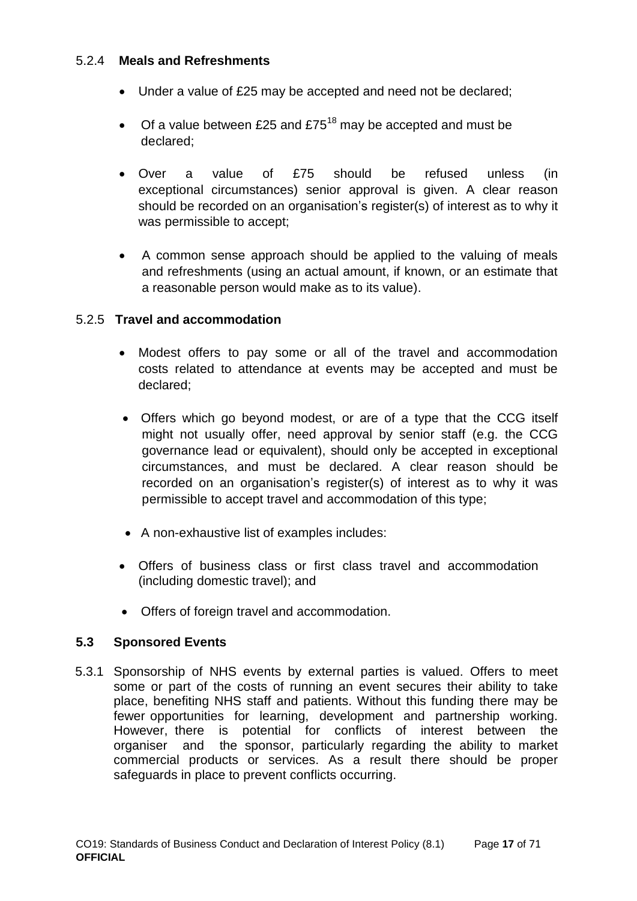## 5.2.4 **Meals and Refreshments**

- Under a value of £25 may be accepted and need not be declared;
- Of a value between £25 and £75<sup>18</sup> may be accepted and must be declared;
- Over a value of £75 should be refused unless (in exceptional circumstances) senior approval is given. A clear reason should be recorded on an organisation's register(s) of interest as to why it was permissible to accept;
- A common sense approach should be applied to the valuing of meals and refreshments (using an actual amount, if known, or an estimate that a reasonable person would make as to its value).

## 5.2.5 **Travel and accommodation**

- Modest offers to pay some or all of the travel and accommodation costs related to attendance at events may be accepted and must be declared;
- Offers which go beyond modest, or are of a type that the CCG itself might not usually offer, need approval by senior staff (e.g. the CCG governance lead or equivalent), should only be accepted in exceptional circumstances, and must be declared. A clear reason should be recorded on an organisation's register(s) of interest as to why it was permissible to accept travel and accommodation of this type;
- A non-exhaustive list of examples includes:
- Offers of business class or first class travel and accommodation (including domestic travel); and
- Offers of foreign travel and accommodation.

### **5.3 Sponsored Events**

5.3.1 Sponsorship of NHS events by external parties is valued. Offers to meet some or part of the costs of running an event secures their ability to take place, benefiting NHS staff and patients. Without this funding there may be fewer opportunities for learning, development and partnership working. However, there is potential for conflicts of interest between the organiser and the sponsor, particularly regarding the ability to market commercial products or services. As a result there should be proper safeguards in place to prevent conflicts occurring.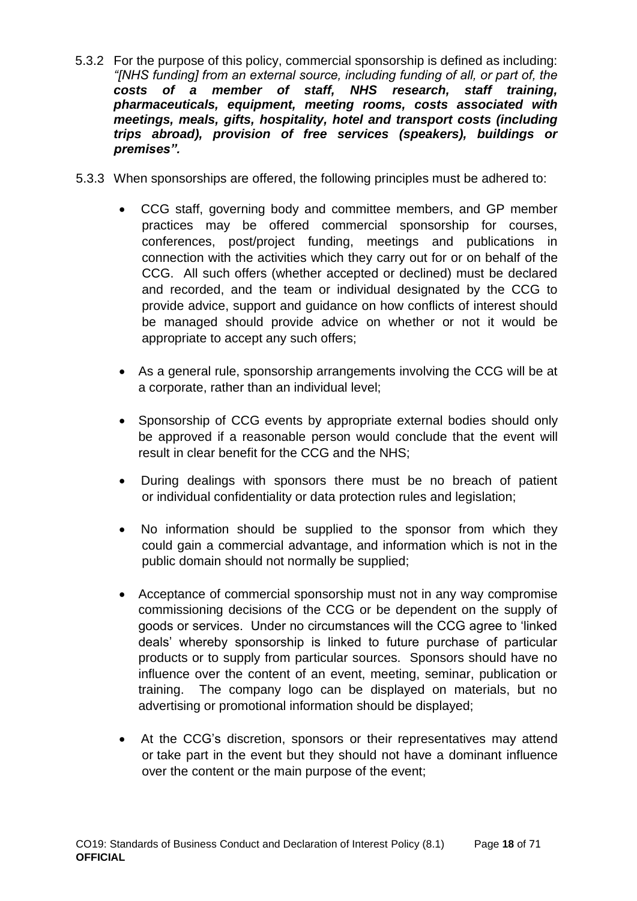- 5.3.2 For the purpose of this policy, commercial sponsorship is defined as including: *"[NHS funding] from an external source, including funding of all, or part of, the costs of a member of staff, NHS research, staff training, pharmaceuticals, equipment, meeting rooms, costs associated with meetings, meals, gifts, hospitality, hotel and transport costs (including trips abroad), provision of free services (speakers), buildings or premises".*
- 5.3.3 When sponsorships are offered, the following principles must be adhered to:
	- CCG staff, governing body and committee members, and GP member practices may be offered commercial sponsorship for courses, conferences, post/project funding, meetings and publications in connection with the activities which they carry out for or on behalf of the CCG. All such offers (whether accepted or declined) must be declared and recorded, and the team or individual designated by the CCG to provide advice, support and guidance on how conflicts of interest should be managed should provide advice on whether or not it would be appropriate to accept any such offers;
	- As a general rule, sponsorship arrangements involving the CCG will be at a corporate, rather than an individual level;
	- Sponsorship of CCG events by appropriate external bodies should only be approved if a reasonable person would conclude that the event will result in clear benefit for the CCG and the NHS;
	- During dealings with sponsors there must be no breach of patient or individual confidentiality or data protection rules and legislation;
	- No information should be supplied to the sponsor from which they could gain a commercial advantage, and information which is not in the public domain should not normally be supplied;
	- Acceptance of commercial sponsorship must not in any way compromise commissioning decisions of the CCG or be dependent on the supply of goods or services. Under no circumstances will the CCG agree to 'linked deals' whereby sponsorship is linked to future purchase of particular products or to supply from particular sources. Sponsors should have no influence over the content of an event, meeting, seminar, publication or training. The company logo can be displayed on materials, but no advertising or promotional information should be displayed;
	- At the CCG's discretion, sponsors or their representatives may attend or take part in the event but they should not have a dominant influence over the content or the main purpose of the event;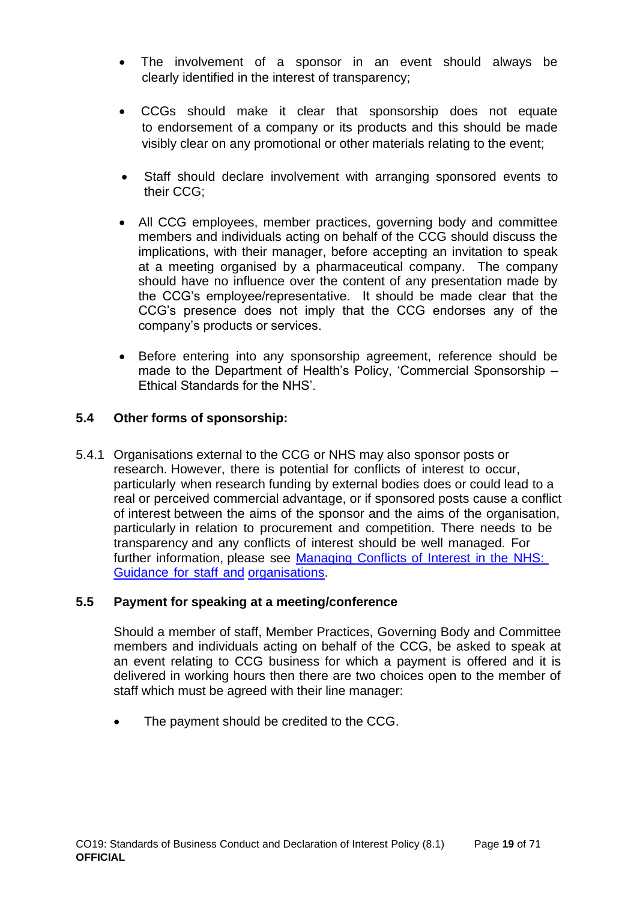- The involvement of a sponsor in an event should always be clearly identified in the interest of transparency;
- CCGs should make it clear that sponsorship does not equate to endorsement of a company or its products and this should be made visibly clear on any promotional or other materials relating to the event;
- Staff should declare involvement with arranging sponsored events to their CCG;
- All CCG employees, member practices, governing body and committee members and individuals acting on behalf of the CCG should discuss the implications, with their manager, before accepting an invitation to speak at a meeting organised by a pharmaceutical company. The company should have no influence over the content of any presentation made by the CCG's employee/representative. It should be made clear that the CCG's presence does not imply that the CCG endorses any of the company's products or services.
- Before entering into any sponsorship agreement, reference should be made to the Department of Health's Policy, 'Commercial Sponsorship – Ethical Standards for the NHS'.

# **5.4 Other forms of sponsorship:**

5.4.1Organisations external to the CCG or NHS may also sponsor posts or research. However, there is potential for conflicts of interest to occur, particularly when research funding by external bodies does or could lead to a real or perceived commercial advantage, or if sponsored posts cause a conflict of interest between the aims of the sponsor and the aims of the organisation, particularly in relation to procurement and competition. There needs to be transparency and any conflicts of interest should be well managed. For further information, please see [Managing](https://www.england.nhs.uk/ourwork/coi/) Conflicts of Interest in the NHS: [Guidance](https://www.england.nhs.uk/ourwork/coi/) for staff and [organisations.](https://www.england.nhs.uk/ourwork/coi/)

### **5.5 Payment for speaking at a meeting/conference**

Should a member of staff, Member Practices, Governing Body and Committee members and individuals acting on behalf of the CCG, be asked to speak at an event relating to CCG business for which a payment is offered and it is delivered in working hours then there are two choices open to the member of staff which must be agreed with their line manager:

• The payment should be credited to the CCG.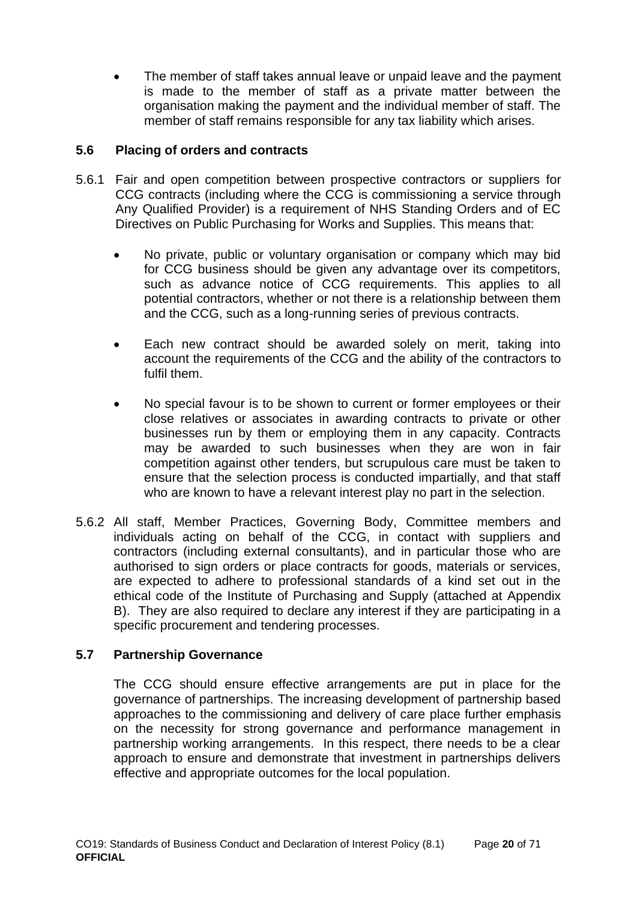The member of staff takes annual leave or unpaid leave and the payment is made to the member of staff as a private matter between the organisation making the payment and the individual member of staff. The member of staff remains responsible for any tax liability which arises.

## **5.6 Placing of orders and contracts**

- 5.6.1 Fair and open competition between prospective contractors or suppliers for CCG contracts (including where the CCG is commissioning a service through Any Qualified Provider) is a requirement of NHS Standing Orders and of EC Directives on Public Purchasing for Works and Supplies. This means that:
	- No private, public or voluntary organisation or company which may bid for CCG business should be given any advantage over its competitors, such as advance notice of CCG requirements. This applies to all potential contractors, whether or not there is a relationship between them and the CCG, such as a long-running series of previous contracts.
	- Each new contract should be awarded solely on merit, taking into account the requirements of the CCG and the ability of the contractors to fulfil them.
	- No special favour is to be shown to current or former employees or their close relatives or associates in awarding contracts to private or other businesses run by them or employing them in any capacity. Contracts may be awarded to such businesses when they are won in fair competition against other tenders, but scrupulous care must be taken to ensure that the selection process is conducted impartially, and that staff who are known to have a relevant interest play no part in the selection.
- 5.6.2 All staff, Member Practices, Governing Body, Committee members and individuals acting on behalf of the CCG, in contact with suppliers and contractors (including external consultants), and in particular those who are authorised to sign orders or place contracts for goods, materials or services, are expected to adhere to professional standards of a kind set out in the ethical code of the Institute of Purchasing and Supply (attached at Appendix B). They are also required to declare any interest if they are participating in a specific procurement and tendering processes.

# **5.7 Partnership Governance**

The CCG should ensure effective arrangements are put in place for the governance of partnerships. The increasing development of partnership based approaches to the commissioning and delivery of care place further emphasis on the necessity for strong governance and performance management in partnership working arrangements. In this respect, there needs to be a clear approach to ensure and demonstrate that investment in partnerships delivers effective and appropriate outcomes for the local population.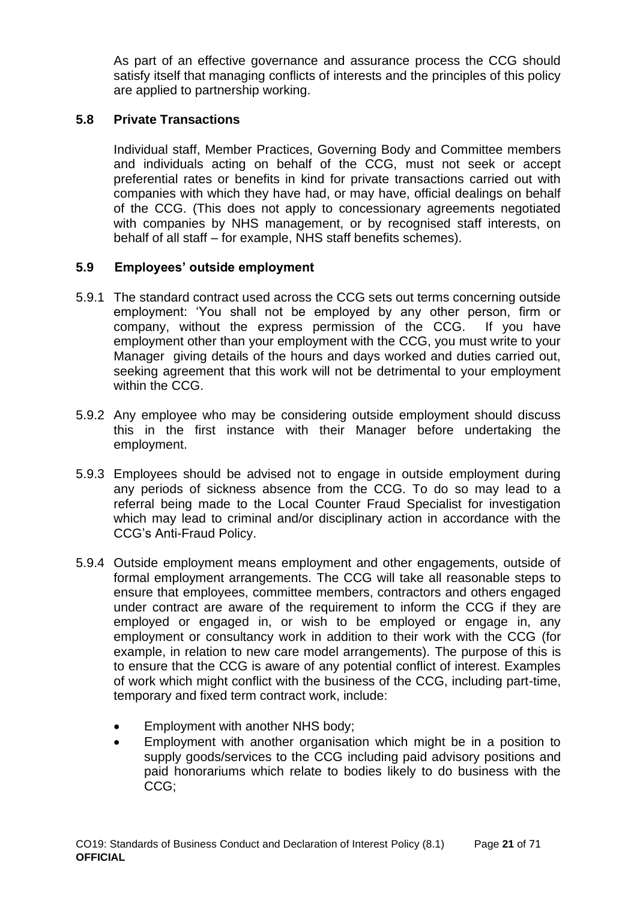As part of an effective governance and assurance process the CCG should satisfy itself that managing conflicts of interests and the principles of this policy are applied to partnership working.

## **5.8 Private Transactions**

Individual staff, Member Practices, Governing Body and Committee members and individuals acting on behalf of the CCG, must not seek or accept preferential rates or benefits in kind for private transactions carried out with companies with which they have had, or may have, official dealings on behalf of the CCG. (This does not apply to concessionary agreements negotiated with companies by NHS management, or by recognised staff interests, on behalf of all staff – for example, NHS staff benefits schemes).

## **5.9 Employees' outside employment**

- 5.9.1 The standard contract used across the CCG sets out terms concerning outside employment: 'You shall not be employed by any other person, firm or company, without the express permission of the CCG. If you have employment other than your employment with the CCG, you must write to your Manager giving details of the hours and days worked and duties carried out, seeking agreement that this work will not be detrimental to your employment within the CCG.
- 5.9.2 Any employee who may be considering outside employment should discuss this in the first instance with their Manager before undertaking the employment.
- 5.9.3 Employees should be advised not to engage in outside employment during any periods of sickness absence from the CCG. To do so may lead to a referral being made to the Local Counter Fraud Specialist for investigation which may lead to criminal and/or disciplinary action in accordance with the CCG's Anti-Fraud Policy.
- 5.9.4 Outside employment means employment and other engagements, outside of formal employment arrangements. The CCG will take all reasonable steps to ensure that employees, committee members, contractors and others engaged under contract are aware of the requirement to inform the CCG if they are employed or engaged in, or wish to be employed or engage in, any employment or consultancy work in addition to their work with the CCG (for example, in relation to new care model arrangements). The purpose of this is to ensure that the CCG is aware of any potential conflict of interest. Examples of work which might conflict with the business of the CCG, including part-time, temporary and fixed term contract work, include:
	- Employment with another NHS body;
	- Employment with another organisation which might be in a position to supply goods/services to the CCG including paid advisory positions and paid honorariums which relate to bodies likely to do business with the CCG;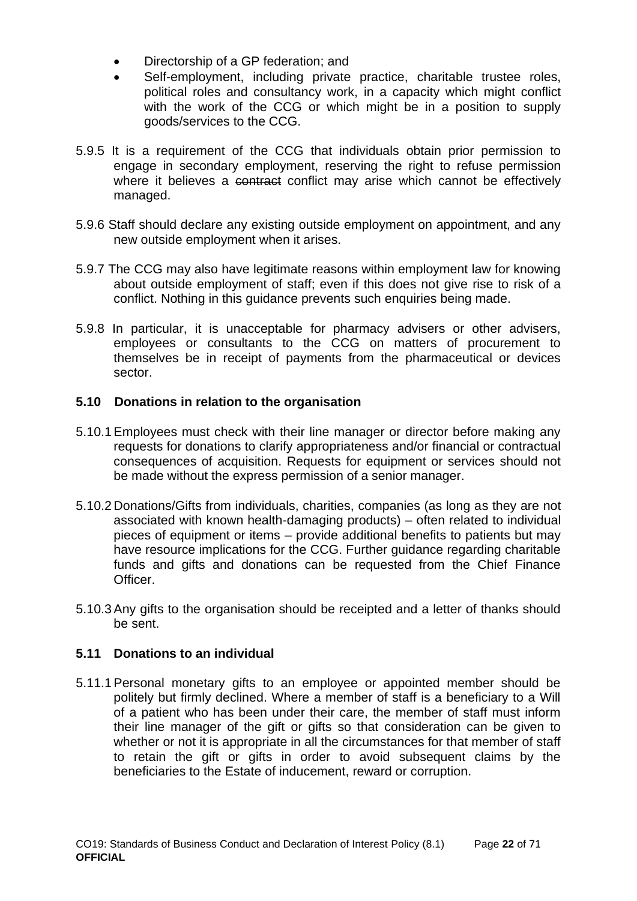- Directorship of a GP federation; and
- Self-employment, including private practice, charitable trustee roles, political roles and consultancy work, in a capacity which might conflict with the work of the CCG or which might be in a position to supply goods/services to the CCG.
- 5.9.5 It is a requirement of the CCG that individuals obtain prior permission to engage in secondary employment, reserving the right to refuse permission where it believes a contract conflict may arise which cannot be effectively managed.
- 5.9.6 Staff should declare any existing outside employment on appointment, and any new outside employment when it arises.
- 5.9.7 The CCG may also have legitimate reasons within employment law for knowing about outside employment of staff; even if this does not give rise to risk of a conflict. Nothing in this guidance prevents such enquiries being made.
- 5.9.8 In particular, it is unacceptable for pharmacy advisers or other advisers, employees or consultants to the CCG on matters of procurement to themselves be in receipt of payments from the pharmaceutical or devices sector.

## **5.10 Donations in relation to the organisation**

- 5.10.1Employees must check with their line manager or director before making any requests for donations to clarify appropriateness and/or financial or contractual consequences of acquisition. Requests for equipment or services should not be made without the express permission of a senior manager.
- 5.10.2 Donations/Gifts from individuals, charities, companies (as long as they are not associated with known health-damaging products) – often related to individual pieces of equipment or items – provide additional benefits to patients but may have resource implications for the CCG. Further guidance regarding charitable funds and gifts and donations can be requested from the Chief Finance Officer.
- 5.10.3Any gifts to the organisation should be receipted and a letter of thanks should be sent.

### **5.11 Donations to an individual**

5.11.1Personal monetary gifts to an employee or appointed member should be politely but firmly declined. Where a member of staff is a beneficiary to a Will of a patient who has been under their care, the member of staff must inform their line manager of the gift or gifts so that consideration can be given to whether or not it is appropriate in all the circumstances for that member of staff to retain the gift or gifts in order to avoid subsequent claims by the beneficiaries to the Estate of inducement, reward or corruption.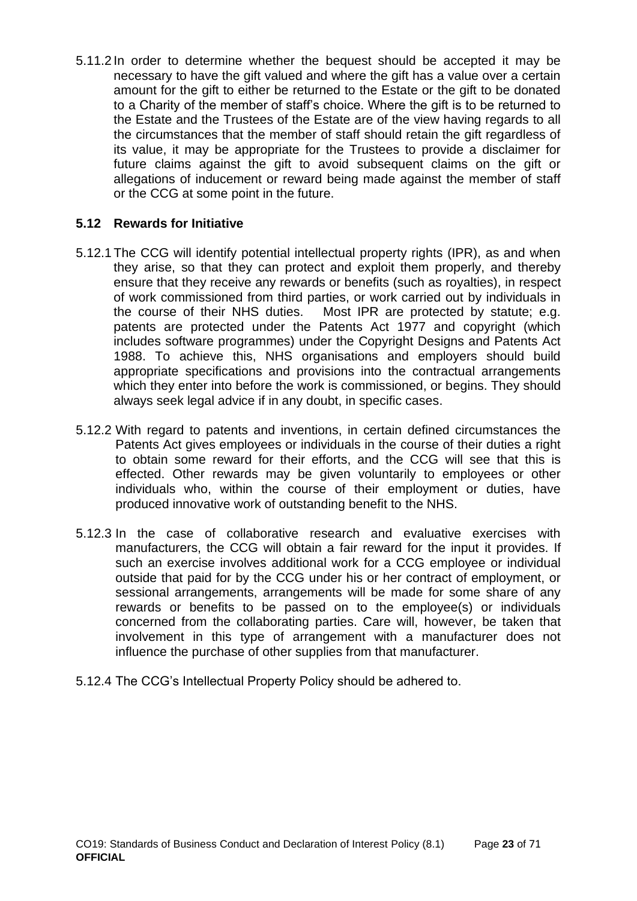5.11.2 In order to determine whether the bequest should be accepted it may be necessary to have the gift valued and where the gift has a value over a certain amount for the gift to either be returned to the Estate or the gift to be donated to a Charity of the member of staff's choice. Where the gift is to be returned to the Estate and the Trustees of the Estate are of the view having regards to all the circumstances that the member of staff should retain the gift regardless of its value, it may be appropriate for the Trustees to provide a disclaimer for future claims against the gift to avoid subsequent claims on the gift or allegations of inducement or reward being made against the member of staff or the CCG at some point in the future.

### **5.12 Rewards for Initiative**

- 5.12.1 The CCG will identify potential intellectual property rights (IPR), as and when they arise, so that they can protect and exploit them properly, and thereby ensure that they receive any rewards or benefits (such as royalties), in respect of work commissioned from third parties, or work carried out by individuals in the course of their NHS duties. Most IPR are protected by statute; e.g. patents are protected under the Patents Act 1977 and copyright (which includes software programmes) under the Copyright Designs and Patents Act 1988. To achieve this, NHS organisations and employers should build appropriate specifications and provisions into the contractual arrangements which they enter into before the work is commissioned, or begins. They should always seek legal advice if in any doubt, in specific cases.
- 5.12.2 With regard to patents and inventions, in certain defined circumstances the Patents Act gives employees or individuals in the course of their duties a right to obtain some reward for their efforts, and the CCG will see that this is effected. Other rewards may be given voluntarily to employees or other individuals who, within the course of their employment or duties, have produced innovative work of outstanding benefit to the NHS.
- 5.12.3 In the case of collaborative research and evaluative exercises with manufacturers, the CCG will obtain a fair reward for the input it provides. If such an exercise involves additional work for a CCG employee or individual outside that paid for by the CCG under his or her contract of employment, or sessional arrangements, arrangements will be made for some share of any rewards or benefits to be passed on to the employee(s) or individuals concerned from the collaborating parties. Care will, however, be taken that involvement in this type of arrangement with a manufacturer does not influence the purchase of other supplies from that manufacturer.
- <span id="page-22-0"></span>5.12.4 The CCG's Intellectual Property Policy should be adhered to.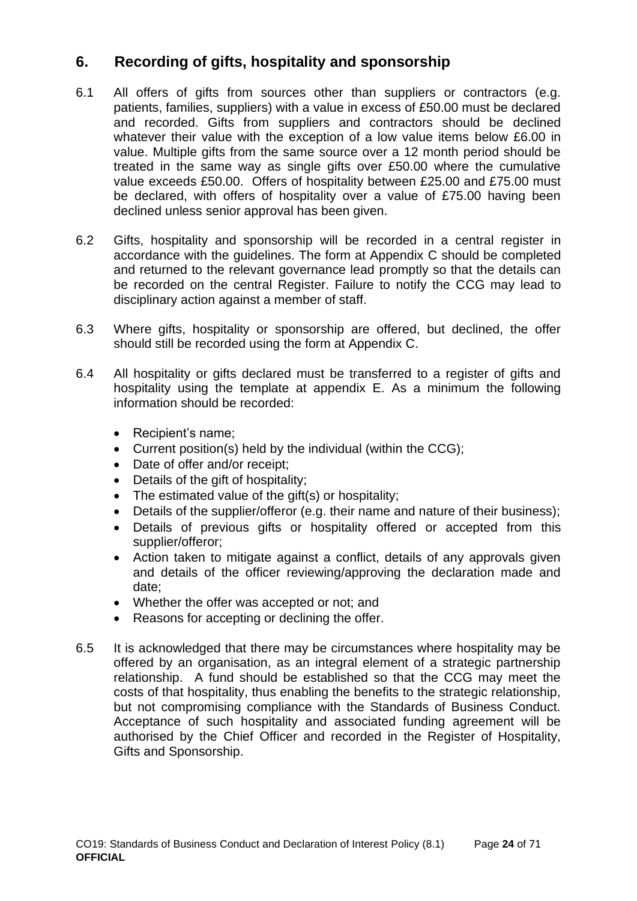# **6. Recording of gifts, hospitality and sponsorship**

- 6.1 All offers of gifts from sources other than suppliers or contractors (e.g. patients, families, suppliers) with a value in excess of £50.00 must be declared and recorded. Gifts from suppliers and contractors should be declined whatever their value with the exception of a low value items below £6.00 in value. Multiple gifts from the same source over a 12 month period should be treated in the same way as single gifts over £50.00 where the cumulative value exceeds £50.00. Offers of hospitality between £25.00 and £75.00 must be declared, with offers of hospitality over a value of £75.00 having been declined unless senior approval has been given.
- 6.2 Gifts, hospitality and sponsorship will be recorded in a central register in accordance with the guidelines. The form at Appendix C should be completed and returned to the relevant governance lead promptly so that the details can be recorded on the central Register. Failure to notify the CCG may lead to disciplinary action against a member of staff.
- 6.3 Where gifts, hospitality or sponsorship are offered, but declined, the offer should still be recorded using the form at Appendix C.
- 6.4 All hospitality or gifts declared must be transferred to a register of gifts and hospitality using the template at appendix E. As a minimum the following information should be recorded:
	- Recipient's name;
	- Current position(s) held by the individual (within the CCG);
	- Date of offer and/or receipt:
	- Details of the gift of hospitality;
	- The estimated value of the gift(s) or hospitality;
	- Details of the supplier/offeror (e.g. their name and nature of their business);
	- Details of previous gifts or hospitality offered or accepted from this supplier/offeror;
	- Action taken to mitigate against a conflict, details of any approvals given and details of the officer reviewing/approving the declaration made and date;
	- Whether the offer was accepted or not; and
	- Reasons for accepting or declining the offer.
- 6.5 It is acknowledged that there may be circumstances where hospitality may be offered by an organisation, as an integral element of a strategic partnership relationship. A fund should be established so that the CCG may meet the costs of that hospitality, thus enabling the benefits to the strategic relationship, but not compromising compliance with the Standards of Business Conduct. Acceptance of such hospitality and associated funding agreement will be authorised by the Chief Officer and recorded in the Register of Hospitality, Gifts and Sponsorship.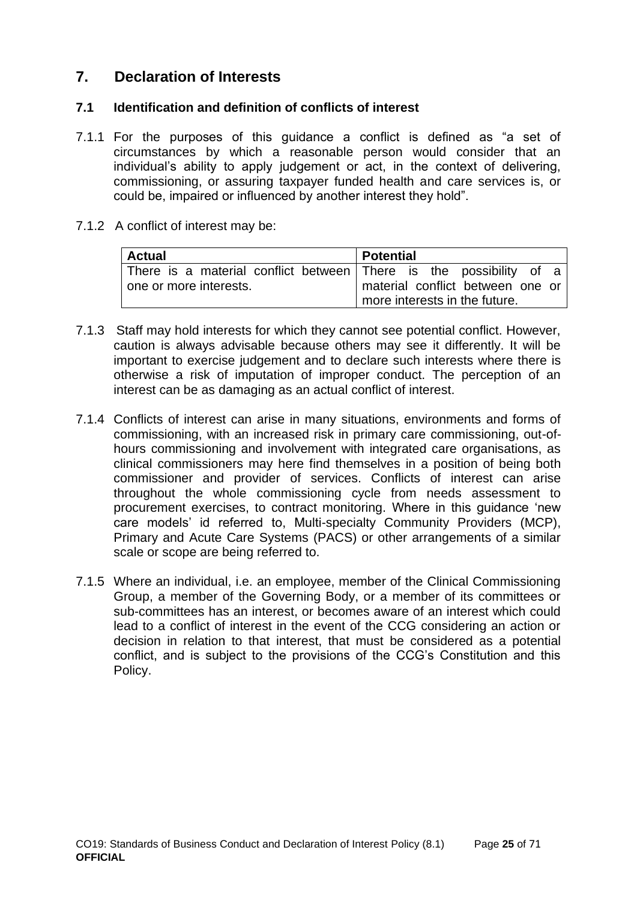# <span id="page-24-0"></span>**7. Declaration of Interests**

## **7.1 Identification and definition of conflicts of interest**

- 7.1.1 For the purposes of this guidance a conflict is defined as "a set of circumstances by which a reasonable person would consider that an individual's ability to apply judgement or act, in the context of delivering, commissioning, or assuring taxpayer funded health and care services is, or could be, impaired or influenced by another interest they hold".
- 7.1.2 A conflict of interest may be:

| <b>Actual</b>                                                      | <b>Potential</b>                 |  |  |  |
|--------------------------------------------------------------------|----------------------------------|--|--|--|
| There is a material conflict between There is the possibility of a |                                  |  |  |  |
| one or more interests.                                             | material conflict between one or |  |  |  |
|                                                                    | more interests in the future.    |  |  |  |

- 7.1.3 Staff may hold interests for which they cannot see potential conflict. However, caution is always advisable because others may see it differently. It will be important to exercise judgement and to declare such interests where there is otherwise a risk of imputation of improper conduct. The perception of an interest can be as damaging as an actual conflict of interest.
- 7.1.4 Conflicts of interest can arise in many situations, environments and forms of commissioning, with an increased risk in primary care commissioning, out-ofhours commissioning and involvement with integrated care organisations, as clinical commissioners may here find themselves in a position of being both commissioner and provider of services. Conflicts of interest can arise throughout the whole commissioning cycle from needs assessment to procurement exercises, to contract monitoring. Where in this guidance 'new care models' id referred to, Multi-specialty Community Providers (MCP), Primary and Acute Care Systems (PACS) or other arrangements of a similar scale or scope are being referred to.
- 7.1.5 Where an individual, i.e. an employee, member of the Clinical Commissioning Group, a member of the Governing Body, or a member of its committees or sub-committees has an interest, or becomes aware of an interest which could lead to a conflict of interest in the event of the CCG considering an action or decision in relation to that interest, that must be considered as a potential conflict, and is subject to the provisions of the CCG's Constitution and this Policy.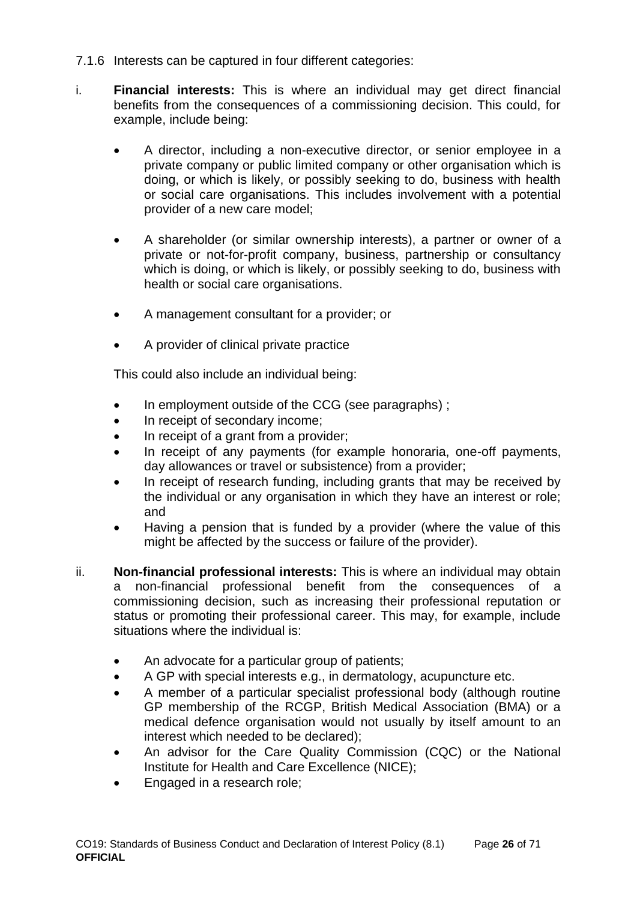- 7.1.6 Interests can be captured in four different categories:
- i. **Financial interests:** This is where an individual may get direct financial benefits from the consequences of a commissioning decision. This could, for example, include being:
	- A director, including a non-executive director, or senior employee in a private company or public limited company or other organisation which is doing, or which is likely, or possibly seeking to do, business with health or social care organisations. This includes involvement with a potential provider of a new care model;
	- A shareholder (or similar ownership interests), a partner or owner of a private or not-for-profit company, business, partnership or consultancy which is doing, or which is likely, or possibly seeking to do, business with health or social care organisations.
	- A management consultant for a provider; or
	- A provider of clinical private practice

This could also include an individual being:

- In employment outside of the CCG (see paragraphs);
- In receipt of secondary income;
- In receipt of a grant from a provider;
- In receipt of any payments (for example honoraria, one-off payments, day allowances or travel or subsistence) from a provider;
- In receipt of research funding, including grants that may be received by the individual or any organisation in which they have an interest or role; and
- Having a pension that is funded by a provider (where the value of this might be affected by the success or failure of the provider).
- ii. **Non-financial professional interests:** This is where an individual may obtain a non-financial professional benefit from the consequences of a commissioning decision, such as increasing their professional reputation or status or promoting their professional career. This may, for example, include situations where the individual is:
	- An advocate for a particular group of patients;
	- A GP with special interests e.g., in dermatology, acupuncture etc.
	- A member of a particular specialist professional body (although routine GP membership of the RCGP, British Medical Association (BMA) or a medical defence organisation would not usually by itself amount to an interest which needed to be declared);
	- An advisor for the Care Quality Commission (CQC) or the National Institute for Health and Care Excellence (NICE);
	- Engaged in a research role;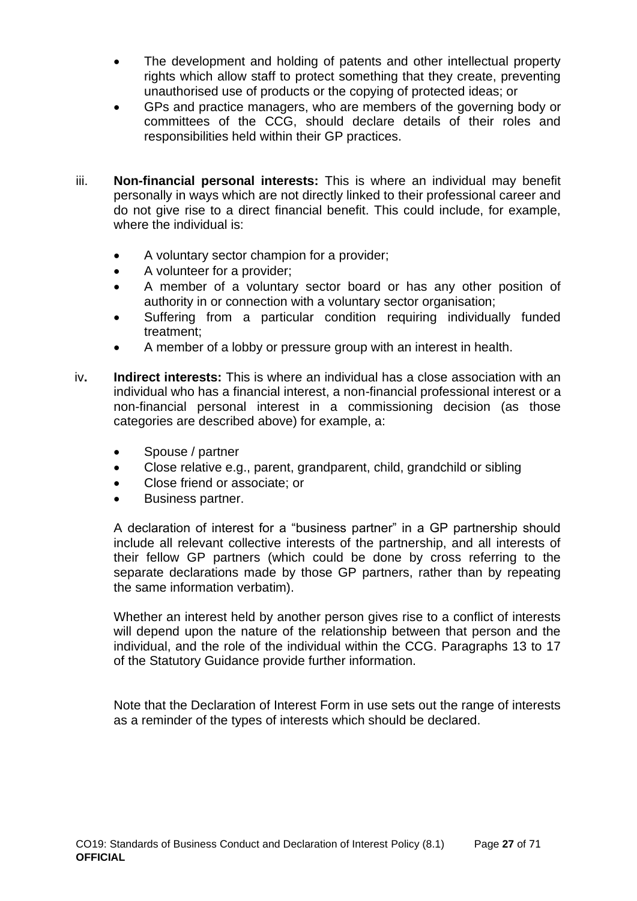- The development and holding of patents and other intellectual property rights which allow staff to protect something that they create, preventing unauthorised use of products or the copying of protected ideas; or
- GPs and practice managers, who are members of the governing body or committees of the CCG, should declare details of their roles and responsibilities held within their GP practices.
- iii. **Non-financial personal interests:** This is where an individual may benefit personally in ways which are not directly linked to their professional career and do not give rise to a direct financial benefit. This could include, for example, where the individual is:
	- A voluntary sector champion for a provider;
	- A volunteer for a provider;
	- A member of a voluntary sector board or has any other position of authority in or connection with a voluntary sector organisation;
	- Suffering from a particular condition requiring individually funded treatment;
	- A member of a lobby or pressure group with an interest in health.
- iv**. Indirect interests:** This is where an individual has a close association with an individual who has a financial interest, a non-financial professional interest or a non-financial personal interest in a commissioning decision (as those categories are described above) for example, a:
	- Spouse / partner
	- Close relative e.g., parent, grandparent, child, grandchild or sibling
	- Close friend or associate; or
	- Business partner.

A declaration of interest for a "business partner" in a GP partnership should include all relevant collective interests of the partnership, and all interests of their fellow GP partners (which could be done by cross referring to the separate declarations made by those GP partners, rather than by repeating the same information verbatim).

Whether an interest held by another person gives rise to a conflict of interests will depend upon the nature of the relationship between that person and the individual, and the role of the individual within the CCG. Paragraphs 13 to 17 of the Statutory Guidance provide further information.

Note that the Declaration of Interest Form in use sets out the range of interests as a reminder of the types of interests which should be declared.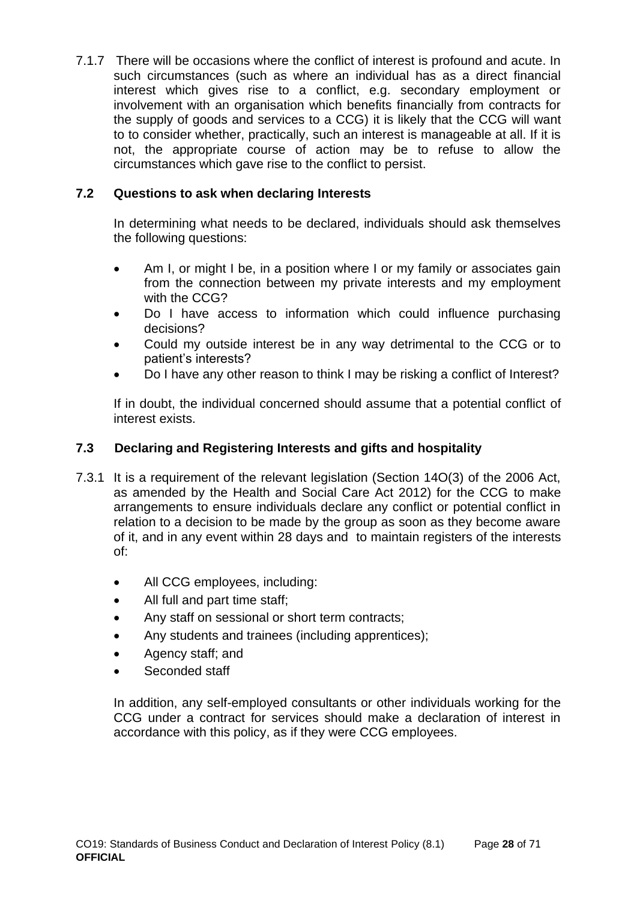7.1.7 There will be occasions where the conflict of interest is profound and acute. In such circumstances (such as where an individual has as a direct financial interest which gives rise to a conflict, e.g. secondary employment or involvement with an organisation which benefits financially from contracts for the supply of goods and services to a CCG) it is likely that the CCG will want to to consider whether, practically, such an interest is manageable at all. If it is not, the appropriate course of action may be to refuse to allow the circumstances which gave rise to the conflict to persist.

## **7.2 Questions to ask when declaring Interests**

In determining what needs to be declared, individuals should ask themselves the following questions:

- Am I, or might I be, in a position where I or my family or associates gain from the connection between my private interests and my employment with the CCG?
- Do I have access to information which could influence purchasing decisions?
- Could my outside interest be in any way detrimental to the CCG or to patient's interests?
- Do I have any other reason to think I may be risking a conflict of Interest?

If in doubt, the individual concerned should assume that a potential conflict of interest exists.

## **7.3 Declaring and Registering Interests and gifts and hospitality**

- 7.3.1 It is a requirement of the relevant legislation (Section 14O(3) of the 2006 Act, as amended by the Health and Social Care Act 2012) for the CCG to make arrangements to ensure individuals declare any conflict or potential conflict in relation to a decision to be made by the group as soon as they become aware of it, and in any event within 28 days and to maintain registers of the interests of:
	- All CCG employees, including:
	- All full and part time staff;
	- Any staff on sessional or short term contracts;
	- Any students and trainees (including apprentices);
	- Agency staff; and
	- Seconded staff

In addition, any self-employed consultants or other individuals working for the CCG under a contract for services should make a declaration of interest in accordance with this policy, as if they were CCG employees.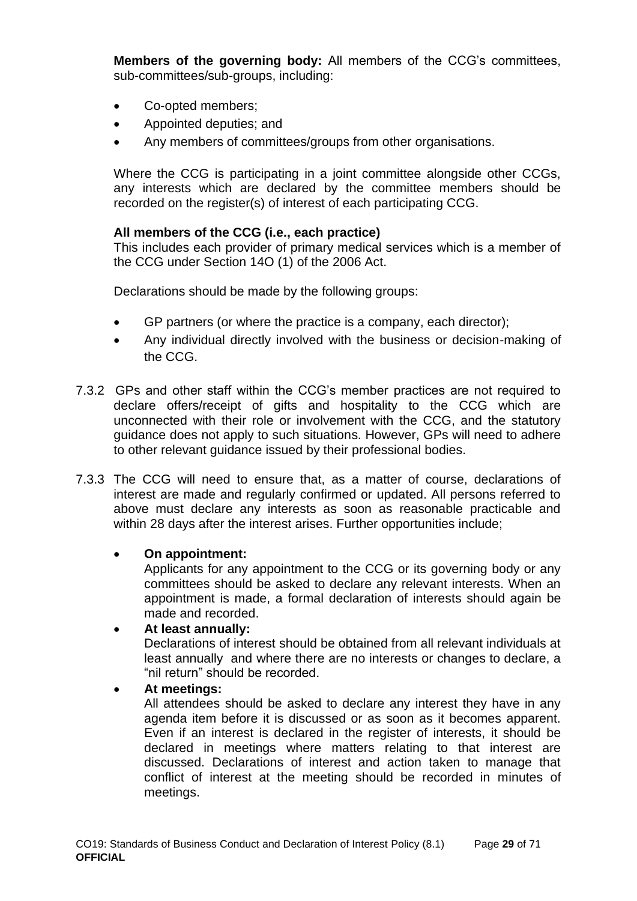**Members of the governing body:** All members of the CCG's committees, sub-committees/sub-groups, including:

- Co-opted members;
- Appointed deputies; and
- Any members of committees/groups from other organisations.

Where the CCG is participating in a joint committee alongside other CCGs, any interests which are declared by the committee members should be recorded on the register(s) of interest of each participating CCG.

### **All members of the CCG (i.e., each practice)**

This includes each provider of primary medical services which is a member of the CCG under Section 14O (1) of the 2006 Act.

Declarations should be made by the following groups:

- GP partners (or where the practice is a company, each director);
- Any individual directly involved with the business or decision-making of the CCG.
- 7.3.2 GPs and other staff within the CCG's member practices are not required to declare offers/receipt of gifts and hospitality to the CCG which are unconnected with their role or involvement with the CCG, and the statutory guidance does not apply to such situations. However, GPs will need to adhere to other relevant guidance issued by their professional bodies.
- 7.3.3 The CCG will need to ensure that, as a matter of course, declarations of interest are made and regularly confirmed or updated. All persons referred to above must declare any interests as soon as reasonable practicable and within 28 days after the interest arises. Further opportunities include;

### • **On appointment:**

Applicants for any appointment to the CCG or its governing body or any committees should be asked to declare any relevant interests. When an appointment is made, a formal declaration of interests should again be made and recorded.

#### • **At least annually:**

Declarations of interest should be obtained from all relevant individuals at least annually and where there are no interests or changes to declare, a "nil return" should be recorded.

#### • **At meetings:**

All attendees should be asked to declare any interest they have in any agenda item before it is discussed or as soon as it becomes apparent. Even if an interest is declared in the register of interests, it should be declared in meetings where matters relating to that interest are discussed. Declarations of interest and action taken to manage that conflict of interest at the meeting should be recorded in minutes of meetings.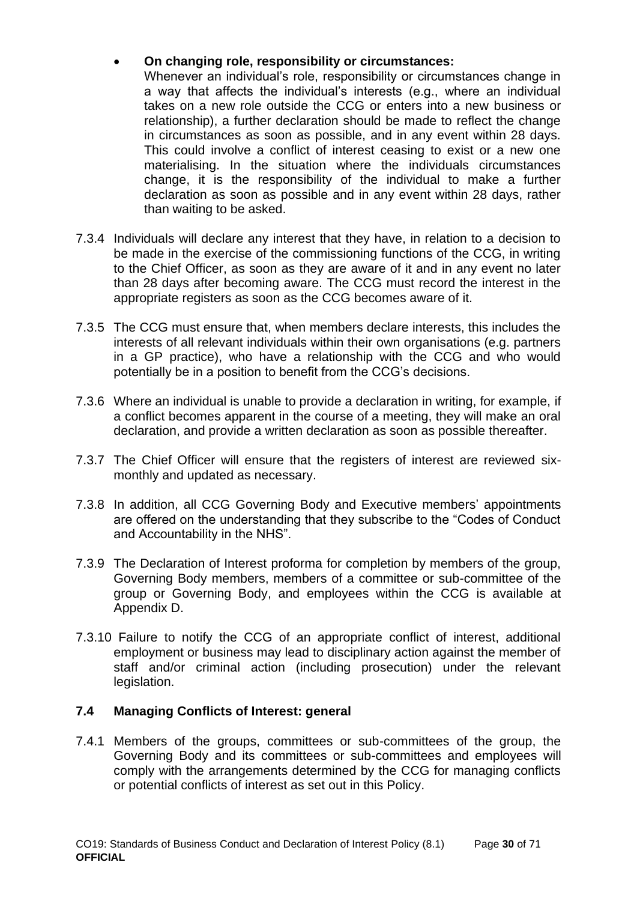## • **On changing role, responsibility or circumstances:**

Whenever an individual's role, responsibility or circumstances change in a way that affects the individual's interests (e.g., where an individual takes on a new role outside the CCG or enters into a new business or relationship), a further declaration should be made to reflect the change in circumstances as soon as possible, and in any event within 28 days. This could involve a conflict of interest ceasing to exist or a new one materialising. In the situation where the individuals circumstances change, it is the responsibility of the individual to make a further declaration as soon as possible and in any event within 28 days, rather than waiting to be asked.

- 7.3.4 Individuals will declare any interest that they have, in relation to a decision to be made in the exercise of the commissioning functions of the CCG, in writing to the Chief Officer, as soon as they are aware of it and in any event no later than 28 days after becoming aware. The CCG must record the interest in the appropriate registers as soon as the CCG becomes aware of it.
- 7.3.5 The CCG must ensure that, when members declare interests, this includes the interests of all relevant individuals within their own organisations (e.g. partners in a GP practice), who have a relationship with the CCG and who would potentially be in a position to benefit from the CCG's decisions.
- 7.3.6 Where an individual is unable to provide a declaration in writing, for example, if a conflict becomes apparent in the course of a meeting, they will make an oral declaration, and provide a written declaration as soon as possible thereafter.
- 7.3.7 The Chief Officer will ensure that the registers of interest are reviewed sixmonthly and updated as necessary.
- 7.3.8 In addition, all CCG Governing Body and Executive members' appointments are offered on the understanding that they subscribe to the "Codes of Conduct and Accountability in the NHS".
- 7.3.9 The Declaration of Interest proforma for completion by members of the group, Governing Body members, members of a committee or sub-committee of the group or Governing Body, and employees within the CCG is available at Appendix D.
- 7.3.10 Failure to notify the CCG of an appropriate conflict of interest, additional employment or business may lead to disciplinary action against the member of staff and/or criminal action (including prosecution) under the relevant legislation.

### **7.4 Managing Conflicts of Interest: general**

7.4.1 Members of the groups, committees or sub-committees of the group, the Governing Body and its committees or sub-committees and employees will comply with the arrangements determined by the CCG for managing conflicts or potential conflicts of interest as set out in this Policy.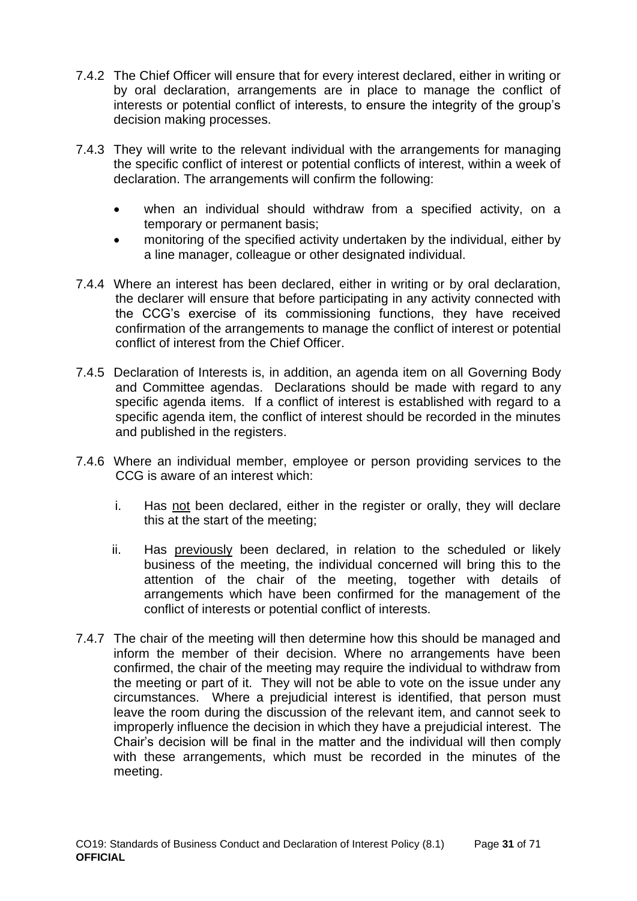- 7.4.2 The Chief Officer will ensure that for every interest declared, either in writing or by oral declaration, arrangements are in place to manage the conflict of interests or potential conflict of interests, to ensure the integrity of the group's decision making processes.
- 7.4.3 They will write to the relevant individual with the arrangements for managing the specific conflict of interest or potential conflicts of interest, within a week of declaration. The arrangements will confirm the following:
	- when an individual should withdraw from a specified activity, on a temporary or permanent basis;
	- monitoring of the specified activity undertaken by the individual, either by a line manager, colleague or other designated individual.
- 7.4.4 Where an interest has been declared, either in writing or by oral declaration, the declarer will ensure that before participating in any activity connected with the CCG's exercise of its commissioning functions, they have received confirmation of the arrangements to manage the conflict of interest or potential conflict of interest from the Chief Officer.
- 7.4.5 Declaration of Interests is, in addition, an agenda item on all Governing Body and Committee agendas. Declarations should be made with regard to any specific agenda items. If a conflict of interest is established with regard to a specific agenda item, the conflict of interest should be recorded in the minutes and published in the registers.
- 7.4.6 Where an individual member, employee or person providing services to the CCG is aware of an interest which:
	- i. Has not been declared, either in the register or orally, they will declare this at the start of the meeting;
	- ii. Has previously been declared, in relation to the scheduled or likely business of the meeting, the individual concerned will bring this to the attention of the chair of the meeting, together with details of arrangements which have been confirmed for the management of the conflict of interests or potential conflict of interests.
- 7.4.7 The chair of the meeting will then determine how this should be managed and inform the member of their decision. Where no arrangements have been confirmed, the chair of the meeting may require the individual to withdraw from the meeting or part of it. They will not be able to vote on the issue under any circumstances. Where a prejudicial interest is identified, that person must leave the room during the discussion of the relevant item, and cannot seek to improperly influence the decision in which they have a prejudicial interest. The Chair's decision will be final in the matter and the individual will then comply with these arrangements, which must be recorded in the minutes of the meeting.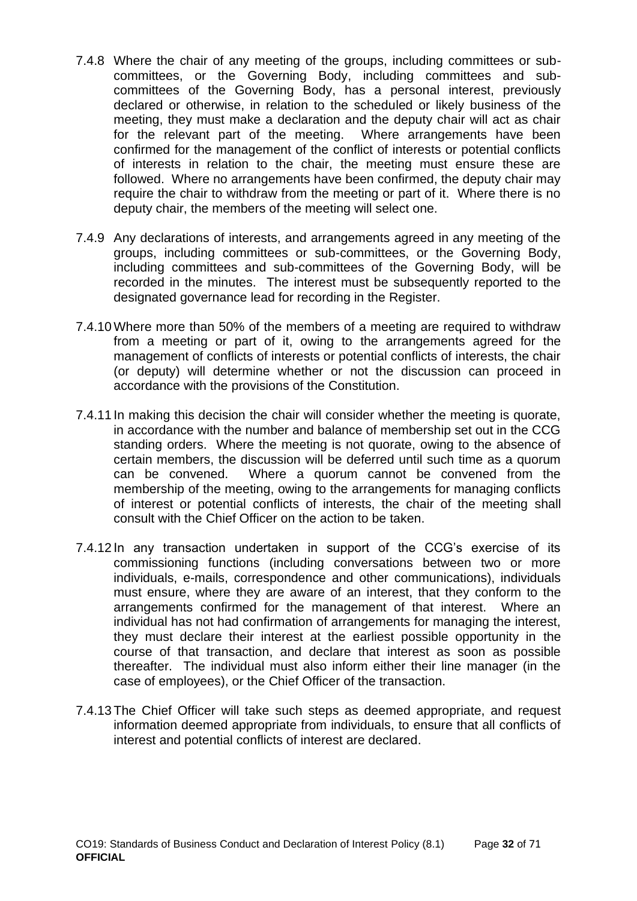- 7.4.8 Where the chair of any meeting of the groups, including committees or subcommittees, or the Governing Body, including committees and subcommittees of the Governing Body, has a personal interest, previously declared or otherwise, in relation to the scheduled or likely business of the meeting, they must make a declaration and the deputy chair will act as chair for the relevant part of the meeting. Where arrangements have been confirmed for the management of the conflict of interests or potential conflicts of interests in relation to the chair, the meeting must ensure these are followed. Where no arrangements have been confirmed, the deputy chair may require the chair to withdraw from the meeting or part of it. Where there is no deputy chair, the members of the meeting will select one.
- 7.4.9 Any declarations of interests, and arrangements agreed in any meeting of the groups, including committees or sub-committees, or the Governing Body, including committees and sub-committees of the Governing Body, will be recorded in the minutes. The interest must be subsequently reported to the designated governance lead for recording in the Register.
- 7.4.10 Where more than 50% of the members of a meeting are required to withdraw from a meeting or part of it, owing to the arrangements agreed for the management of conflicts of interests or potential conflicts of interests, the chair (or deputy) will determine whether or not the discussion can proceed in accordance with the provisions of the Constitution.
- 7.4.11 In making this decision the chair will consider whether the meeting is quorate, in accordance with the number and balance of membership set out in the CCG standing orders. Where the meeting is not quorate, owing to the absence of certain members, the discussion will be deferred until such time as a quorum can be convened. Where a quorum cannot be convened from the membership of the meeting, owing to the arrangements for managing conflicts of interest or potential conflicts of interests, the chair of the meeting shall consult with the Chief Officer on the action to be taken.
- 7.4.12 In any transaction undertaken in support of the CCG's exercise of its commissioning functions (including conversations between two or more individuals, e-mails, correspondence and other communications), individuals must ensure, where they are aware of an interest, that they conform to the arrangements confirmed for the management of that interest. Where an individual has not had confirmation of arrangements for managing the interest, they must declare their interest at the earliest possible opportunity in the course of that transaction, and declare that interest as soon as possible thereafter. The individual must also inform either their line manager (in the case of employees), or the Chief Officer of the transaction.
- 7.4.13 The Chief Officer will take such steps as deemed appropriate, and request information deemed appropriate from individuals, to ensure that all conflicts of interest and potential conflicts of interest are declared.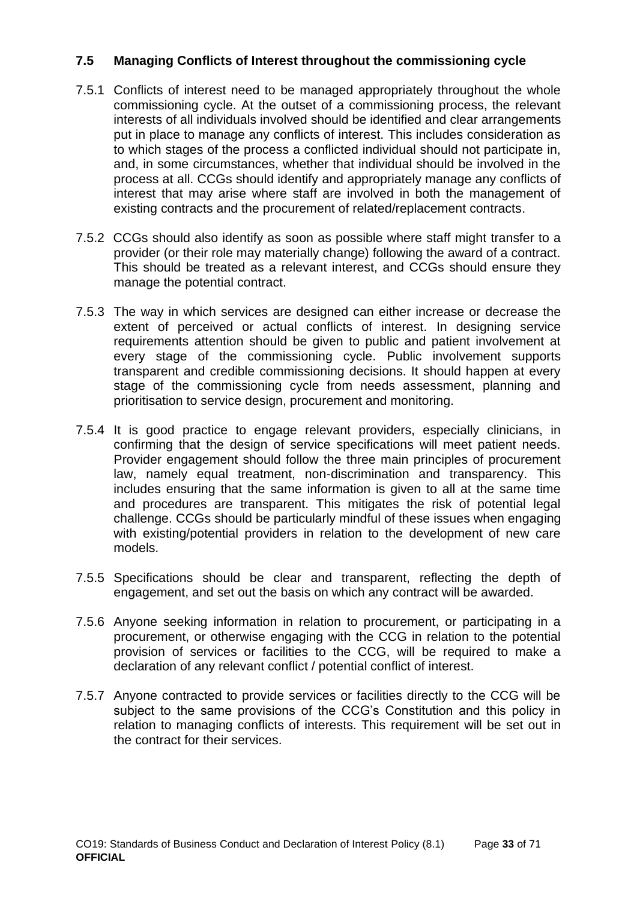## **7.5 Managing Conflicts of Interest throughout the commissioning cycle**

- 7.5.1 Conflicts of interest need to be managed appropriately throughout the whole commissioning cycle. At the outset of a commissioning process, the relevant interests of all individuals involved should be identified and clear arrangements put in place to manage any conflicts of interest. This includes consideration as to which stages of the process a conflicted individual should not participate in, and, in some circumstances, whether that individual should be involved in the process at all. CCGs should identify and appropriately manage any conflicts of interest that may arise where staff are involved in both the management of existing contracts and the procurement of related/replacement contracts.
- 7.5.2 CCGs should also identify as soon as possible where staff might transfer to a provider (or their role may materially change) following the award of a contract. This should be treated as a relevant interest, and CCGs should ensure they manage the potential contract.
- 7.5.3 The way in which services are designed can either increase or decrease the extent of perceived or actual conflicts of interest. In designing service requirements attention should be given to public and patient involvement at every stage of the commissioning cycle. Public involvement supports transparent and credible commissioning decisions. It should happen at every stage of the commissioning cycle from needs assessment, planning and prioritisation to service design, procurement and monitoring.
- 7.5.4 It is good practice to engage relevant providers, especially clinicians, in confirming that the design of service specifications will meet patient needs. Provider engagement should follow the three main principles of procurement law, namely equal treatment, non-discrimination and transparency. This includes ensuring that the same information is given to all at the same time and procedures are transparent. This mitigates the risk of potential legal challenge. CCGs should be particularly mindful of these issues when engaging with existing/potential providers in relation to the development of new care models.
- 7.5.5 Specifications should be clear and transparent, reflecting the depth of engagement, and set out the basis on which any contract will be awarded.
- 7.5.6 Anyone seeking information in relation to procurement, or participating in a procurement, or otherwise engaging with the CCG in relation to the potential provision of services or facilities to the CCG, will be required to make a declaration of any relevant conflict / potential conflict of interest.
- 7.5.7 Anyone contracted to provide services or facilities directly to the CCG will be subject to the same provisions of the CCG's Constitution and this policy in relation to managing conflicts of interests. This requirement will be set out in the contract for their services.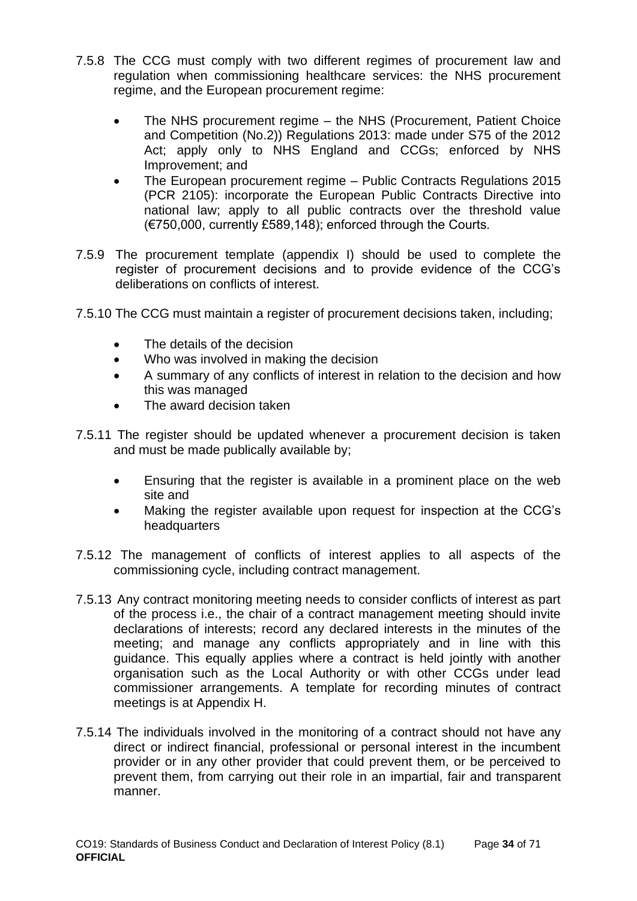- 7.5.8 The CCG must comply with two different regimes of procurement law and regulation when commissioning healthcare services: the NHS procurement regime, and the European procurement regime:
	- The NHS procurement regime the NHS (Procurement, Patient Choice and Competition (No.2)) Regulations 2013: made under S75 of the 2012 Act; apply only to NHS England and CCGs; enforced by NHS Improvement; and
	- The European procurement regime Public Contracts Regulations 2015 (PCR 2105): incorporate the European Public Contracts Directive into national law; apply to all public contracts over the threshold value (€750,000, currently £589,148); enforced through the Courts.
- 7.5.9 The procurement template (appendix I) should be used to complete the register of procurement decisions and to provide evidence of the CCG's deliberations on conflicts of interest.
- 7.5.10 The CCG must maintain a register of procurement decisions taken, including;
	- The details of the decision
	- Who was involved in making the decision
	- A summary of any conflicts of interest in relation to the decision and how this was managed
	- The award decision taken
- 7.5.11 The register should be updated whenever a procurement decision is taken and must be made publically available by;
	- Ensuring that the register is available in a prominent place on the web site and
	- Making the register available upon request for inspection at the CCG's headquarters
- 7.5.12 The management of conflicts of interest applies to all aspects of the commissioning cycle, including contract management.
- 7.5.13 Any contract monitoring meeting needs to consider conflicts of interest as part of the process i.e., the chair of a contract management meeting should invite declarations of interests; record any declared interests in the minutes of the meeting; and manage any conflicts appropriately and in line with this guidance. This equally applies where a contract is held jointly with another organisation such as the Local Authority or with other CCGs under lead commissioner arrangements. A template for recording minutes of contract meetings is at Appendix H.
- 7.5.14 The individuals involved in the monitoring of a contract should not have any direct or indirect financial, professional or personal interest in the incumbent provider or in any other provider that could prevent them, or be perceived to prevent them, from carrying out their role in an impartial, fair and transparent manner.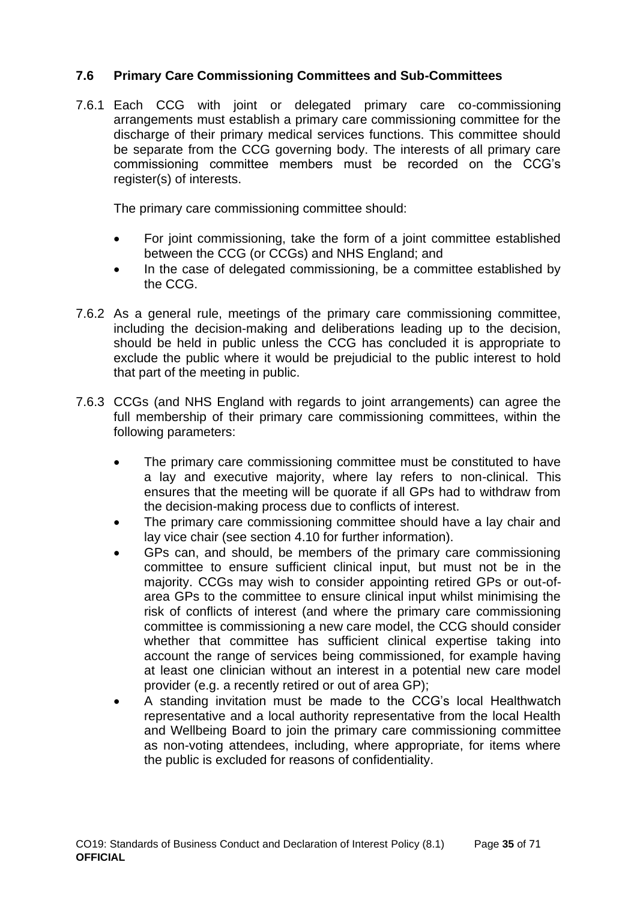## **7.6 Primary Care Commissioning Committees and Sub-Committees**

7.6.1 Each CCG with joint or delegated primary care co-commissioning arrangements must establish a primary care commissioning committee for the discharge of their primary medical services functions. This committee should be separate from the CCG governing body. The interests of all primary care commissioning committee members must be recorded on the CCG's register(s) of interests.

The primary care commissioning committee should:

- For joint commissioning, take the form of a joint committee established between the CCG (or CCGs) and NHS England; and
- In the case of delegated commissioning, be a committee established by the CCG.
- 7.6.2 As a general rule, meetings of the primary care commissioning committee, including the decision-making and deliberations leading up to the decision, should be held in public unless the CCG has concluded it is appropriate to exclude the public where it would be prejudicial to the public interest to hold that part of the meeting in public.
- 7.6.3 CCGs (and NHS England with regards to joint arrangements) can agree the full membership of their primary care commissioning committees, within the following parameters:
	- The primary care commissioning committee must be constituted to have a lay and executive majority, where lay refers to non-clinical. This ensures that the meeting will be quorate if all GPs had to withdraw from the decision-making process due to conflicts of interest.
	- The primary care commissioning committee should have a lay chair and lay vice chair (see section 4.10 for further information).
	- GPs can, and should, be members of the primary care commissioning committee to ensure sufficient clinical input, but must not be in the majority. CCGs may wish to consider appointing retired GPs or out-ofarea GPs to the committee to ensure clinical input whilst minimising the risk of conflicts of interest (and where the primary care commissioning committee is commissioning a new care model, the CCG should consider whether that committee has sufficient clinical expertise taking into account the range of services being commissioned, for example having at least one clinician without an interest in a potential new care model provider (e.g. a recently retired or out of area GP);
	- A standing invitation must be made to the CCG's local Healthwatch representative and a local authority representative from the local Health and Wellbeing Board to join the primary care commissioning committee as non-voting attendees, including, where appropriate, for items where the public is excluded for reasons of confidentiality.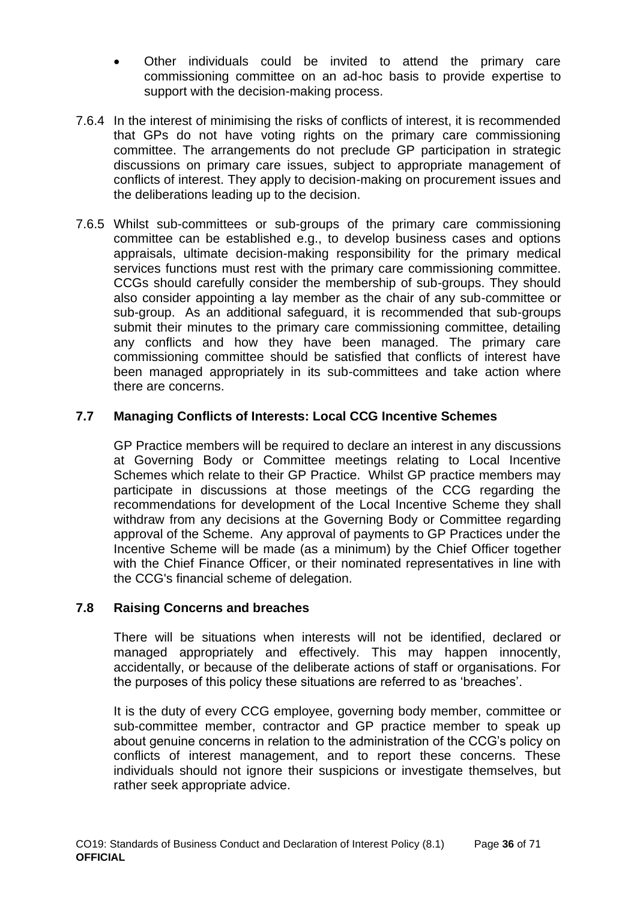- Other individuals could be invited to attend the primary care commissioning committee on an ad-hoc basis to provide expertise to support with the decision-making process.
- 7.6.4 In the interest of minimising the risks of conflicts of interest, it is recommended that GPs do not have voting rights on the primary care commissioning committee. The arrangements do not preclude GP participation in strategic discussions on primary care issues, subject to appropriate management of conflicts of interest. They apply to decision-making on procurement issues and the deliberations leading up to the decision.
- 7.6.5 Whilst sub-committees or sub-groups of the primary care commissioning committee can be established e.g., to develop business cases and options appraisals, ultimate decision-making responsibility for the primary medical services functions must rest with the primary care commissioning committee. CCGs should carefully consider the membership of sub-groups. They should also consider appointing a lay member as the chair of any sub-committee or sub-group. As an additional safeguard, it is recommended that sub-groups submit their minutes to the primary care commissioning committee, detailing any conflicts and how they have been managed. The primary care commissioning committee should be satisfied that conflicts of interest have been managed appropriately in its sub-committees and take action where there are concerns.

### **7.7 Managing Conflicts of Interests: Local CCG Incentive Schemes**

GP Practice members will be required to declare an interest in any discussions at Governing Body or Committee meetings relating to Local Incentive Schemes which relate to their GP Practice. Whilst GP practice members may participate in discussions at those meetings of the CCG regarding the recommendations for development of the Local Incentive Scheme they shall withdraw from any decisions at the Governing Body or Committee regarding approval of the Scheme. Any approval of payments to GP Practices under the Incentive Scheme will be made (as a minimum) by the Chief Officer together with the Chief Finance Officer, or their nominated representatives in line with the CCG's financial scheme of delegation.

### **7.8 Raising Concerns and breaches**

There will be situations when interests will not be identified, declared or managed appropriately and effectively. This may happen innocently, accidentally, or because of the deliberate actions of staff or organisations. For the purposes of this policy these situations are referred to as 'breaches'.

It is the duty of every CCG employee, governing body member, committee or sub-committee member, contractor and GP practice member to speak up about genuine concerns in relation to the administration of the CCG's policy on conflicts of interest management, and to report these concerns. These individuals should not ignore their suspicions or investigate themselves, but rather seek appropriate advice.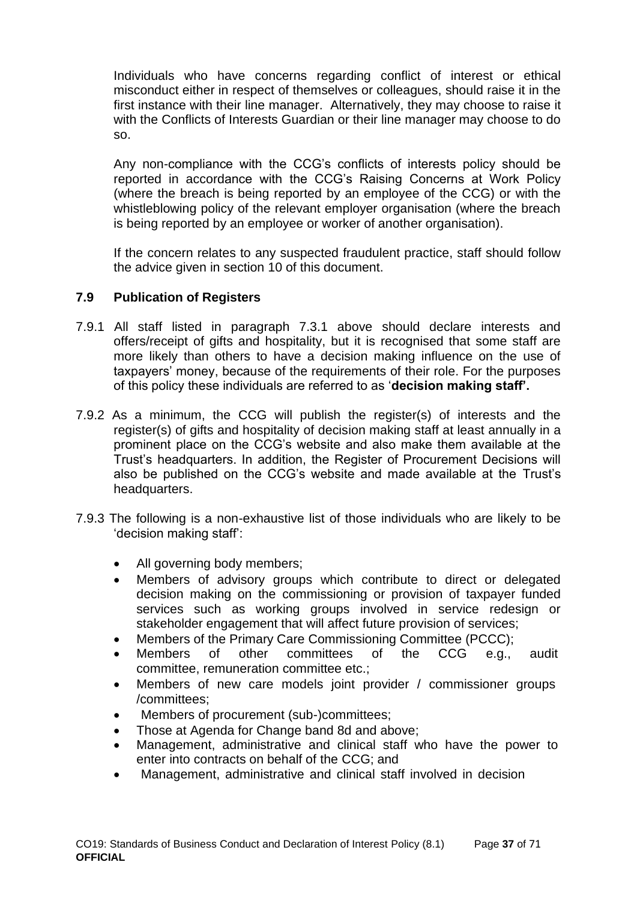Individuals who have concerns regarding conflict of interest or ethical misconduct either in respect of themselves or colleagues, should raise it in the first instance with their line manager. Alternatively, they may choose to raise it with the Conflicts of Interests Guardian or their line manager may choose to do so.

Any non-compliance with the CCG's conflicts of interests policy should be reported in accordance with the CCG's Raising Concerns at Work Policy (where the breach is being reported by an employee of the CCG) or with the whistleblowing policy of the relevant employer organisation (where the breach is being reported by an employee or worker of another organisation).

If the concern relates to any suspected fraudulent practice, staff should follow the advice given in section 10 of this document.

## **7.9 Publication of Registers**

- 7.9.1 All staff listed in paragraph 7.3.1 above should declare interests and offers/receipt of gifts and hospitality, but it is recognised that some staff are more likely than others to have a decision making influence on the use of taxpayers' money, because of the requirements of their role. For the purposes of this policy these individuals are referred to as '**decision making staff'.**
- 7.9.2 As a minimum, the CCG will publish the register(s) of interests and the register(s) of gifts and hospitality of decision making staff at least annually in a prominent place on the CCG's website and also make them available at the Trust's headquarters. In addition, the Register of Procurement Decisions will also be published on the CCG's website and made available at the Trust's headquarters.
- 7.9.3 The following is a non-exhaustive list of those individuals who are likely to be 'decision making staff':
	- All governing body members;
	- Members of advisory groups which contribute to direct or delegated decision making on the commissioning or provision of taxpayer funded services such as working groups involved in service redesign or stakeholder engagement that will affect future provision of services;
	- Members of the Primary Care Commissioning Committee (PCCC);
	- Members of other committees of the CCG e.g., audit committee, remuneration committee etc.;
	- Members of new care models joint provider / commissioner groups /committees;
	- Members of procurement (sub-)committees;
	- Those at Agenda for Change band 8d and above;
	- Management, administrative and clinical staff who have the power to enter into contracts on behalf of the CCG; and
	- Management, administrative and clinical staff involved in decision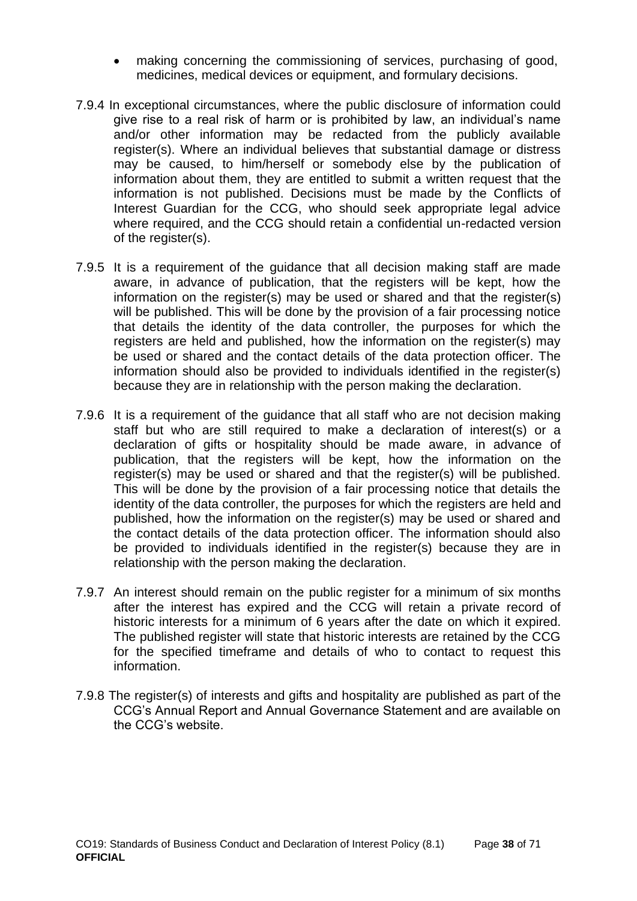- making concerning the commissioning of services, purchasing of good, medicines, medical devices or equipment, and formulary decisions.
- 7.9.4 In exceptional circumstances, where the public disclosure of information could give rise to a real risk of harm or is prohibited by law, an individual's name and/or other information may be redacted from the publicly available register(s). Where an individual believes that substantial damage or distress may be caused, to him/herself or somebody else by the publication of information about them, they are entitled to submit a written request that the information is not published. Decisions must be made by the Conflicts of Interest Guardian for the CCG, who should seek appropriate legal advice where required, and the CCG should retain a confidential un-redacted version of the register(s).
- 7.9.5 It is a requirement of the guidance that all decision making staff are made aware, in advance of publication, that the registers will be kept, how the information on the register(s) may be used or shared and that the register(s) will be published. This will be done by the provision of a fair processing notice that details the identity of the data controller, the purposes for which the registers are held and published, how the information on the register(s) may be used or shared and the contact details of the data protection officer. The information should also be provided to individuals identified in the register(s) because they are in relationship with the person making the declaration.
- 7.9.6 It is a requirement of the guidance that all staff who are not decision making staff but who are still required to make a declaration of interest(s) or a declaration of gifts or hospitality should be made aware, in advance of publication, that the registers will be kept, how the information on the register(s) may be used or shared and that the register(s) will be published. This will be done by the provision of a fair processing notice that details the identity of the data controller, the purposes for which the registers are held and published, how the information on the register(s) may be used or shared and the contact details of the data protection officer. The information should also be provided to individuals identified in the register(s) because they are in relationship with the person making the declaration.
- 7.9.7 An interest should remain on the public register for a minimum of six months after the interest has expired and the CCG will retain a private record of historic interests for a minimum of 6 years after the date on which it expired. The published register will state that historic interests are retained by the CCG for the specified timeframe and details of who to contact to request this information.
- 7.9.8 The register(s) of interests and gifts and hospitality are published as part of the CCG's Annual Report and Annual Governance Statement and are available on the CCG's website.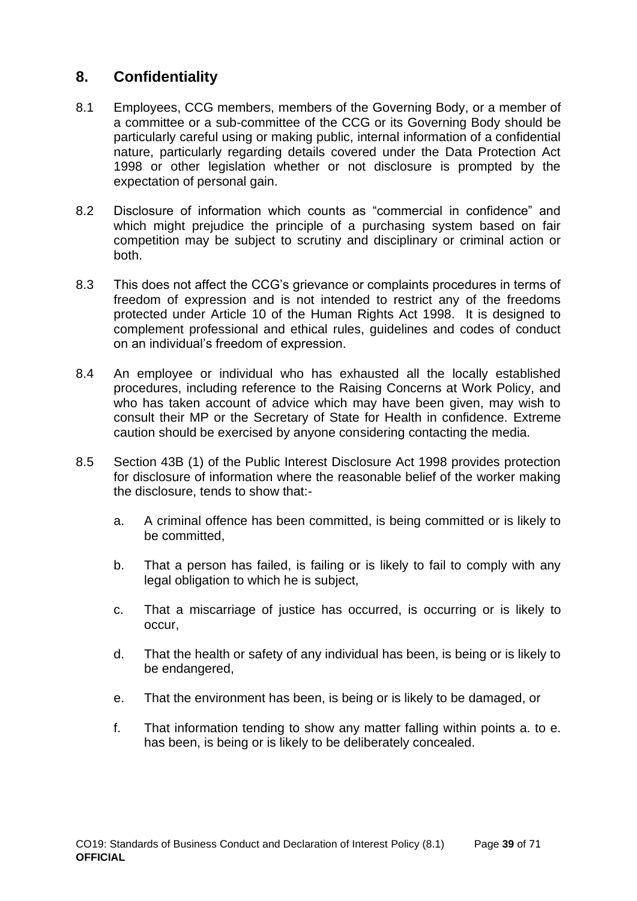# <span id="page-38-0"></span>**8. Confidentiality**

- 8.1 Employees, CCG members, members of the Governing Body, or a member of a committee or a sub-committee of the CCG or its Governing Body should be particularly careful using or making public, internal information of a confidential nature, particularly regarding details covered under the Data Protection Act 1998 or other legislation whether or not disclosure is prompted by the expectation of personal gain.
- 8.2 Disclosure of information which counts as "commercial in confidence" and which might prejudice the principle of a purchasing system based on fair competition may be subject to scrutiny and disciplinary or criminal action or both.
- 8.3 This does not affect the CCG's grievance or complaints procedures in terms of freedom of expression and is not intended to restrict any of the freedoms protected under Article 10 of the Human Rights Act 1998. It is designed to complement professional and ethical rules, guidelines and codes of conduct on an individual's freedom of expression.
- 8.4 An employee or individual who has exhausted all the locally established procedures, including reference to the Raising Concerns at Work Policy, and who has taken account of advice which may have been given, may wish to consult their MP or the Secretary of State for Health in confidence. Extreme caution should be exercised by anyone considering contacting the media.
- 8.5 Section 43B (1) of the Public Interest Disclosure Act 1998 provides protection for disclosure of information where the reasonable belief of the worker making the disclosure, tends to show that:
	- a. A criminal offence has been committed, is being committed or is likely to be committed,
	- b. That a person has failed, is failing or is likely to fail to comply with any legal obligation to which he is subject,
	- c. That a miscarriage of justice has occurred, is occurring or is likely to occur,
	- d. That the health or safety of any individual has been, is being or is likely to be endangered,
	- e. That the environment has been, is being or is likely to be damaged, or
	- f. That information tending to show any matter falling within points a. to e. has been, is being or is likely to be deliberately concealed.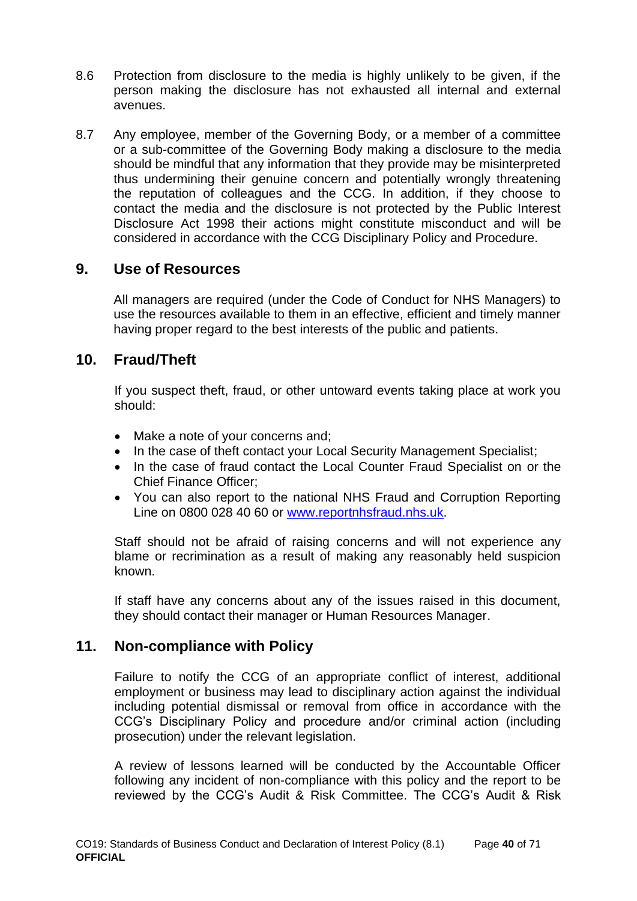- 8.6 Protection from disclosure to the media is highly unlikely to be given, if the person making the disclosure has not exhausted all internal and external avenues.
- 8.7 Any employee, member of the Governing Body, or a member of a committee or a sub-committee of the Governing Body making a disclosure to the media should be mindful that any information that they provide may be misinterpreted thus undermining their genuine concern and potentially wrongly threatening the reputation of colleagues and the CCG. In addition, if they choose to contact the media and the disclosure is not protected by the Public Interest Disclosure Act 1998 their actions might constitute misconduct and will be considered in accordance with the CCG Disciplinary Policy and Procedure.

# <span id="page-39-0"></span>**9. Use of Resources**

All managers are required (under the Code of Conduct for NHS Managers) to use the resources available to them in an effective, efficient and timely manner having proper regard to the best interests of the public and patients.

# <span id="page-39-1"></span>**10. Fraud/Theft**

If you suspect theft, fraud, or other untoward events taking place at work you should:

- Make a note of your concerns and;
- In the case of theft contact your Local Security Management Specialist;
- In the case of fraud contact the Local Counter Fraud Specialist on or the Chief Finance Officer;
- You can also report to the national NHS Fraud and Corruption Reporting Line on 0800 028 40 60 or [www.reportnhsfraud.nhs.uk.](http://www.reportnhsfraud.nhs.uk/)

Staff should not be afraid of raising concerns and will not experience any blame or recrimination as a result of making any reasonably held suspicion known.

If staff have any concerns about any of the issues raised in this document, they should contact their manager or Human Resources Manager.

# <span id="page-39-2"></span>**11. Non-compliance with Policy**

Failure to notify the CCG of an appropriate conflict of interest, additional employment or business may lead to disciplinary action against the individual including potential dismissal or removal from office in accordance with the CCG's Disciplinary Policy and procedure and/or criminal action (including prosecution) under the relevant legislation.

A review of lessons learned will be conducted by the Accountable Officer following any incident of non-compliance with this policy and the report to be reviewed by the CCG's Audit & Risk Committee. The CCG's Audit & Risk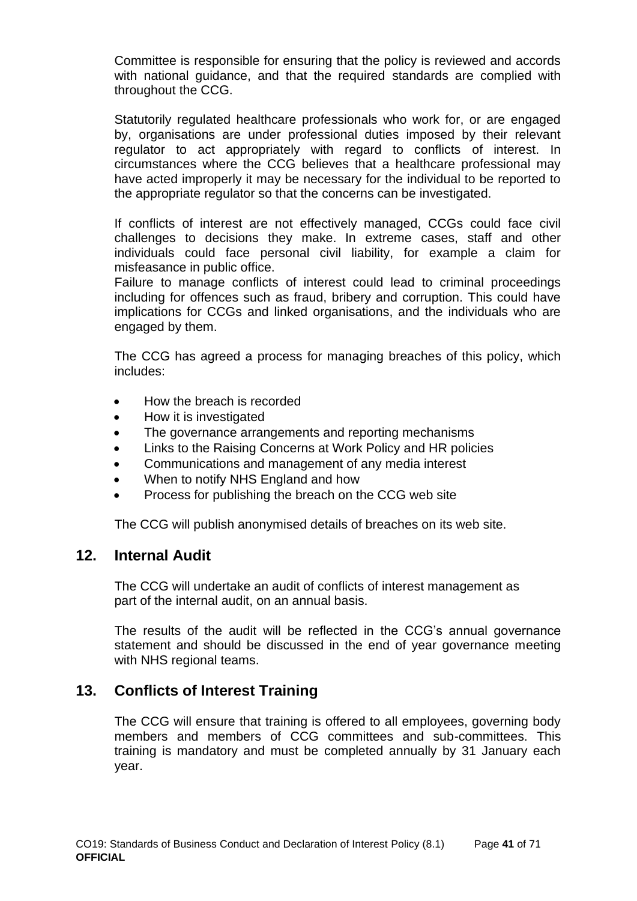Committee is responsible for ensuring that the policy is reviewed and accords with national guidance, and that the required standards are complied with throughout the CCG.

Statutorily regulated healthcare professionals who work for, or are engaged by, organisations are under professional duties imposed by their relevant regulator to act appropriately with regard to conflicts of interest. In circumstances where the CCG believes that a healthcare professional may have acted improperly it may be necessary for the individual to be reported to the appropriate regulator so that the concerns can be investigated.

If conflicts of interest are not effectively managed, CCGs could face civil challenges to decisions they make. In extreme cases, staff and other individuals could face personal civil liability, for example a claim for misfeasance in public office.

Failure to manage conflicts of interest could lead to criminal proceedings including for offences such as fraud, bribery and corruption. This could have implications for CCGs and linked organisations, and the individuals who are engaged by them.

The CCG has agreed a process for managing breaches of this policy, which includes:

- How the breach is recorded
- How it is investigated
- The governance arrangements and reporting mechanisms
- Links to the Raising Concerns at Work Policy and HR policies
- Communications and management of any media interest
- When to notify NHS England and how
- Process for publishing the breach on the CCG web site

The CCG will publish anonymised details of breaches on its web site.

# <span id="page-40-0"></span>**12. Internal Audit**

The CCG will undertake an audit of conflicts of interest management as part of the internal audit, on an annual basis.

The results of the audit will be reflected in the CCG's annual governance statement and should be discussed in the end of year governance meeting with NHS regional teams.

# <span id="page-40-1"></span>**13. Conflicts of Interest Training**

The CCG will ensure that training is offered to all employees, governing body members and members of CCG committees and sub-committees. This training is mandatory and must be completed annually by 31 January each year.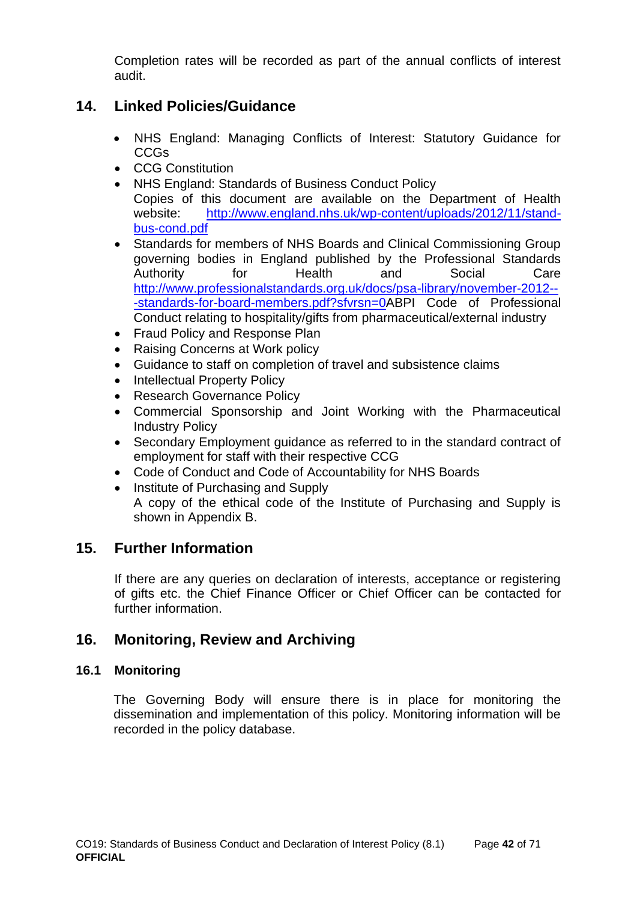Completion rates will be recorded as part of the annual conflicts of interest audit.

# <span id="page-41-0"></span>**14. Linked Policies/Guidance**

- NHS England: Managing Conflicts of Interest: Statutory Guidance for CCGs
- CCG Constitution
- NHS England: Standards of Business Conduct Policy
- Copies of this document are available on the Department of Health website: [http://www.england.nhs.uk/wp-content/uploads/2012/11/stand](http://www.england.nhs.uk/wp-content/uploads/2012/11/stand-bus-cond.pdf)[bus-cond.pdf](http://www.england.nhs.uk/wp-content/uploads/2012/11/stand-bus-cond.pdf)
- Standards for members of NHS Boards and Clinical Commissioning Group governing bodies in England published by the Professional Standards Authority for Health and Social Care [http://www.professionalstandards.org.uk/docs/psa-library/november-2012--](http://www.professionalstandards.org.uk/docs/psa-library/november-2012---standards-for-board-members.pdf?sfvrsn=0) [-standards-for-board-members.pdf?sfvrsn=0A](http://www.professionalstandards.org.uk/docs/psa-library/november-2012---standards-for-board-members.pdf?sfvrsn=0)BPI Code of Professional Conduct relating to hospitality/gifts from pharmaceutical/external industry
- Fraud Policy and Response Plan
- Raising Concerns at Work policy
- Guidance to staff on completion of travel and subsistence claims
- Intellectual Property Policy
- Research Governance Policy
- Commercial Sponsorship and Joint Working with the Pharmaceutical Industry Policy
- Secondary Employment guidance as referred to in the standard contract of employment for staff with their respective CCG
- Code of Conduct and Code of Accountability for NHS Boards
- Institute of Purchasing and Supply A copy of the ethical code of the Institute of Purchasing and Supply is shown in Appendix B.

# <span id="page-41-1"></span>**15. Further Information**

If there are any queries on declaration of interests, acceptance or registering of gifts etc. the Chief Finance Officer or Chief Officer can be contacted for further information.

# <span id="page-41-2"></span>**16. Monitoring, Review and Archiving**

# **16.1 Monitoring**

The Governing Body will ensure there is in place for monitoring the dissemination and implementation of this policy. Monitoring information will be recorded in the policy database.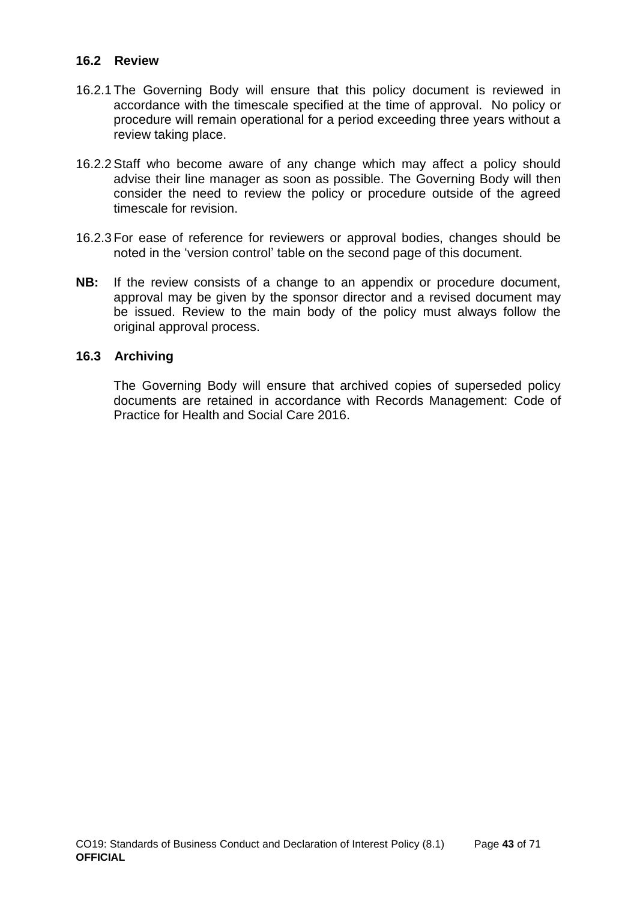### **16.2 Review**

- 16.2.1 The Governing Body will ensure that this policy document is reviewed in accordance with the timescale specified at the time of approval. No policy or procedure will remain operational for a period exceeding three years without a review taking place.
- 16.2.2Staff who become aware of any change which may affect a policy should advise their line manager as soon as possible. The Governing Body will then consider the need to review the policy or procedure outside of the agreed timescale for revision.
- 16.2.3 For ease of reference for reviewers or approval bodies, changes should be noted in the 'version control' table on the second page of this document.
- **NB:** If the review consists of a change to an appendix or procedure document, approval may be given by the sponsor director and a revised document may be issued. Review to the main body of the policy must always follow the original approval process.

## **16.3 Archiving**

The Governing Body will ensure that archived copies of superseded policy documents are retained in accordance with Records Management: Code of Practice for Health and Social Care 2016.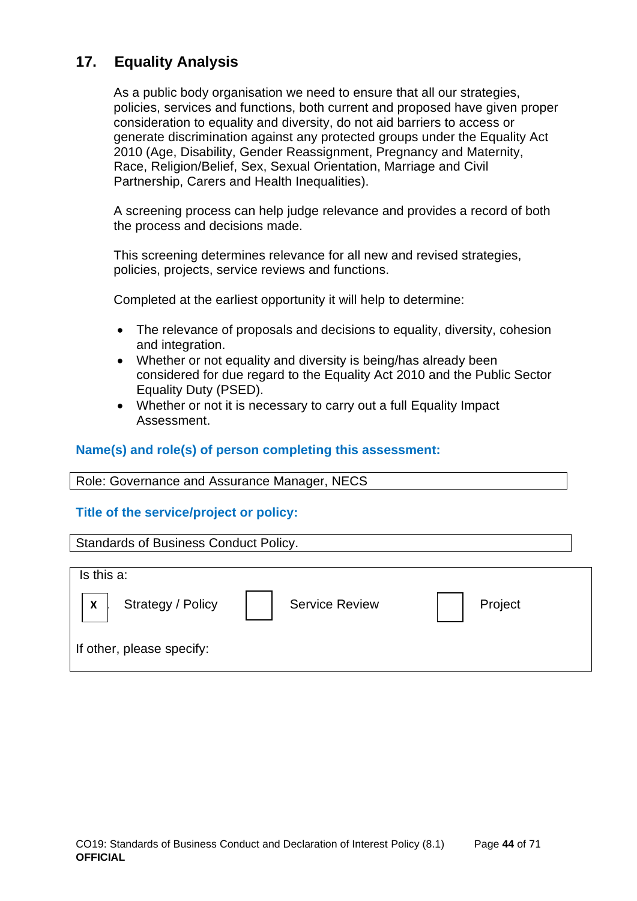# <span id="page-43-0"></span>**17. Equality Analysis**

As a public body organisation we need to ensure that all our strategies, policies, services and functions, both current and proposed have given proper consideration to equality and diversity, do not aid barriers to access or generate discrimination against any protected groups under the Equality Act 2010 (Age, Disability, Gender Reassignment, Pregnancy and Maternity, Race, Religion/Belief, Sex, Sexual Orientation, Marriage and Civil Partnership, Carers and Health Inequalities).

A screening process can help judge relevance and provides a record of both the process and decisions made.

This screening determines relevance for all new and revised strategies, policies, projects, service reviews and functions.

Completed at the earliest opportunity it will help to determine:

- The relevance of proposals and decisions to equality, diversity, cohesion and integration.
- Whether or not equality and diversity is being/has already been considered for due regard to the Equality Act 2010 and the Public Sector Equality Duty (PSED).
- Whether or not it is necessary to carry out a full Equality Impact Assessment.

## **Name(s) and role(s) of person completing this assessment:**

Role: Governance and Assurance Manager, NECS

### **Title of the service/project or policy:**

| <b>Standards of Business Conduct Policy.</b>           |         |  |  |
|--------------------------------------------------------|---------|--|--|
| Is this a:                                             |         |  |  |
| <b>Strategy / Policy</b><br><b>Service Review</b><br>X | Project |  |  |
| If other, please specify:                              |         |  |  |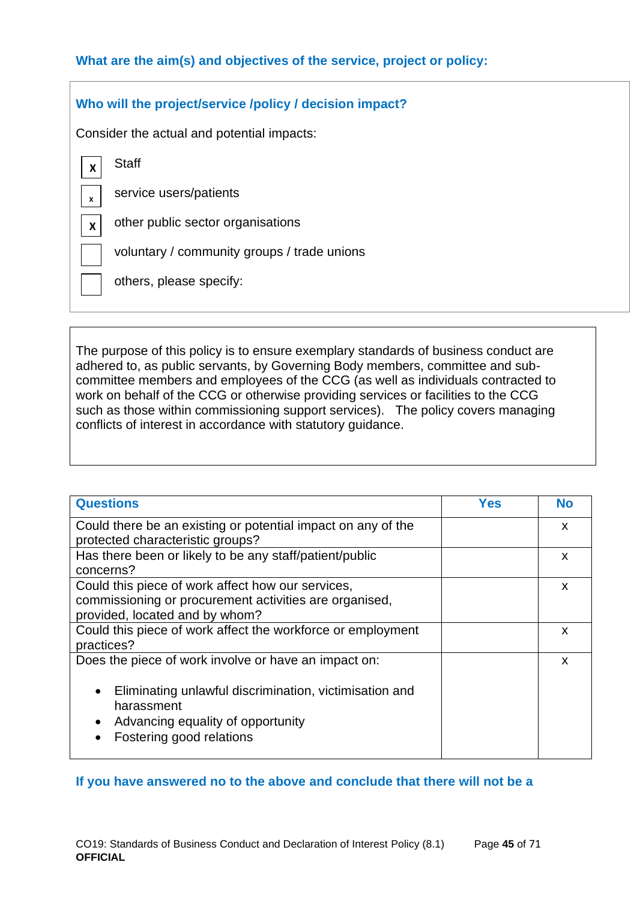# **What are the aim(s) and objectives of the service, project or policy:**

|                           | Who will the project/service /policy / decision impact? |  |  |
|---------------------------|---------------------------------------------------------|--|--|
|                           | Consider the actual and potential impacts:              |  |  |
| $\boldsymbol{\mathsf{X}}$ | <b>Staff</b>                                            |  |  |
| X                         | service users/patients                                  |  |  |
| $\boldsymbol{\mathsf{x}}$ | other public sector organisations                       |  |  |
|                           | voluntary / community groups / trade unions             |  |  |
|                           | others, please specify:                                 |  |  |
|                           |                                                         |  |  |

The purpose of this policy is to ensure exemplary standards of business conduct are adhered to, as public servants, by Governing Body members, committee and subcommittee members and employees of the CCG (as well as individuals contracted to work on behalf of the CCG or otherwise providing services or facilities to the CCG such as those within commissioning support services). The policy covers managing conflicts of interest in accordance with statutory guidance.

| <b>Yes</b> | <b>No</b> |
|------------|-----------|
|            | X         |
|            |           |
|            | X         |
|            | X         |
|            |           |
|            |           |
|            | X         |
|            |           |
|            | X         |
|            |           |
|            |           |
|            |           |
|            |           |
|            |           |

### **If you have answered no to the above and conclude that there will not be a**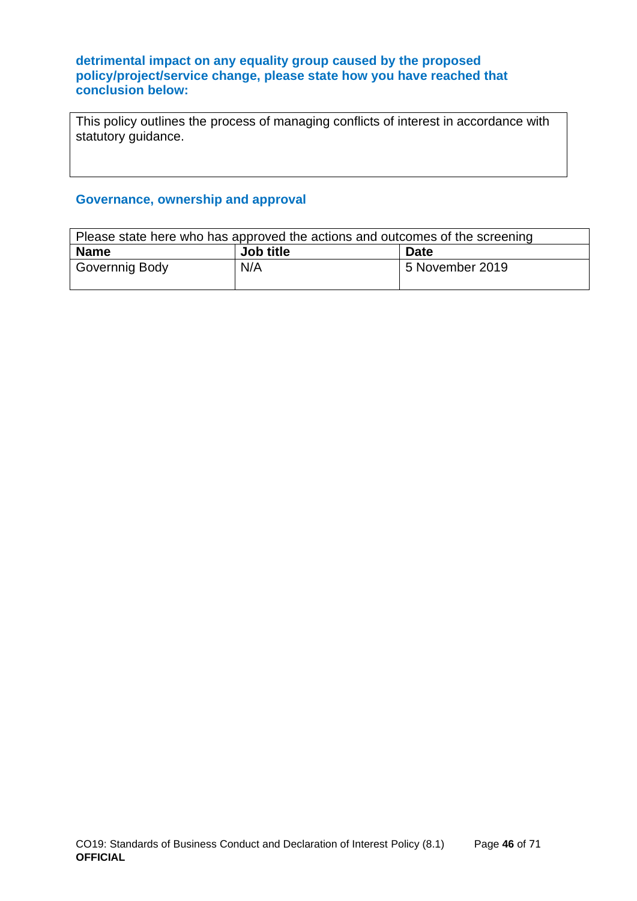### **detrimental impact on any equality group caused by the proposed policy/project/service change, please state how you have reached that conclusion below:**

This policy outlines the process of managing conflicts of interest in accordance with statutory guidance.

# **Governance, ownership and approval**

| Please state here who has approved the actions and outcomes of the screening |     |                 |  |
|------------------------------------------------------------------------------|-----|-----------------|--|
| <b>Name</b><br>Job title<br><b>Date</b>                                      |     |                 |  |
| Governnig Body                                                               | N/A | 5 November 2019 |  |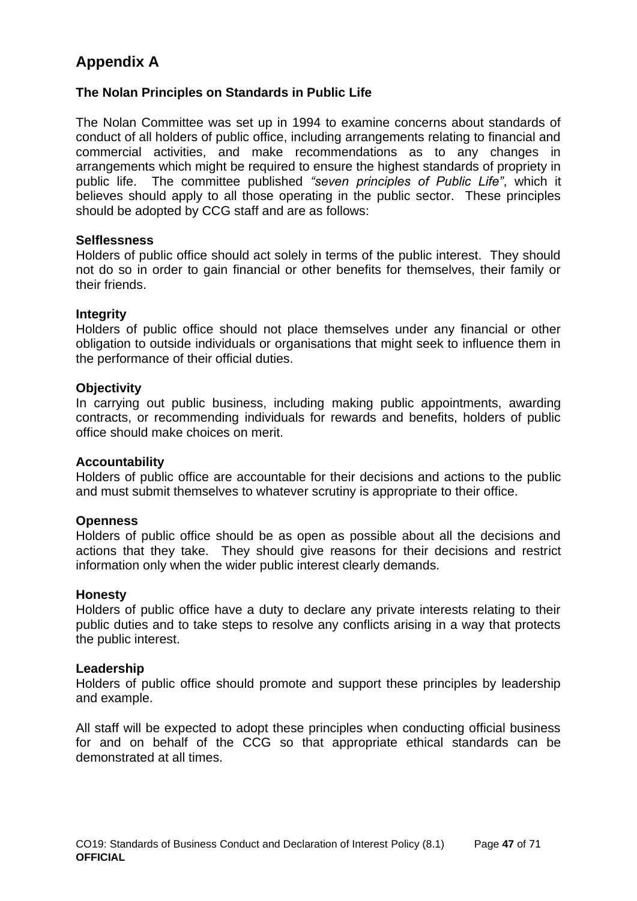# <span id="page-46-0"></span>**Appendix A**

### **The Nolan Principles on Standards in Public Life**

The Nolan Committee was set up in 1994 to examine concerns about standards of conduct of all holders of public office, including arrangements relating to financial and commercial activities, and make recommendations as to any changes in arrangements which might be required to ensure the highest standards of propriety in public life. The committee published *"seven principles of Public Life"*, which it believes should apply to all those operating in the public sector. These principles should be adopted by CCG staff and are as follows:

#### **Selflessness**

Holders of public office should act solely in terms of the public interest. They should not do so in order to gain financial or other benefits for themselves, their family or their friends.

#### **Integrity**

Holders of public office should not place themselves under any financial or other obligation to outside individuals or organisations that might seek to influence them in the performance of their official duties.

#### **Objectivity**

In carrying out public business, including making public appointments, awarding contracts, or recommending individuals for rewards and benefits, holders of public office should make choices on merit.

#### **Accountability**

Holders of public office are accountable for their decisions and actions to the public and must submit themselves to whatever scrutiny is appropriate to their office.

#### **Openness**

Holders of public office should be as open as possible about all the decisions and actions that they take. They should give reasons for their decisions and restrict information only when the wider public interest clearly demands.

#### **Honesty**

Holders of public office have a duty to declare any private interests relating to their public duties and to take steps to resolve any conflicts arising in a way that protects the public interest.

#### **Leadership**

Holders of public office should promote and support these principles by leadership and example.

All staff will be expected to adopt these principles when conducting official business for and on behalf of the CCG so that appropriate ethical standards can be demonstrated at all times.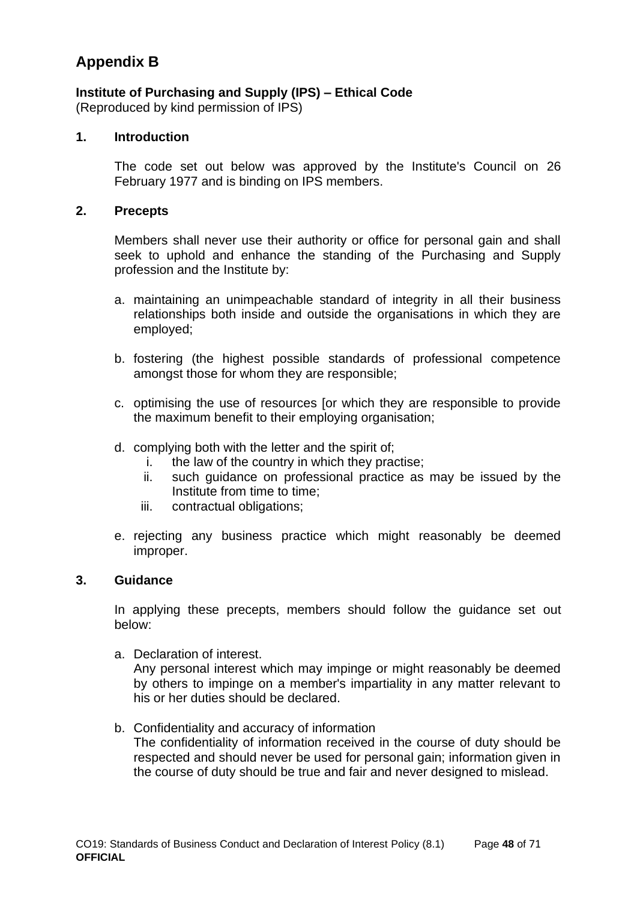# <span id="page-47-0"></span>**Appendix B**

## **Institute of Purchasing and Supply (IPS) – Ethical Code**

(Reproduced by kind permission of IPS)

### **1. Introduction**

The code set out below was approved by the Institute's Council on 26 February 1977 and is binding on IPS members.

### **2. Precepts**

Members shall never use their authority or office for personal gain and shall seek to uphold and enhance the standing of the Purchasing and Supply profession and the Institute by:

- a. maintaining an unimpeachable standard of integrity in all their business relationships both inside and outside the organisations in which they are employed;
- b. fostering (the highest possible standards of professional competence amongst those for whom they are responsible;
- c. optimising the use of resources [or which they are responsible to provide the maximum benefit to their employing organisation;
- d. complying both with the letter and the spirit of;
	- i. the law of the country in which they practise;
	- ii. such guidance on professional practice as may be issued by the Institute from time to time;
	- iii. contractual obligations;
- e. rejecting any business practice which might reasonably be deemed improper.

#### **3. Guidance**

In applying these precepts, members should follow the guidance set out below:

- a. Declaration of interest. Any personal interest which may impinge or might reasonably be deemed by others to impinge on a member's impartiality in any matter relevant to his or her duties should be declared.
- b. Confidentiality and accuracy of information The confidentiality of information received in the course of duty should be respected and should never be used for personal gain; information given in the course of duty should be true and fair and never designed to mislead.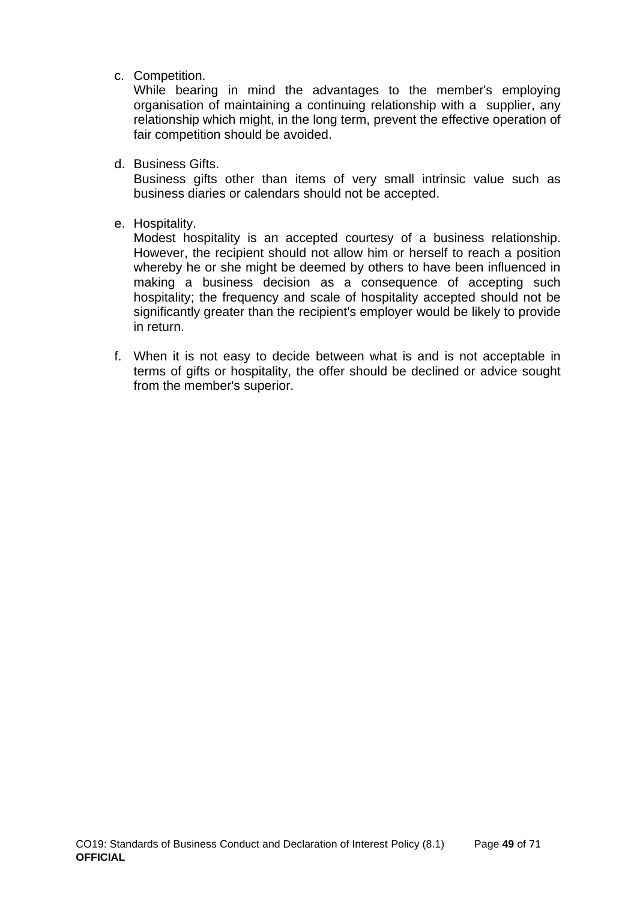c. Competition.

While bearing in mind the advantages to the member's employing organisation of maintaining a continuing relationship with a supplier, any relationship which might, in the long term, prevent the effective operation of fair competition should be avoided.

d. Business Gifts.

Business gifts other than items of very small intrinsic value such as business diaries or calendars should not be accepted.

e. Hospitality.

Modest hospitality is an accepted courtesy of a business relationship. However, the recipient should not allow him or herself to reach a position whereby he or she might be deemed by others to have been influenced in making a business decision as a consequence of accepting such hospitality; the frequency and scale of hospitality accepted should not be significantly greater than the recipient's employer would be likely to provide in return.

f. When it is not easy to decide between what is and is not acceptable in terms of gifts or hospitality, the offer should be declined or advice sought from the member's superior.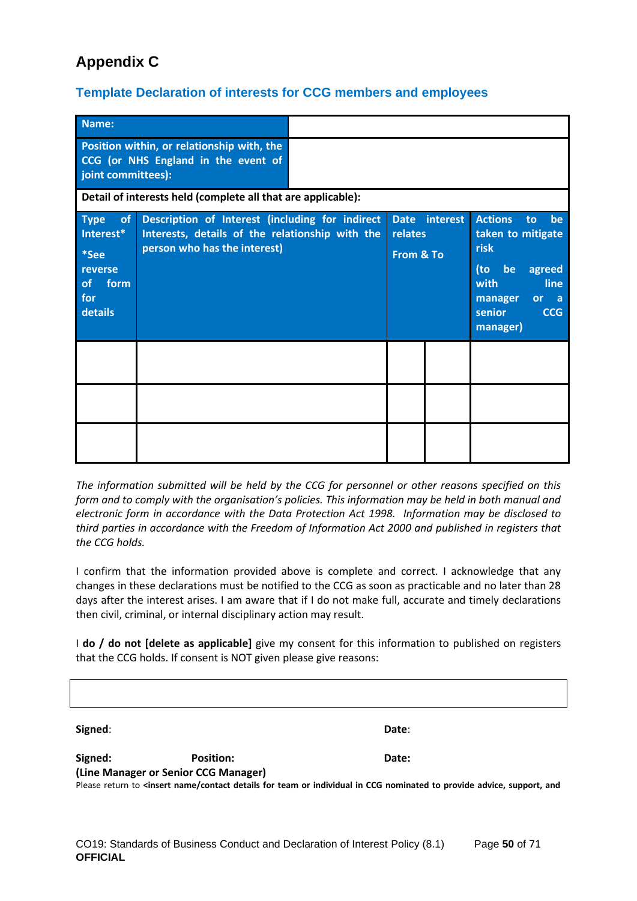# <span id="page-49-0"></span>**Appendix C**

## **Template Declaration of interests for CCG members and employees**

| Name:                                                                                                   |                                                                                                                                    |  |                      |               |                                                                                                   |                                                      |
|---------------------------------------------------------------------------------------------------------|------------------------------------------------------------------------------------------------------------------------------------|--|----------------------|---------------|---------------------------------------------------------------------------------------------------|------------------------------------------------------|
| Position within, or relationship with, the<br>CCG (or NHS England in the event of<br>joint committees): |                                                                                                                                    |  |                      |               |                                                                                                   |                                                      |
|                                                                                                         | Detail of interests held (complete all that are applicable):                                                                       |  |                      |               |                                                                                                   |                                                      |
| <b>Type</b><br>of<br>Interest*<br><i><b>*See</b></i><br>reverse<br>of<br>form<br>for<br>details         | Description of Interest (including for indirect<br>Interests, details of the relationship with the<br>person who has the interest) |  | relates<br>From & To | Date interest | <b>Actions</b><br>taken to mitigate<br>risk<br>(to<br>be<br>with<br>manager<br>senior<br>manager) | be<br>to<br>agreed<br>line<br>or<br>a,<br><b>CCG</b> |
|                                                                                                         |                                                                                                                                    |  |                      |               |                                                                                                   |                                                      |
|                                                                                                         |                                                                                                                                    |  |                      |               |                                                                                                   |                                                      |
|                                                                                                         |                                                                                                                                    |  |                      |               |                                                                                                   |                                                      |

*The information submitted will be held by the CCG for personnel or other reasons specified on this form and to comply with the organisation's policies. This information may be held in both manual and electronic form in accordance with the Data Protection Act 1998. Information may be disclosed to third parties in accordance with the Freedom of Information Act 2000 and published in registers that the CCG holds.*

I confirm that the information provided above is complete and correct. I acknowledge that any changes in these declarations must be notified to the CCG as soon as practicable and no later than 28 days after the interest arises. I am aware that if I do not make full, accurate and timely declarations then civil, criminal, or internal disciplinary action may result.

I **do / do not [delete as applicable]** give my consent for this information to published on registers that the CCG holds. If consent is NOT given please give reasons:

| Signed: |                                      | Date:                                                                                                                                                                               |
|---------|--------------------------------------|-------------------------------------------------------------------------------------------------------------------------------------------------------------------------------------|
| Signed: | <b>Position:</b>                     | Date:                                                                                                                                                                               |
|         | (Line Manager or Senior CCG Manager) |                                                                                                                                                                                     |
|         |                                      | Please return to <insert advice,="" and<="" ccg="" contact="" details="" for="" in="" individual="" name="" nominated="" or="" provide="" support,="" td="" team="" to=""></insert> |
|         |                                      |                                                                                                                                                                                     |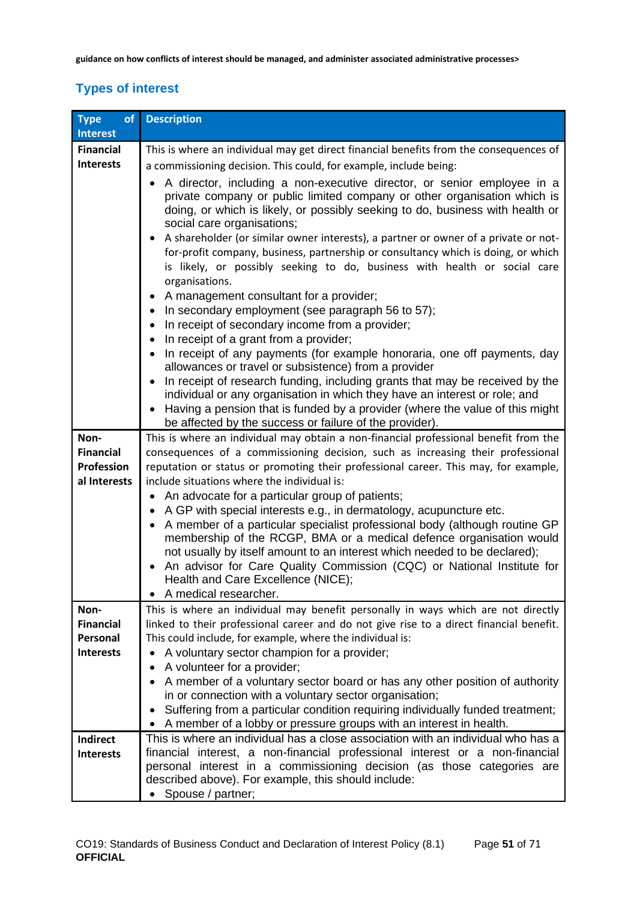**guidance on how conflicts of interest should be managed, and administer associated administrative processes>**

# **Types of interest**

| of<br><b>Type</b> | <b>Description</b>                                                                                                                                                                                                                                                                                                                                          |
|-------------------|-------------------------------------------------------------------------------------------------------------------------------------------------------------------------------------------------------------------------------------------------------------------------------------------------------------------------------------------------------------|
| <b>Interest</b>   |                                                                                                                                                                                                                                                                                                                                                             |
| <b>Financial</b>  | This is where an individual may get direct financial benefits from the consequences of                                                                                                                                                                                                                                                                      |
| <b>Interests</b>  | a commissioning decision. This could, for example, include being:                                                                                                                                                                                                                                                                                           |
|                   | A director, including a non-executive director, or senior employee in a<br>private company or public limited company or other organisation which is<br>doing, or which is likely, or possibly seeking to do, business with health or<br>social care organisations;<br>• A shareholder (or similar owner interests), a partner or owner of a private or not- |
|                   | for-profit company, business, partnership or consultancy which is doing, or which<br>is likely, or possibly seeking to do, business with health or social care<br>organisations.                                                                                                                                                                            |
|                   | • A management consultant for a provider;                                                                                                                                                                                                                                                                                                                   |
|                   | • In secondary employment (see paragraph 56 to 57);                                                                                                                                                                                                                                                                                                         |
|                   | In receipt of secondary income from a provider;                                                                                                                                                                                                                                                                                                             |
|                   | In receipt of a grant from a provider;<br>$\bullet$                                                                                                                                                                                                                                                                                                         |
|                   | In receipt of any payments (for example honoraria, one off payments, day<br>allowances or travel or subsistence) from a provider                                                                                                                                                                                                                            |
|                   | In receipt of research funding, including grants that may be received by the                                                                                                                                                                                                                                                                                |
|                   | individual or any organisation in which they have an interest or role; and                                                                                                                                                                                                                                                                                  |
|                   | Having a pension that is funded by a provider (where the value of this might<br>be affected by the success or failure of the provider).                                                                                                                                                                                                                     |
| Non-              | This is where an individual may obtain a non-financial professional benefit from the                                                                                                                                                                                                                                                                        |
| <b>Financial</b>  | consequences of a commissioning decision, such as increasing their professional                                                                                                                                                                                                                                                                             |
| Profession        | reputation or status or promoting their professional career. This may, for example,                                                                                                                                                                                                                                                                         |
| al Interests      | include situations where the individual is:                                                                                                                                                                                                                                                                                                                 |
|                   | An advocate for a particular group of patients;                                                                                                                                                                                                                                                                                                             |
|                   | • A GP with special interests e.g., in dermatology, acupuncture etc.<br>A member of a particular specialist professional body (although routine GP                                                                                                                                                                                                          |
|                   | membership of the RCGP, BMA or a medical defence organisation would<br>not usually by itself amount to an interest which needed to be declared);                                                                                                                                                                                                            |
|                   | An advisor for Care Quality Commission (CQC) or National Institute for                                                                                                                                                                                                                                                                                      |
|                   | Health and Care Excellence (NICE);                                                                                                                                                                                                                                                                                                                          |
|                   | A medical researcher.                                                                                                                                                                                                                                                                                                                                       |
| Non-              | This is where an individual may benefit personally in ways which are not directly                                                                                                                                                                                                                                                                           |
| <b>Financial</b>  | linked to their professional career and do not give rise to a direct financial benefit.                                                                                                                                                                                                                                                                     |
| Personal          | This could include, for example, where the individual is:                                                                                                                                                                                                                                                                                                   |
| <b>Interests</b>  | A voluntary sector champion for a provider;<br>A volunteer for a provider;                                                                                                                                                                                                                                                                                  |
|                   | A member of a voluntary sector board or has any other position of authority                                                                                                                                                                                                                                                                                 |
|                   | in or connection with a voluntary sector organisation;                                                                                                                                                                                                                                                                                                      |
|                   | Suffering from a particular condition requiring individually funded treatment;                                                                                                                                                                                                                                                                              |
|                   | A member of a lobby or pressure groups with an interest in health.                                                                                                                                                                                                                                                                                          |
| Indirect          | This is where an individual has a close association with an individual who has a                                                                                                                                                                                                                                                                            |
| <b>Interests</b>  | financial interest, a non-financial professional interest or a non-financial                                                                                                                                                                                                                                                                                |
|                   | personal interest in a commissioning decision (as those categories are<br>described above). For example, this should include:                                                                                                                                                                                                                               |
|                   | Spouse / partner;                                                                                                                                                                                                                                                                                                                                           |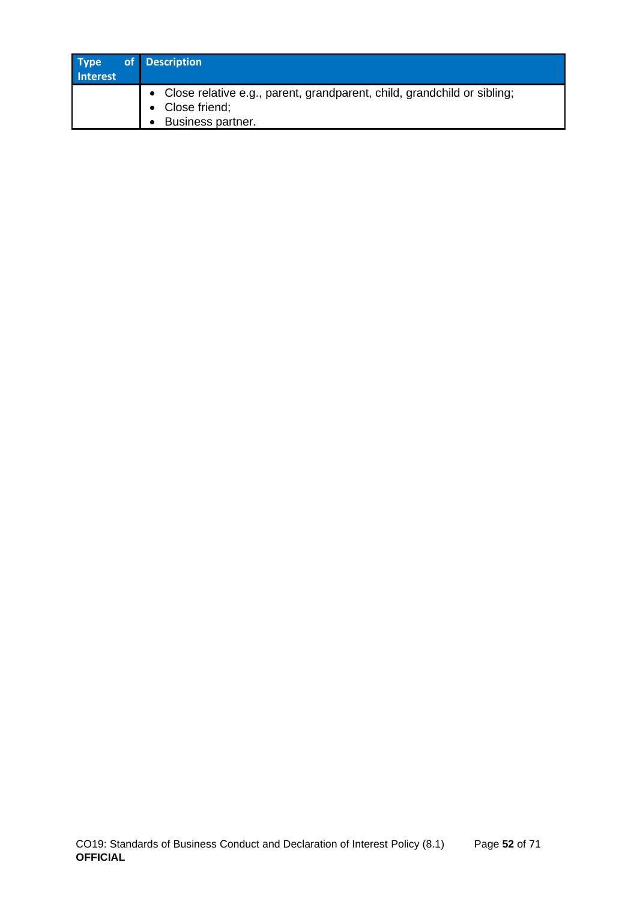| <b>Type</b><br>Interest | of Description                                                                                                |
|-------------------------|---------------------------------------------------------------------------------------------------------------|
|                         | Close relative e.g., parent, grandparent, child, grandchild or sibling;<br>Close friend;<br>Business partner. |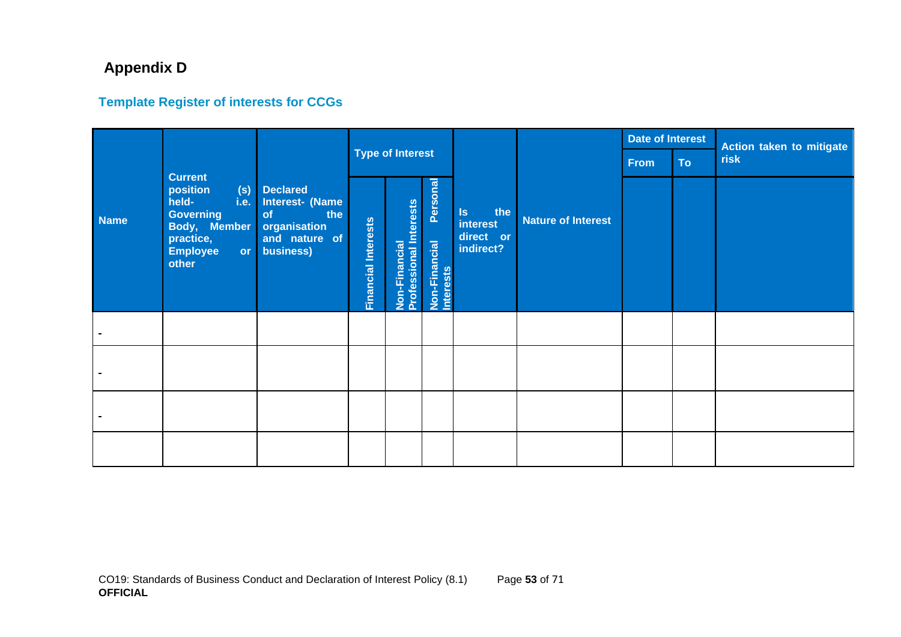# **Appendix D**

# **Template Register of interests for CCGs**

<span id="page-52-0"></span>

|             |                                                                                                                                 |                                                                                                         |                            |                                         |                                        |                                                            |                           | <b>Date of Interest</b> |           | Action taken to mitigate |
|-------------|---------------------------------------------------------------------------------------------------------------------------------|---------------------------------------------------------------------------------------------------------|----------------------------|-----------------------------------------|----------------------------------------|------------------------------------------------------------|---------------------------|-------------------------|-----------|--------------------------|
|             |                                                                                                                                 |                                                                                                         | <b>Type of Interest</b>    |                                         |                                        |                                                            |                           | <b>From</b>             | <b>To</b> | risk                     |
| <b>Name</b> | <b>Current</b><br>position<br>(s)<br>held-<br>i.e.<br><b>Governing</b><br>Body, Member<br>practice,<br><b>Employee</b><br>other | <b>Declared</b><br><b>Interest- (Name</b><br>the<br>of<br>organisation<br>and nature of<br>or business) | <b>Financial Interests</b> | Non-Financial<br>Professional Interests | Personal<br>Non-Financial<br>Interests | $\mathsf{ls}$<br>the<br>interest<br>direct or<br>indirect? | <b>Nature of Interest</b> |                         |           |                          |
|             |                                                                                                                                 |                                                                                                         |                            |                                         |                                        |                                                            |                           |                         |           |                          |
|             |                                                                                                                                 |                                                                                                         |                            |                                         |                                        |                                                            |                           |                         |           |                          |
|             |                                                                                                                                 |                                                                                                         |                            |                                         |                                        |                                                            |                           |                         |           |                          |
|             |                                                                                                                                 |                                                                                                         |                            |                                         |                                        |                                                            |                           |                         |           |                          |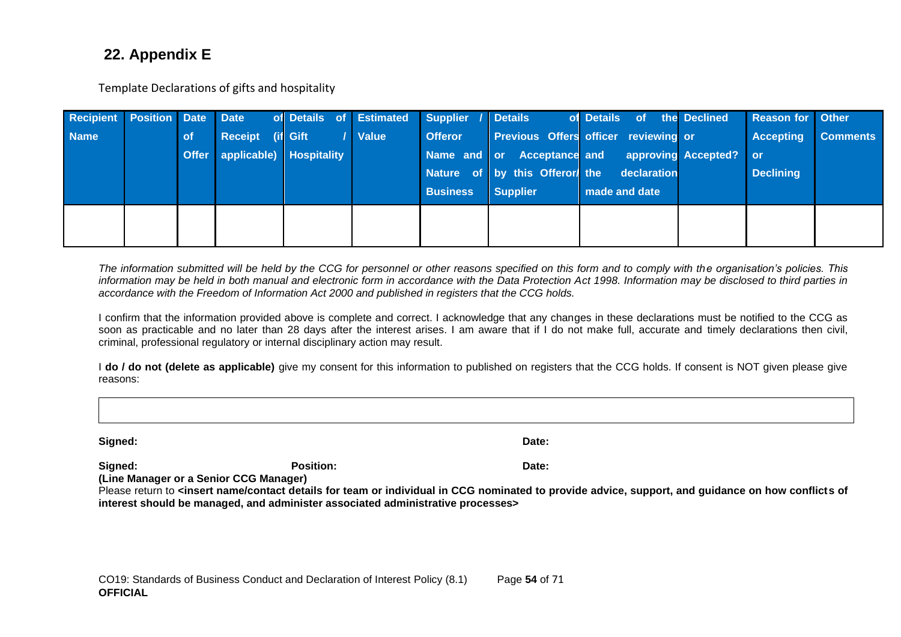# **22. Appendix E**

Template Declarations of gifts and hospitality

| <b>Recipient</b> | <b>Position Date Date</b> |           |         | of Details of Estimated       |              | Supplier / Details |                 | of Details of the Declined                     | <b>Reason for Other</b> |                 |
|------------------|---------------------------|-----------|---------|-------------------------------|--------------|--------------------|-----------------|------------------------------------------------|-------------------------|-----------------|
| <b>Name</b>      |                           | <b>of</b> | Receipt | (if Gift                      | <b>Value</b> | <b>Offeror</b>     |                 | <b>Previous Offers officer reviewing or</b>    | <b>Accepting</b>        | <b>Comments</b> |
|                  |                           |           |         | Offer applicable) Hospitality |              |                    |                 | Name and or Acceptance and approving Accepted? | <b>or</b>               |                 |
|                  |                           |           |         |                               |              |                    |                 | Nature of by this Offeror/ the declaration     | <b>Declining</b>        |                 |
|                  |                           |           |         |                               |              | <b>Business</b>    | <b>Supplier</b> | made and date                                  |                         |                 |
|                  |                           |           |         |                               |              |                    |                 |                                                |                         |                 |
|                  |                           |           |         |                               |              |                    |                 |                                                |                         |                 |

*The information submitted will be held by the CCG for personnel or other reasons specified on this form and to comply with the organisation's policies. This information may be held in both manual and electronic form in accordance with the Data Protection Act 1998. Information may be disclosed to third parties in accordance with the Freedom of Information Act 2000 and published in registers that the CCG holds.*

<span id="page-53-0"></span>I confirm that the information provided above is complete and correct. I acknowledge that any changes in these declarations must be notified to the CCG as soon as practicable and no later than 28 days after the interest arises. I am aware that if I do not make full, accurate and timely declarations then civil, criminal, professional regulatory or internal disciplinary action may result.

I **do / do not (delete as applicable)** give my consent for this information to published on registers that the CCG holds. If consent is NOT given please give reasons:

**Signed: Date:**

**Signed: Position: Date:**

**(Line Manager or a Senior CCG Manager)**

Please return to **<insert name/contact details for team or individual in CCG nominated to provide advice, support, and guidance on how conflicts of interest should be managed, and administer associated administrative processes>**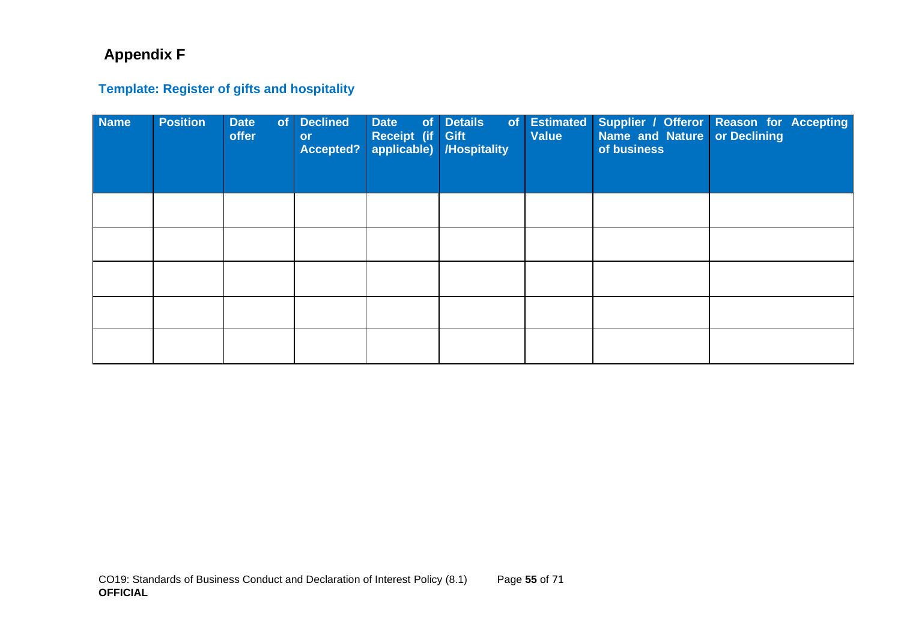# **Appendix F**

# **Template: Register of gifts and hospitality**

<span id="page-54-0"></span>

| <b>Name</b> | <b>Position</b> | <b>Date</b><br>of <sub>l</sub><br>offer | <b>Declined</b><br><b>or</b> | <b>Date</b><br>Receipt (if<br>Accepted? applicable) /Hospitality | of Details<br>of<br><b>Gift</b> | <b>Estimated</b><br><b>Value</b> | Name and Nature or Declining<br>of business | Supplier / Offeror Reason for Accepting |
|-------------|-----------------|-----------------------------------------|------------------------------|------------------------------------------------------------------|---------------------------------|----------------------------------|---------------------------------------------|-----------------------------------------|
|             |                 |                                         |                              |                                                                  |                                 |                                  |                                             |                                         |
|             |                 |                                         |                              |                                                                  |                                 |                                  |                                             |                                         |
|             |                 |                                         |                              |                                                                  |                                 |                                  |                                             |                                         |
|             |                 |                                         |                              |                                                                  |                                 |                                  |                                             |                                         |
|             |                 |                                         |                              |                                                                  |                                 |                                  |                                             |                                         |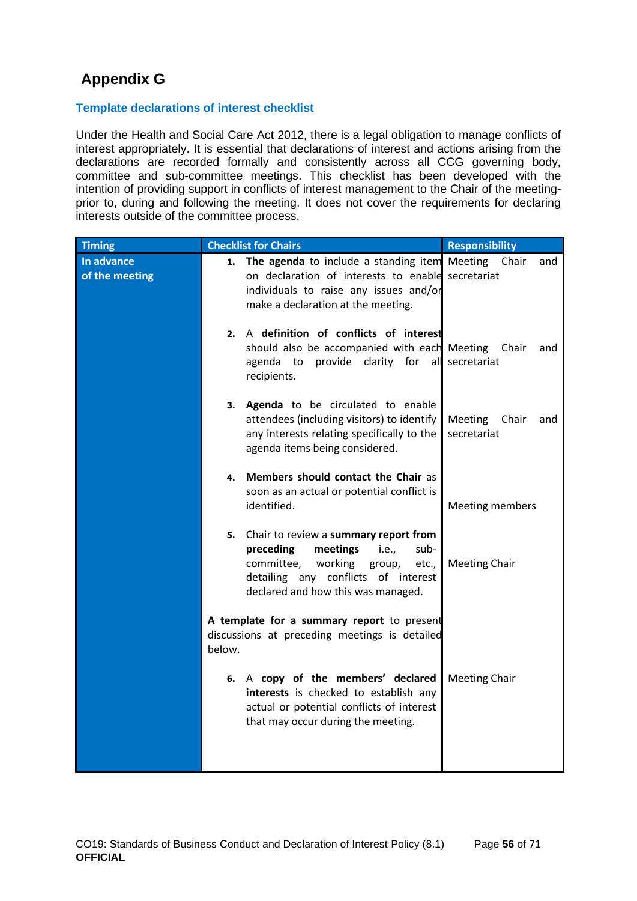# <span id="page-55-0"></span>**Appendix G**

#### **Template declarations of interest checklist**

Under the Health and Social Care Act 2012, there is a legal obligation to manage conflicts of interest appropriately. It is essential that declarations of interest and actions arising from the declarations are recorded formally and consistently across all CCG governing body, committee and sub-committee meetings. This checklist has been developed with the intention of providing support in conflicts of interest management to the Chair of the meetingprior to, during and following the meeting. It does not cover the requirements for declaring interests outside of the committee process.

| <b>Timing</b>                | <b>Checklist for Chairs</b>                                                                                                                                                                                    | <b>Responsibility</b>                  |  |  |
|------------------------------|----------------------------------------------------------------------------------------------------------------------------------------------------------------------------------------------------------------|----------------------------------------|--|--|
| In advance<br>of the meeting | 1. The agenda to include a standing item Meeting Chair<br>on declaration of interests to enable secretariat<br>individuals to raise any issues and/or<br>make a declaration at the meeting.                    | and                                    |  |  |
|                              | A definition of conflicts of interest<br>2.<br>should also be accompanied with each Meeting<br>provide clarity for<br>agenda to<br>recipients.                                                                 | Chair<br>and<br>all secretariat        |  |  |
|                              | 3. Agenda to be circulated to enable<br>attendees (including visitors) to identify<br>any interests relating specifically to the<br>agenda items being considered.                                             | Meeting<br>Chair<br>and<br>secretariat |  |  |
|                              | Members should contact the Chair as<br>4.<br>soon as an actual or potential conflict is<br>identified.                                                                                                         | Meeting members                        |  |  |
|                              | Chair to review a summary report from<br>5.<br>preceding<br>meetings<br>i.e.,<br>sub-<br>working<br>committee,<br>etc.,<br>group,<br>detailing any conflicts of interest<br>declared and how this was managed. | <b>Meeting Chair</b>                   |  |  |
|                              | A template for a summary report to present<br>discussions at preceding meetings is detailed<br>below.                                                                                                          |                                        |  |  |
|                              | 6. A copy of the members' declared<br>interests is checked to establish any<br>actual or potential conflicts of interest<br>that may occur during the meeting.                                                 | <b>Meeting Chair</b>                   |  |  |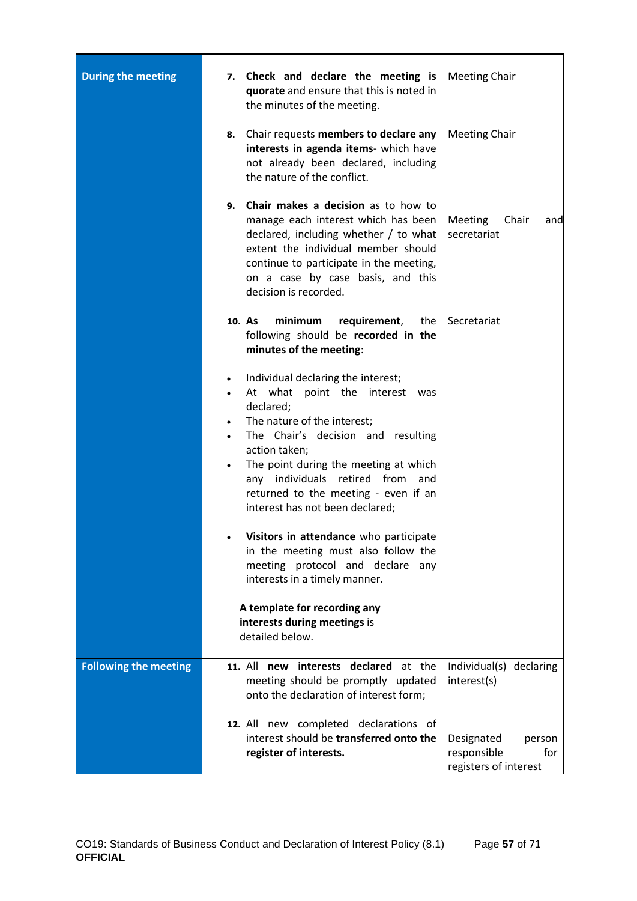| <b>During the meeting</b>    | 7. Check and declare the meeting is<br>quorate and ensure that this is noted in<br>the minutes of the meeting.<br>8. Chair requests members to declare any<br>interests in agenda items- which have<br>not already been declared, including<br>the nature of the conflict.                                                                                                                                | <b>Meeting Chair</b><br><b>Meeting Chair</b>                        |
|------------------------------|-----------------------------------------------------------------------------------------------------------------------------------------------------------------------------------------------------------------------------------------------------------------------------------------------------------------------------------------------------------------------------------------------------------|---------------------------------------------------------------------|
|                              | <b>9. Chair makes a decision</b> as to how to<br>manage each interest which has been<br>declared, including whether / to what<br>extent the individual member should<br>continue to participate in the meeting,<br>on a case by case basis, and this<br>decision is recorded.                                                                                                                             | Meeting<br>Chair<br>and<br>secretariat                              |
|                              | minimum<br>10. As<br>requirement,<br>the<br>following should be recorded in the<br>minutes of the meeting:                                                                                                                                                                                                                                                                                                | Secretariat                                                         |
|                              | Individual declaring the interest;<br>$\bullet$<br>At what point the<br>interest<br>was<br>$\bullet$<br>declared;<br>The nature of the interest;<br>$\bullet$<br>The Chair's decision and resulting<br>$\bullet$<br>action taken;<br>The point during the meeting at which<br>$\bullet$<br>retired from and<br>any individuals<br>returned to the meeting - even if an<br>interest has not been declared; |                                                                     |
|                              | Visitors in attendance who participate<br>in the meeting must also follow the<br>meeting protocol and declare any<br>interests in a timely manner.                                                                                                                                                                                                                                                        |                                                                     |
|                              | A template for recording any<br>interests during meetings is<br>detailed below.                                                                                                                                                                                                                                                                                                                           |                                                                     |
| <b>Following the meeting</b> | 11. All new interests declared at the<br>meeting should be promptly updated<br>onto the declaration of interest form;                                                                                                                                                                                                                                                                                     | Individual(s) declaring<br>interest(s)                              |
|                              | 12. All new completed declarations of<br>interest should be transferred onto the<br>register of interests.                                                                                                                                                                                                                                                                                                | Designated<br>person<br>responsible<br>for<br>registers of interest |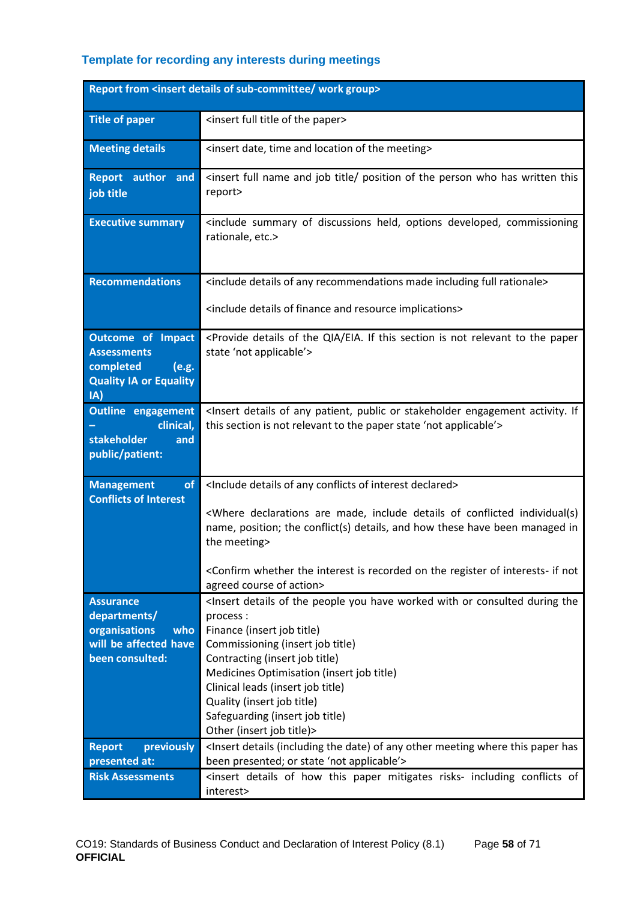# **Template for recording any interests during meetings**

|                                                                                                              | Report from <insert details="" group="" of="" sub-committee="" work=""></insert>                                                                                                                                                                                                                                                                                                                                                                           |
|--------------------------------------------------------------------------------------------------------------|------------------------------------------------------------------------------------------------------------------------------------------------------------------------------------------------------------------------------------------------------------------------------------------------------------------------------------------------------------------------------------------------------------------------------------------------------------|
| <b>Title of paper</b>                                                                                        | <insert full="" of="" paper="" the="" title=""></insert>                                                                                                                                                                                                                                                                                                                                                                                                   |
| <b>Meeting details</b>                                                                                       | <insert and="" date,="" location="" meeting="" of="" the="" time=""></insert>                                                                                                                                                                                                                                                                                                                                                                              |
| Report author and<br>job title                                                                               | <insert and="" full="" has="" job="" name="" of="" person="" position="" the="" this<br="" title="" who="" written="">report&gt;</insert>                                                                                                                                                                                                                                                                                                                  |
| <b>Executive summary</b>                                                                                     | <include commissioning<br="" developed,="" discussions="" held,="" of="" options="" summary="">rationale, etc.&gt;</include>                                                                                                                                                                                                                                                                                                                               |
| <b>Recommendations</b>                                                                                       | <include any="" details="" full="" including="" made="" of="" rationale="" recommendations=""></include>                                                                                                                                                                                                                                                                                                                                                   |
|                                                                                                              | <include and="" details="" finance="" implications="" of="" resource=""></include>                                                                                                                                                                                                                                                                                                                                                                         |
| <b>Outcome of Impact</b><br><b>Assessments</b><br>completed<br>(e.g.<br><b>Quality IA or Equality</b><br>IA) | <provide details="" eia.="" if="" is="" not="" of="" paper<br="" qia="" relevant="" section="" the="" this="" to="">state 'not applicable'&gt;</provide>                                                                                                                                                                                                                                                                                                   |
| <b>Outline engagement</b><br>clinical,<br>stakeholder<br>and<br>public/patient:                              | <insert activity.="" any="" details="" engagement="" if<br="" of="" or="" patient,="" public="" stakeholder="">this section is not relevant to the paper state 'not applicable'&gt;</insert>                                                                                                                                                                                                                                                               |
| <b>Management</b><br><b>of</b><br><b>Conflicts of Interest</b>                                               | <include any="" conflicts="" declared="" details="" interest="" of=""><br/><where are="" conflicted="" declarations="" details="" include="" individual(s)<br="" made,="" of="">name, position; the conflict(s) details, and how these have been managed in<br/>the meeting&gt;<br/><confirm if="" interest="" interests-="" is="" not<br="" of="" on="" recorded="" register="" the="" whether="">agreed course of action&gt;</confirm></where></include> |
| <b>Assurance</b><br>departments/<br>organisations<br>who<br>will be affected have<br>been consulted:         | <insert consulted="" details="" during="" have="" of="" or="" people="" the="" the<br="" with="" worked="" you="">process :<br/>Finance (insert job title)<br/>Commissioning (insert job title)<br/>Contracting (insert job title)<br/>Medicines Optimisation (insert job title)<br/>Clinical leads (insert job title)<br/>Quality (insert job title)<br/>Safeguarding (insert job title)<br/>Other (insert job title)&gt;</insert>                        |
| previously<br><b>Report</b><br>presented at:<br><b>Risk Assessments</b>                                      | <insert (including="" any="" date)="" details="" has<br="" meeting="" of="" other="" paper="" the="" this="" where="">been presented; or state 'not applicable'&gt;<br/><insert conflicts="" details="" how="" including="" mitigates="" of="" of<="" paper="" risks-="" th="" this=""></insert></insert>                                                                                                                                                  |
|                                                                                                              | interest>                                                                                                                                                                                                                                                                                                                                                                                                                                                  |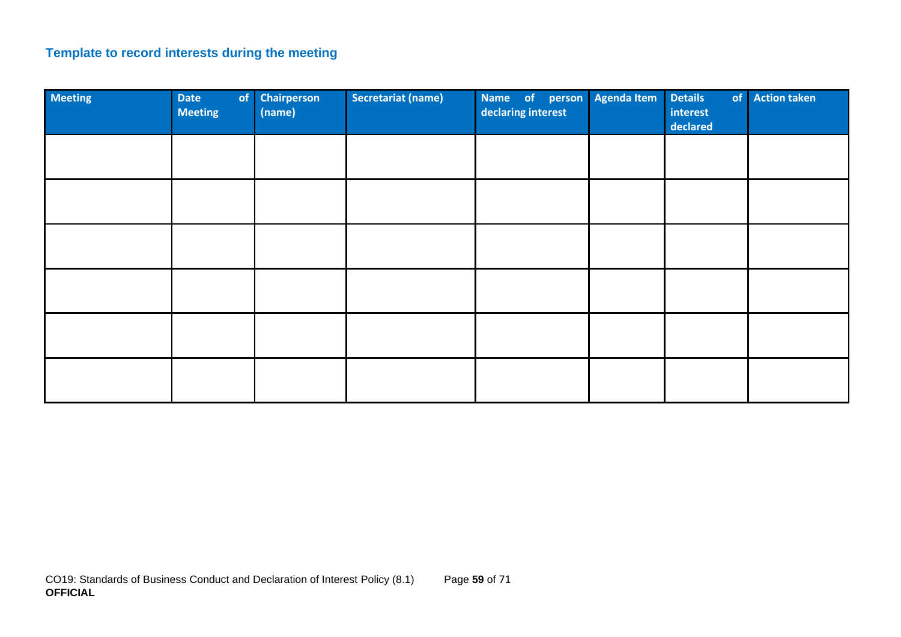# **Template to record interests during the meeting**

| <b>Meeting</b> | Date<br><b>Meeting</b> | of Chairperson<br>(name) | Secretariat (name) | Name of person<br>declaring interest | <b>Agenda Item</b> | <b>Details</b><br>interest<br>declared | of Action taken |
|----------------|------------------------|--------------------------|--------------------|--------------------------------------|--------------------|----------------------------------------|-----------------|
|                |                        |                          |                    |                                      |                    |                                        |                 |
|                |                        |                          |                    |                                      |                    |                                        |                 |
|                |                        |                          |                    |                                      |                    |                                        |                 |
|                |                        |                          |                    |                                      |                    |                                        |                 |
|                |                        |                          |                    |                                      |                    |                                        |                 |
|                |                        |                          |                    |                                      |                    |                                        |                 |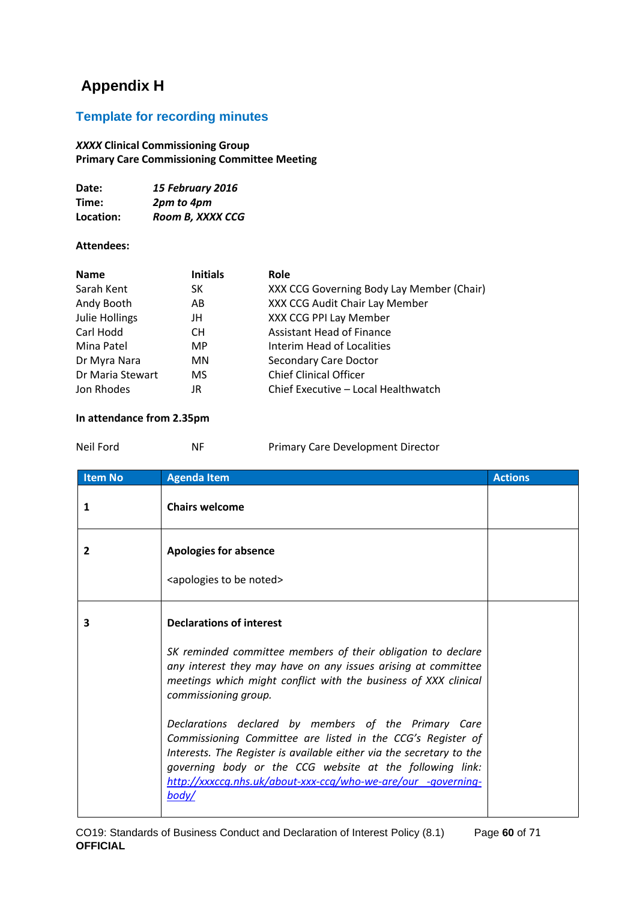# <span id="page-59-0"></span>**Appendix H**

# **Template for recording minutes**

#### *XXXX* **Clinical Commissioning Group Primary Care Commissioning Committee Meeting**

| Date:     | 15 February 2016 |
|-----------|------------------|
| Time:     | 2pm to 4pm       |
| Location: | Room B, XXXX CCG |

#### **Attendees:**

| <b>Name</b>           | <b>Initials</b> | Role                                      |
|-----------------------|-----------------|-------------------------------------------|
| Sarah Kent            | SК              | XXX CCG Governing Body Lay Member (Chair) |
| Andy Booth            | AB              | XXX CCG Audit Chair Lay Member            |
| <b>Julie Hollings</b> | JH              | XXX CCG PPI Lay Member                    |
| Carl Hodd             | <b>CH</b>       | <b>Assistant Head of Finance</b>          |
| Mina Patel            | MP              | Interim Head of Localities                |
| Dr Myra Nara          | <b>MN</b>       | <b>Secondary Care Doctor</b>              |
| Dr Maria Stewart      | <b>MS</b>       | <b>Chief Clinical Officer</b>             |
| Jon Rhodes            | JR              | Chief Executive - Local Healthwatch       |

#### **In attendance from 2.35pm**

| Primary Care Development Director |
|-----------------------------------|
|                                   |

| <b>Item No</b> | <b>Agenda Item</b>                                                                                                                                                                                                                                                                                                  | <b>Actions</b> |
|----------------|---------------------------------------------------------------------------------------------------------------------------------------------------------------------------------------------------------------------------------------------------------------------------------------------------------------------|----------------|
| 1              | <b>Chairs welcome</b>                                                                                                                                                                                                                                                                                               |                |
| 2              | <b>Apologies for absence</b><br><apologies be="" noted="" to=""></apologies>                                                                                                                                                                                                                                        |                |
|                |                                                                                                                                                                                                                                                                                                                     |                |
| 3              | <b>Declarations of interest</b><br>SK reminded committee members of their obligation to declare<br>any interest they may have on any issues arising at committee<br>meetings which might conflict with the business of XXX clinical<br>commissioning group.<br>Declarations declared by members of the Primary Care |                |
|                | Commissioning Committee are listed in the CCG's Register of<br>Interests. The Register is available either via the secretary to the<br>governing body or the CCG website at the following link:<br>http://xxxccq.nhs.uk/about-xxx-ccq/who-we-are/our -governing-<br>body/                                           |                |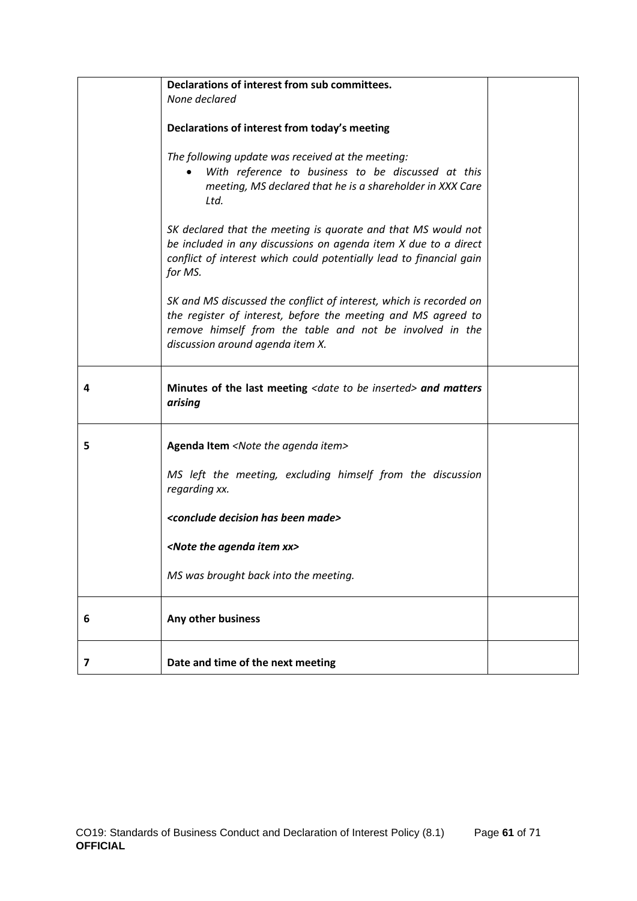|   | Declarations of interest from sub committees.                                                                                                                                                                                       |  |
|---|-------------------------------------------------------------------------------------------------------------------------------------------------------------------------------------------------------------------------------------|--|
|   | None declared                                                                                                                                                                                                                       |  |
|   | Declarations of interest from today's meeting                                                                                                                                                                                       |  |
|   | The following update was received at the meeting:<br>With reference to business to be discussed at this<br>meeting, MS declared that he is a shareholder in XXX Care<br>Ltd.                                                        |  |
|   | SK declared that the meeting is quorate and that MS would not<br>be included in any discussions on agenda item X due to a direct<br>conflict of interest which could potentially lead to financial gain<br>for MS.                  |  |
|   | SK and MS discussed the conflict of interest, which is recorded on<br>the register of interest, before the meeting and MS agreed to<br>remove himself from the table and not be involved in the<br>discussion around agenda item X. |  |
| 4 | Minutes of the last meeting <date be="" inserted="" to=""> and matters<br/>arising</date>                                                                                                                                           |  |
| 5 | Agenda Item <note agenda="" item="" the=""></note>                                                                                                                                                                                  |  |
|   | MS left the meeting, excluding himself from the discussion<br>regarding xx.                                                                                                                                                         |  |
|   | <conclude been="" decision="" has="" made=""></conclude>                                                                                                                                                                            |  |
|   | <note agenda="" item="" the="" xx=""></note>                                                                                                                                                                                        |  |
|   | MS was brought back into the meeting.                                                                                                                                                                                               |  |
| 6 | Any other business                                                                                                                                                                                                                  |  |
| 7 | Date and time of the next meeting                                                                                                                                                                                                   |  |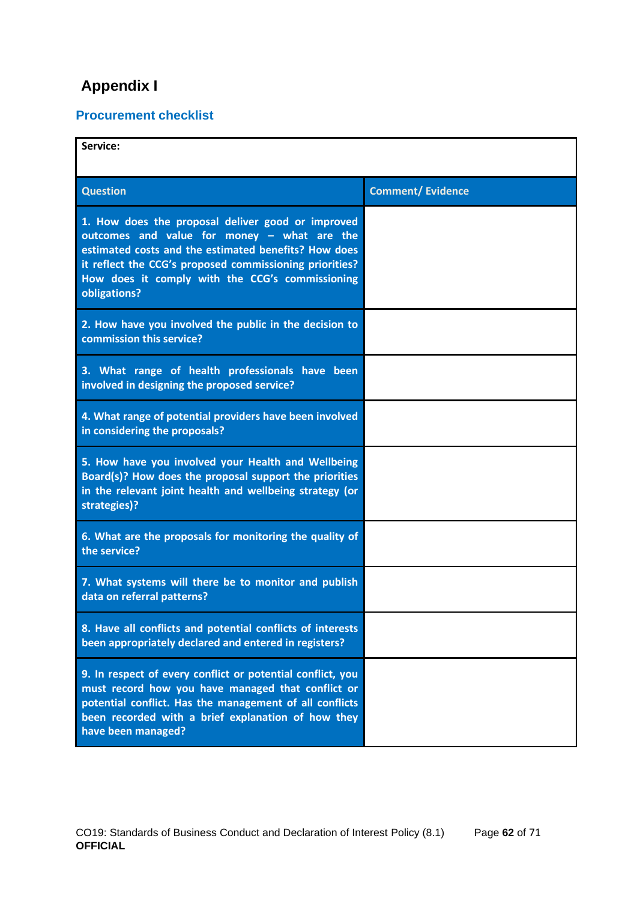# <span id="page-61-0"></span>**Appendix I**

# **Procurement checklist**

| Service:                                                                                                                                                                                                                                                                               |                          |
|----------------------------------------------------------------------------------------------------------------------------------------------------------------------------------------------------------------------------------------------------------------------------------------|--------------------------|
| <b>Question</b>                                                                                                                                                                                                                                                                        | <b>Comment/ Evidence</b> |
| 1. How does the proposal deliver good or improved<br>outcomes and value for money - what are the<br>estimated costs and the estimated benefits? How does<br>it reflect the CCG's proposed commissioning priorities?<br>How does it comply with the CCG's commissioning<br>obligations? |                          |
| 2. How have you involved the public in the decision to<br>commission this service?                                                                                                                                                                                                     |                          |
| 3. What range of health professionals have been<br>involved in designing the proposed service?                                                                                                                                                                                         |                          |
| 4. What range of potential providers have been involved<br>in considering the proposals?                                                                                                                                                                                               |                          |
| 5. How have you involved your Health and Wellbeing<br>Board(s)? How does the proposal support the priorities<br>in the relevant joint health and wellbeing strategy (or<br>strategies)?                                                                                                |                          |
| 6. What are the proposals for monitoring the quality of<br>the service?                                                                                                                                                                                                                |                          |
| 7. What systems will there be to monitor and publish<br>data on referral patterns?                                                                                                                                                                                                     |                          |
| 8. Have all conflicts and potential conflicts of interests<br>been appropriately declared and entered in registers?                                                                                                                                                                    |                          |
| 9. In respect of every conflict or potential conflict, you<br>must record how you have managed that conflict or<br>potential conflict. Has the management of all conflicts<br>been recorded with a brief explanation of how they<br>have been managed?                                 |                          |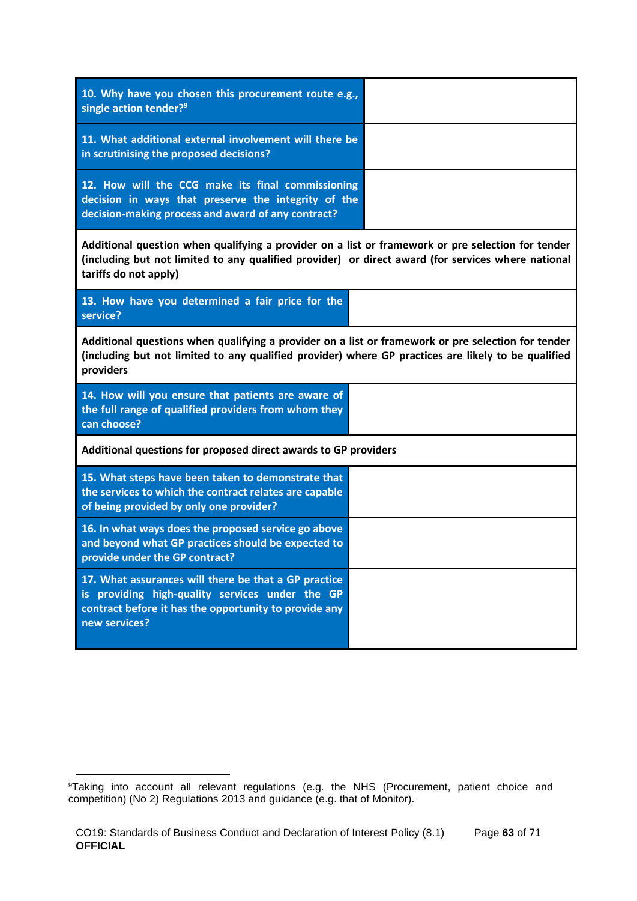| 10. Why have you chosen this procurement route e.g.,<br>single action tender? <sup>9</sup>                                                                                                                                       |  |
|----------------------------------------------------------------------------------------------------------------------------------------------------------------------------------------------------------------------------------|--|
| 11. What additional external involvement will there be<br>in scrutinising the proposed decisions?                                                                                                                                |  |
| 12. How will the CCG make its final commissioning<br>decision in ways that preserve the integrity of the<br>decision-making process and award of any contract?                                                                   |  |
| Additional question when qualifying a provider on a list or framework or pre selection for tender<br>(including but not limited to any qualified provider) or direct award (for services where national<br>tariffs do not apply) |  |
| 13. How have you determined a fair price for the<br>service?                                                                                                                                                                     |  |
| Additional questions when qualifying a provider on a list or framework or pre selection for tender<br>(including but not limited to any qualified provider) where GP practices are likely to be qualified<br>providers           |  |
| 14. How will you ensure that patients are aware of<br>the full range of qualified providers from whom they<br>can choose?                                                                                                        |  |
| Additional questions for proposed direct awards to GP providers                                                                                                                                                                  |  |
| 15. What steps have been taken to demonstrate that<br>the services to which the contract relates are capable<br>of being provided by only one provider?                                                                          |  |
| 16. In what ways does the proposed service go above<br>and beyond what GP practices should be expected to<br>provide under the GP contract?                                                                                      |  |
| 17. What assurances will there be that a GP practice<br>is providing high-quality services under the GP<br>contract before it has the opportunity to provide any<br>new services?                                                |  |

<sup>&</sup>lt;sup>9</sup>Taking into account all relevant regulations (e.g. the NHS (Procurement, patient choice and competition) (No 2) Regulations 2013 and guidance (e.g. that of Monitor).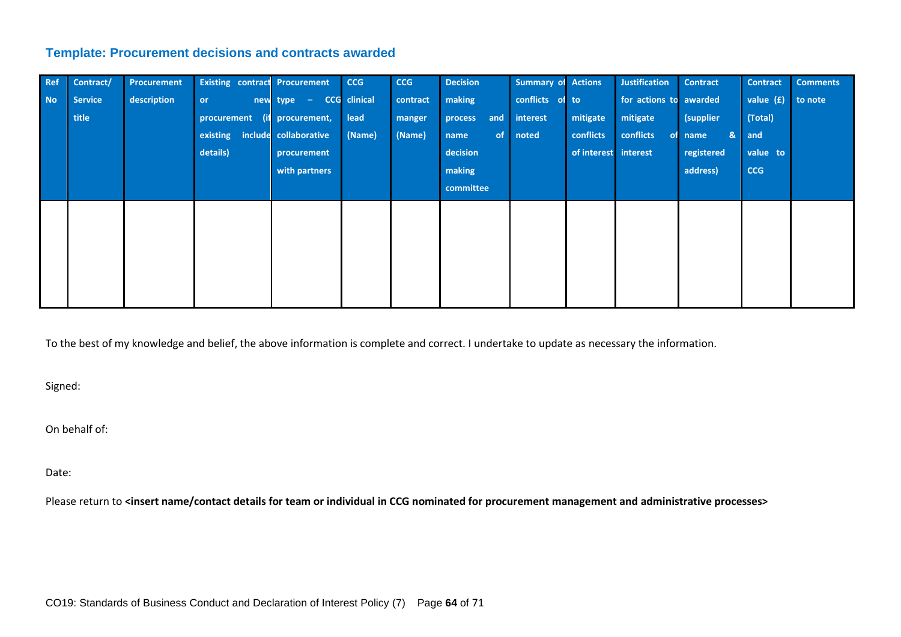### **Template: Procurement decisions and contracts awarded**

| <b>Ref</b> | Contract/      | Procurement | <b>Existing contract Procurement</b> |                  | <b>CCG</b>   | CCG      | <b>Decision</b> | Summary of Actions |                      | <b>Justification</b>   | <b>Contract</b>         | <b>Contract</b> | <b>Comments</b> |
|------------|----------------|-------------|--------------------------------------|------------------|--------------|----------|-----------------|--------------------|----------------------|------------------------|-------------------------|-----------------|-----------------|
| <b>No</b>  | <b>Service</b> | description | <b>or</b>                            | new type $-$     | CCG clinical | contract | making          | conflicts of to    |                      | for actions to awarded |                         | value (£)       | to note         |
|            | title          |             | procurement                          | (if procurement, | lead         | manger   | and<br>process  | interest           | mitigate             | mitigate               | (supplier               | (Total)         |                 |
|            |                |             | existing include collaborative       |                  | (Name)       | (Name)   | of<br>name      | noted              | conflicts            | conflicts              | $\mathbf{g}$<br>of name | and             |                 |
|            |                |             | details)                             | procurement      |              |          | decision        |                    | of interest interest |                        | registered              | value to        |                 |
|            |                |             |                                      | with partners    |              |          | making          |                    |                      |                        | address)                | CCG             |                 |
|            |                |             |                                      |                  |              |          | committee       |                    |                      |                        |                         |                 |                 |
|            |                |             |                                      |                  |              |          |                 |                    |                      |                        |                         |                 |                 |
|            |                |             |                                      |                  |              |          |                 |                    |                      |                        |                         |                 |                 |
|            |                |             |                                      |                  |              |          |                 |                    |                      |                        |                         |                 |                 |
|            |                |             |                                      |                  |              |          |                 |                    |                      |                        |                         |                 |                 |
|            |                |             |                                      |                  |              |          |                 |                    |                      |                        |                         |                 |                 |
|            |                |             |                                      |                  |              |          |                 |                    |                      |                        |                         |                 |                 |

To the best of my knowledge and belief, the above information is complete and correct. I undertake to update as necessary the information.

Signed:

On behalf of:

Date:

Please return to **<insert name/contact details for team or individual in CCG nominated for procurement management and administrative processes>**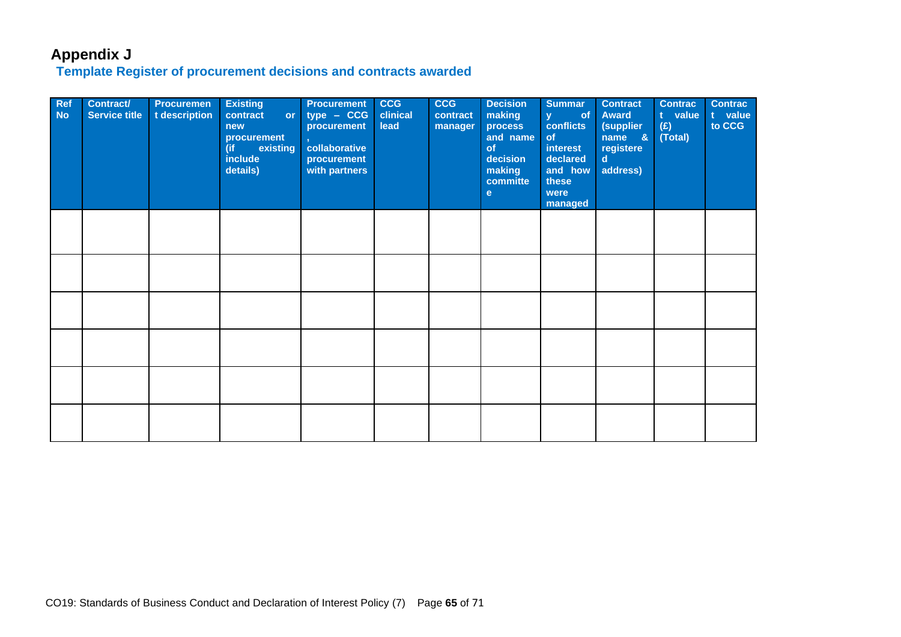# **Appendix J**

**Template Register of procurement decisions and contracts awarded**

<span id="page-64-0"></span>

| Ref<br><b>No</b> | Contract/<br><b>Service title</b> | <b>Procuremen</b><br>t description | <b>Existing</b><br>contract<br>or<br>new<br>procurement<br>$($ if<br>existing<br>include<br>details) | <b>Procurement</b><br>$type - CG$<br>procurement<br>collaborative<br>procurement<br>with partners | <b>CCG</b><br>clinical<br>lead | <b>CCG</b><br>contract<br>manager | <b>Decision</b><br>making<br><b>process</b><br>and name<br>of<br>decision<br>making<br>committe<br>$\mathbf{e}$ | <b>Summar</b><br>$\mathbf{y}$<br>of<br>conflicts<br>of<br>interest<br>declared<br>and how<br>these<br>were<br>managed | <b>Contract</b><br><b>Award</b><br>(supplier<br>name &<br>registere<br>d.<br>address) | <b>Contrac</b><br>t value<br>(E)<br>(Total) | <b>Contrac</b><br>t value<br>to CCG |
|------------------|-----------------------------------|------------------------------------|------------------------------------------------------------------------------------------------------|---------------------------------------------------------------------------------------------------|--------------------------------|-----------------------------------|-----------------------------------------------------------------------------------------------------------------|-----------------------------------------------------------------------------------------------------------------------|---------------------------------------------------------------------------------------|---------------------------------------------|-------------------------------------|
|                  |                                   |                                    |                                                                                                      |                                                                                                   |                                |                                   |                                                                                                                 |                                                                                                                       |                                                                                       |                                             |                                     |
|                  |                                   |                                    |                                                                                                      |                                                                                                   |                                |                                   |                                                                                                                 |                                                                                                                       |                                                                                       |                                             |                                     |
|                  |                                   |                                    |                                                                                                      |                                                                                                   |                                |                                   |                                                                                                                 |                                                                                                                       |                                                                                       |                                             |                                     |
|                  |                                   |                                    |                                                                                                      |                                                                                                   |                                |                                   |                                                                                                                 |                                                                                                                       |                                                                                       |                                             |                                     |
|                  |                                   |                                    |                                                                                                      |                                                                                                   |                                |                                   |                                                                                                                 |                                                                                                                       |                                                                                       |                                             |                                     |
|                  |                                   |                                    |                                                                                                      |                                                                                                   |                                |                                   |                                                                                                                 |                                                                                                                       |                                                                                       |                                             |                                     |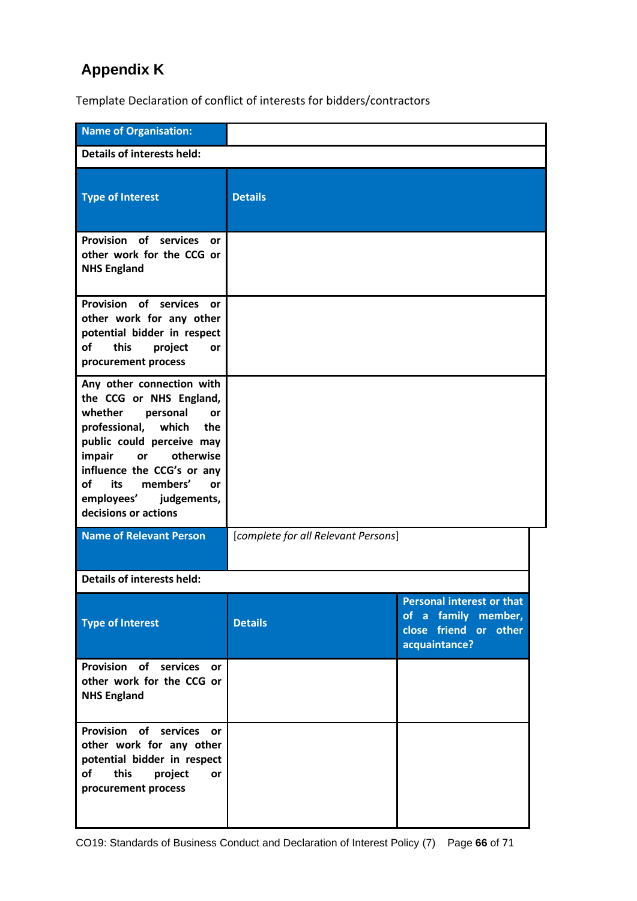# <span id="page-65-0"></span>**Appendix K**

Template Declaration of conflict of interests for bidders/contractors

| <b>Name of Organisation:</b>                                                                                                                                                                                                                                                                           |                                     |                                                                                            |
|--------------------------------------------------------------------------------------------------------------------------------------------------------------------------------------------------------------------------------------------------------------------------------------------------------|-------------------------------------|--------------------------------------------------------------------------------------------|
| <b>Details of interests held:</b>                                                                                                                                                                                                                                                                      |                                     |                                                                                            |
| <b>Type of Interest</b>                                                                                                                                                                                                                                                                                | <b>Details</b>                      |                                                                                            |
| Provision of services<br><b>or</b><br>other work for the CCG or<br><b>NHS England</b>                                                                                                                                                                                                                  |                                     |                                                                                            |
| Provision of services or<br>other work for any other<br>potential bidder in respect<br>οf<br>this<br>project<br><b>or</b><br>procurement process                                                                                                                                                       |                                     |                                                                                            |
| Any other connection with<br>the CCG or NHS England,<br>whether<br>personal<br>or<br>professional, which<br>the<br>public could perceive may<br>impair<br>otherwise<br>or<br>influence the CCG's or any<br>members'<br><b>of</b><br>its<br><b>or</b><br>employees' judgements,<br>decisions or actions |                                     |                                                                                            |
| <b>Name of Relevant Person</b>                                                                                                                                                                                                                                                                         | [complete for all Relevant Persons] |                                                                                            |
| <b>Details of interests held:</b>                                                                                                                                                                                                                                                                      |                                     |                                                                                            |
| <b>Type of Interest</b>                                                                                                                                                                                                                                                                                | <b>Details</b>                      | Personal interest or that<br>of a family member,<br>close friend or other<br>acquaintance? |
| Provision of services or<br>other work for the CCG or<br><b>NHS England</b>                                                                                                                                                                                                                            |                                     |                                                                                            |
| Provision of services or<br>other work for any other<br>potential bidder in respect<br>of<br>this<br>project<br><b>or</b><br>procurement process                                                                                                                                                       |                                     |                                                                                            |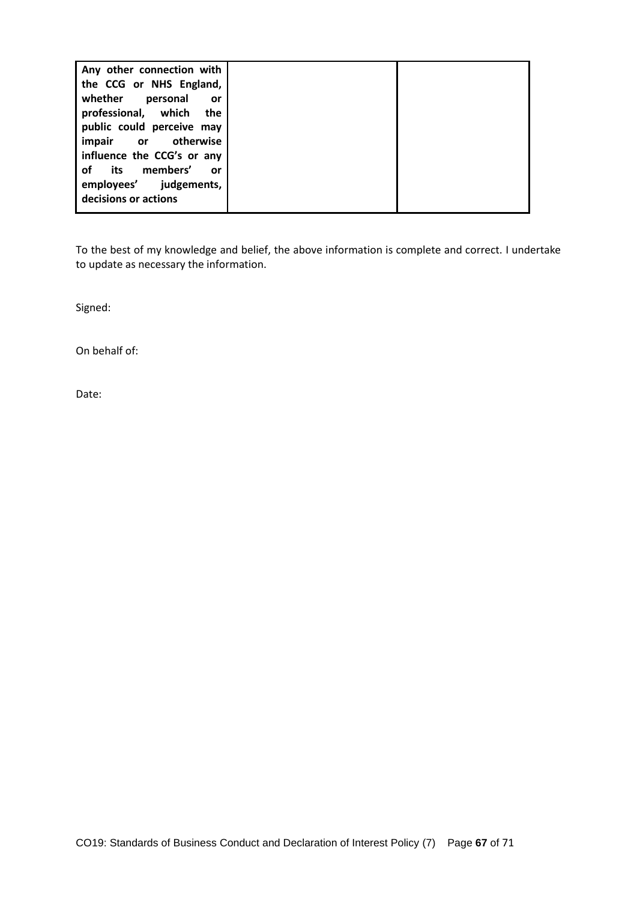| Any other connection with<br>the CCG or NHS England,<br>whether<br>personal<br><b>or</b><br>professional, which<br>the |  |
|------------------------------------------------------------------------------------------------------------------------|--|
| public could perceive may<br>impair or otherwise<br>influence the CCG's or any                                         |  |
| members'<br>of its<br><b>or</b><br>employees' judgements,<br>decisions or actions                                      |  |

To the best of my knowledge and belief, the above information is complete and correct. I undertake to update as necessary the information.

Signed:

On behalf of:

Date: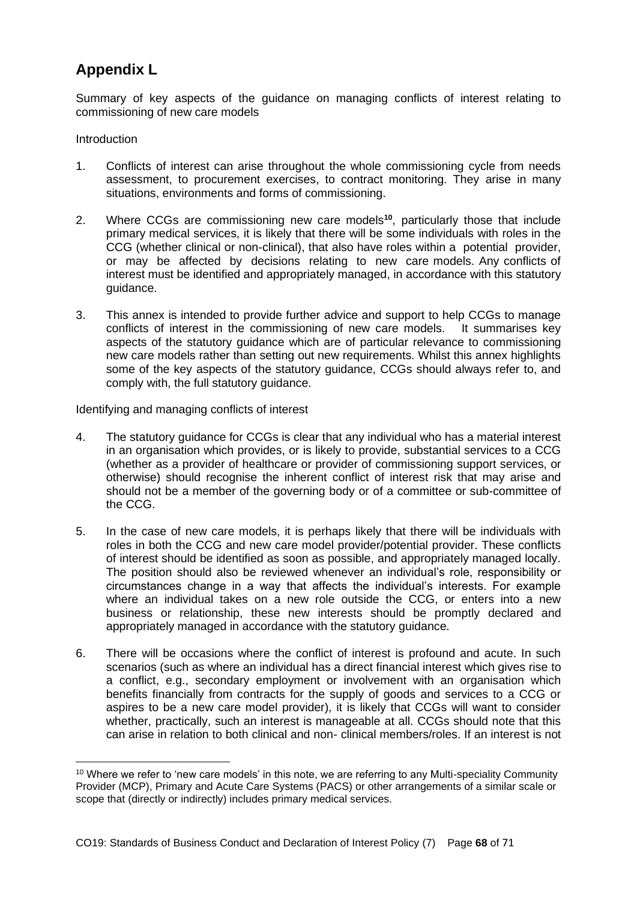# <span id="page-67-0"></span>**Appendix L**

Summary of key aspects of the guidance on managing conflicts of interest relating to commissioning of new care models

**Introduction** 

- 1. Conflicts of interest can arise throughout the whole commissioning cycle from needs assessment, to procurement exercises, to contract monitoring. They arise in many situations, environments and forms of commissioning.
- 2. Where CCGs are commissioning new care models**<sup>10</sup>**, particularly those that include primary medical services, it is likely that there will be some individuals with roles in the CCG (whether clinical or non-clinical), that also have roles within a potential provider, or may be affected by decisions relating to new care models. Any conflicts of interest must be identified and appropriately managed, in accordance with this statutory guidance.
- 3. This annex is intended to provide further advice and support to help CCGs to manage conflicts of interest in the commissioning of new care models. It summarises key aspects of the statutory guidance which are of particular relevance to commissioning new care models rather than setting out new requirements. Whilst this annex highlights some of the key aspects of the statutory guidance, CCGs should always refer to, and comply with, the full statutory guidance.

Identifying and managing conflicts of interest

- 4. The statutory guidance for CCGs is clear that any individual who has a material interest in an organisation which provides, or is likely to provide, substantial services to a CCG (whether as a provider of healthcare or provider of commissioning support services, or otherwise) should recognise the inherent conflict of interest risk that may arise and should not be a member of the governing body or of a committee or sub-committee of the CCG.
- 5. In the case of new care models, it is perhaps likely that there will be individuals with roles in both the CCG and new care model provider/potential provider. These conflicts of interest should be identified as soon as possible, and appropriately managed locally. The position should also be reviewed whenever an individual's role, responsibility or circumstances change in a way that affects the individual's interests. For example where an individual takes on a new role outside the CCG, or enters into a new business or relationship, these new interests should be promptly declared and appropriately managed in accordance with the statutory guidance.
- 6. There will be occasions where the conflict of interest is profound and acute. In such scenarios (such as where an individual has a direct financial interest which gives rise to a conflict, e.g., secondary employment or involvement with an organisation which benefits financially from contracts for the supply of goods and services to a CCG or aspires to be a new care model provider), it is likely that CCGs will want to consider whether, practically, such an interest is manageable at all. CCGs should note that this can arise in relation to both clinical and non- clinical members/roles. If an interest is not

<sup>&</sup>lt;sup>10</sup> Where we refer to 'new care models' in this note, we are referring to any Multi-speciality Community Provider (MCP), Primary and Acute Care Systems (PACS) or other arrangements of a similar scale or scope that (directly or indirectly) includes primary medical services.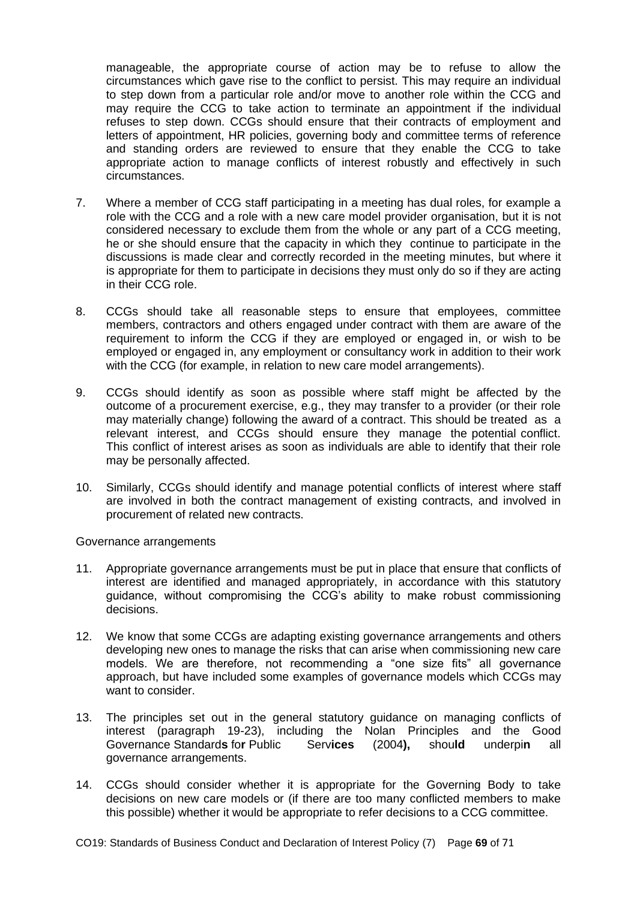manageable, the appropriate course of action may be to refuse to allow the circumstances which gave rise to the conflict to persist. This may require an individual to step down from a particular role and/or move to another role within the CCG and may require the CCG to take action to terminate an appointment if the individual refuses to step down. CCGs should ensure that their contracts of employment and letters of appointment, HR policies, governing body and committee terms of reference and standing orders are reviewed to ensure that they enable the CCG to take appropriate action to manage conflicts of interest robustly and effectively in such circumstances.

- 7. Where a member of CCG staff participating in a meeting has dual roles, for example a role with the CCG and a role with a new care model provider organisation, but it is not considered necessary to exclude them from the whole or any part of a CCG meeting, he or she should ensure that the capacity in which they continue to participate in the discussions is made clear and correctly recorded in the meeting minutes, but where it is appropriate for them to participate in decisions they must only do so if they are acting in their CCG role.
- 8. CCGs should take all reasonable steps to ensure that employees, committee members, contractors and others engaged under contract with them are aware of the requirement to inform the CCG if they are employed or engaged in, or wish to be employed or engaged in, any employment or consultancy work in addition to their work with the CCG (for example, in relation to new care model arrangements).
- 9. CCGs should identify as soon as possible where staff might be affected by the outcome of a procurement exercise, e.g., they may transfer to a provider (or their role may materially change) following the award of a contract. This should be treated as a relevant interest, and CCGs should ensure they manage the potential conflict. This conflict of interest arises as soon as individuals are able to identify that their role may be personally affected.
- 10. Similarly, CCGs should identify and manage potential conflicts of interest where staff are involved in both the contract management of existing contracts, and involved in procurement of related new contracts.

Governance arrangements

- 11. Appropriate governance arrangements must be put in place that ensure that conflicts of interest are identified and managed appropriately, in accordance with this statutory guidance, without compromising the CCG's ability to make robust commissioning decisions.
- 12. We know that some CCGs are adapting existing governance arrangements and others developing new ones to manage the risks that can arise when commissioning new care models. We are therefore, not recommending a "one size fits" all governance approach, but have included some examples of governance models which CCGs may want to consider.
- 13. The principles set out in the general statutory guidance on managing conflicts of interest (paragraph 19-23), including the Nolan Principles and the Good Governance Standard**s** fo**r** Public Serv**ices** (2004**),** shou**ld** underpi**n** all governance arrangements.
- 14. CCGs should consider whether it is appropriate for the Governing Body to take decisions on new care models or (if there are too many conflicted members to make this possible) whether it would be appropriate to refer decisions to a CCG committee.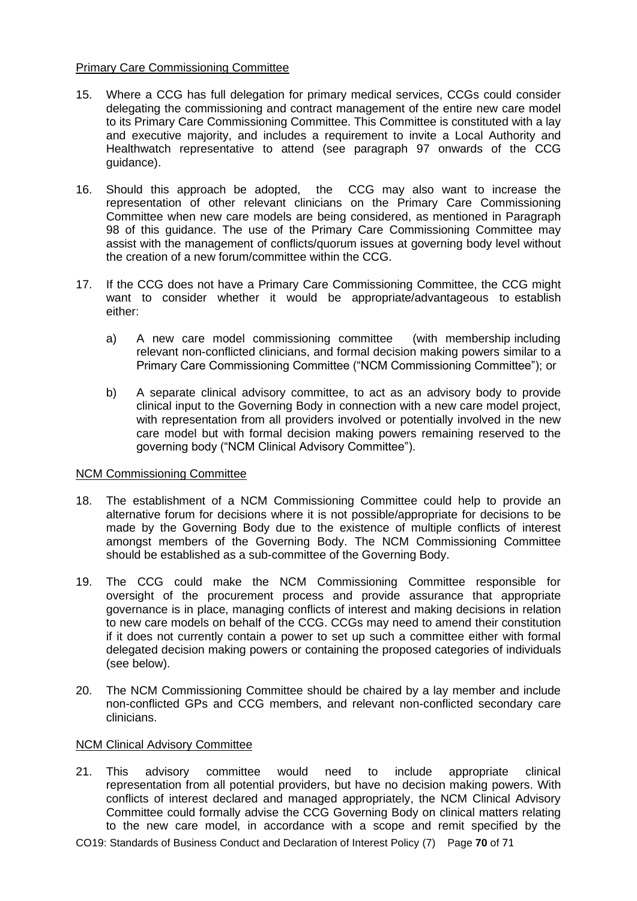#### Primary Care Commissioning Committee

- 15. Where a CCG has full delegation for primary medical services, CCGs could consider delegating the commissioning and contract management of the entire new care model to its Primary Care Commissioning Committee. This Committee is constituted with a lay and executive majority, and includes a requirement to invite a Local Authority and Healthwatch representative to attend (see paragraph 97 onwards of the CCG quidance).
- 16. Should this approach be adopted, the CCG may also want to increase the representation of other relevant clinicians on the Primary Care Commissioning Committee when new care models are being considered, as mentioned in Paragraph 98 of this guidance. The use of the Primary Care Commissioning Committee may assist with the management of conflicts/quorum issues at governing body level without the creation of a new forum/committee within the CCG.
- 17. If the CCG does not have a Primary Care Commissioning Committee, the CCG might want to consider whether it would be appropriate/advantageous to establish either:
	- a) A new care model commissioning committee (with membership including relevant non-conflicted clinicians, and formal decision making powers similar to a Primary Care Commissioning Committee ("NCM Commissioning Committee"); or
	- b) A separate clinical advisory committee, to act as an advisory body to provide clinical input to the Governing Body in connection with a new care model project, with representation from all providers involved or potentially involved in the new care model but with formal decision making powers remaining reserved to the governing body ("NCM Clinical Advisory Committee").

#### NCM Commissioning Committee

- 18. The establishment of a NCM Commissioning Committee could help to provide an alternative forum for decisions where it is not possible/appropriate for decisions to be made by the Governing Body due to the existence of multiple conflicts of interest amongst members of the Governing Body. The NCM Commissioning Committee should be established as a sub-committee of the Governing Body.
- 19. The CCG could make the NCM Commissioning Committee responsible for oversight of the procurement process and provide assurance that appropriate governance is in place, managing conflicts of interest and making decisions in relation to new care models on behalf of the CCG. CCGs may need to amend their constitution if it does not currently contain a power to set up such a committee either with formal delegated decision making powers or containing the proposed categories of individuals (see below).
- 20. The NCM Commissioning Committee should be chaired by a lay member and include non-conflicted GPs and CCG members, and relevant non-conflicted secondary care clinicians.

#### NCM Clinical Advisory Committee

- 21. This advisory committee would need to include appropriate clinical representation from all potential providers, but have no decision making powers. With conflicts of interest declared and managed appropriately, the NCM Clinical Advisory Committee could formally advise the CCG Governing Body on clinical matters relating to the new care model, in accordance with a scope and remit specified by the
- CO19: Standards of Business Conduct and Declaration of Interest Policy (7) Page **70** of 71